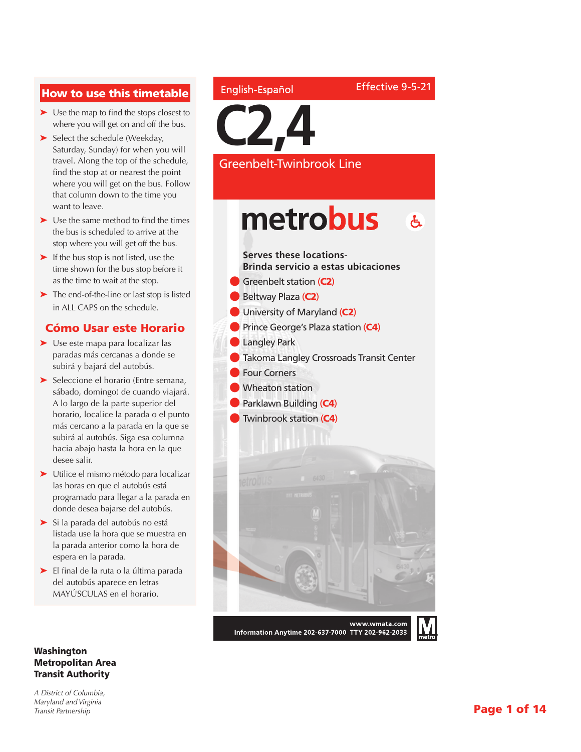#### How to use this timetable

- ➤ Use the map to find the stops closest to where you will get on and off the bus.
- ► Select the schedule (Weekday, Saturday, Sunday) for when you will travel. Along the top of the schedule, find the stop at or nearest the point where you will get on the bus. Follow that column down to the time you want to leave.
- ➤ Use the same method to find the times the bus is scheduled to arrive at the stop where you will get off the bus.
- ➤ If the bus stop is not listed, use the time shown for the bus stop before it as the time to wait at the stop.
- ➤ The end-of-the-line or last stop is listed in ALL CAPS on the schedule.

#### Cómo Usar este Horario

- ➤ Use este mapa para localizar las paradas más cercanas a donde se subirá y bajará del autobús.
- ➤ Seleccione el horario (Entre semana, sábado, domingo) de cuando viajará. A lo largo de la parte superior del horario, localice la parada o el punto más cercano a la parada en la que se subirá al autobús. Siga esa columna hacia abajo hasta la hora en la que desee salir.
- ➤ Utilice el mismo método para localizar las horas en que el autobús está programado para llegar a la parada en donde desea bajarse del autobús.
- ➤ Si la parada del autobús no está listada use la hora que se muestra en la parada anterior como la hora de espera en la parada.
- ➤ El final de la ruta o la última parada del autobús aparece en letras MAYÚSCULAS en el horario.

#### Washington Metropolitan Area Transit Authority

*A District of Columbia, Maryland and Virginia Transit Partnership*

#### English-Español

**C2,4**

Greenbelt-Twinbrook Line

Effective 9-5-21

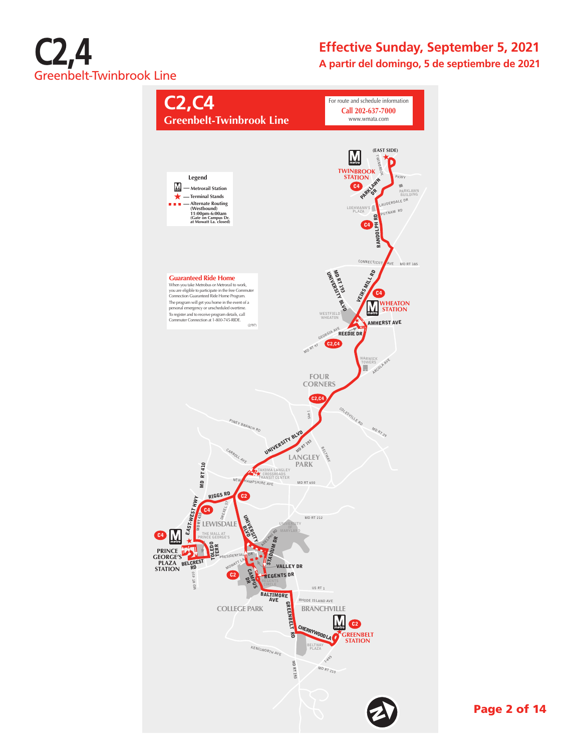

#### **Effective Sunday, September 5, 2021 A partir del domingo, 5 de septiembre de 2021**



Page 2 of 14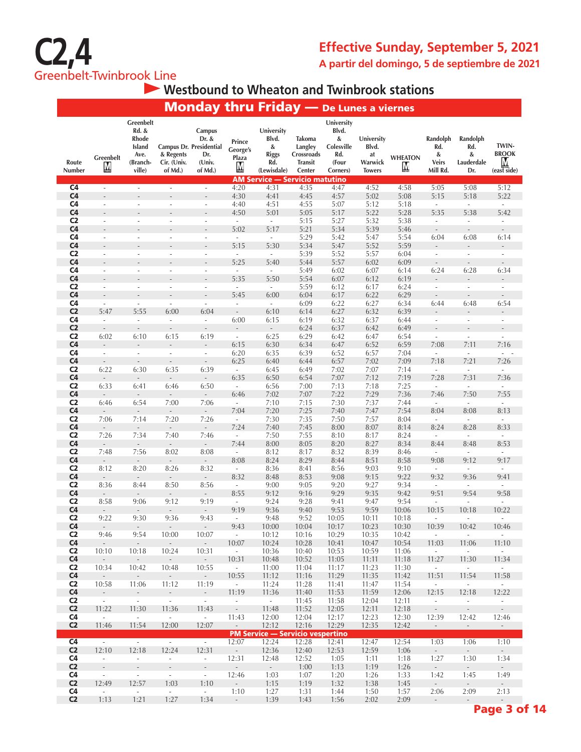

### **Westbound to Wheaton and Twinbrook stations**

|                                  |                                                 |                                                                     |                                     | <b>Monday thru Friday</b> - De Lunes a viernes                         |                                  |                                                                |                                                             |                                                                    |                                                       |                      |                                                  |                                           |                                                                  |
|----------------------------------|-------------------------------------------------|---------------------------------------------------------------------|-------------------------------------|------------------------------------------------------------------------|----------------------------------|----------------------------------------------------------------|-------------------------------------------------------------|--------------------------------------------------------------------|-------------------------------------------------------|----------------------|--------------------------------------------------|-------------------------------------------|------------------------------------------------------------------|
| Route<br>Number                  | Greenbelt<br>M                                  | Greenbelt<br>Rd. &<br>Rhode<br>Island<br>Ave.<br>(Branch-<br>ville) | & Regents<br>Cir. (Univ.<br>of Md.) | Campus<br>Dr. &<br>Campus Dr. Presidential<br>Dr.<br>(Univ.<br>of Md.) | Prince<br>George's<br>Plaza<br>M | University<br>Blvd.<br>&<br><b>Riggs</b><br>Rd.<br>(Lewisdale) | Takoma<br>Langley<br>Crossroads<br><b>Transit</b><br>Center | University<br>Blvd.<br>&<br>Colesville<br>Rd.<br>(Four<br>Corners) | University<br>Blvd.<br>at<br>Warwick<br><b>Towers</b> | <b>WHEATON</b><br>Ņ, | Randolph<br>Rd.<br>&<br><b>Veirs</b><br>Mill Rd. | Randolph<br>Rd.<br>&<br>Lauderdale<br>Dr. | TWIN-<br><b>BROOK</b><br>M<br>$(ex\overline{st}\overline{side})$ |
|                                  |                                                 |                                                                     |                                     |                                                                        |                                  | <b>AM Service — Servicio matutino</b>                          |                                                             |                                                                    |                                                       |                      |                                                  |                                           |                                                                  |
| C <sub>4</sub>                   | $\overline{\phantom{a}}$                        | $\overline{\phantom{a}}$                                            | $\overline{\phantom{a}}$            | $\overline{\phantom{a}}$                                               | 4:20                             | 4:31                                                           | 4:35                                                        | 4:47                                                               | 4:52                                                  | 4:58                 | 5:05                                             | 5:08                                      | 5:12                                                             |
| C <sub>4</sub><br>C <sub>4</sub> | $\overline{\phantom{a}}$                        | $\overline{\phantom{a}}$                                            |                                     | $\overline{a}$<br>$\overline{\phantom{a}}$                             | 4:30<br>4:40                     | 4:41<br>4:51                                                   | 4:45<br>4:55                                                | 4:57<br>5:07                                                       | 5:02<br>5:12                                          | 5:08<br>5:18         | 5:15<br>÷                                        | 5:18<br>$\sim$                            | 5:22<br>$\overline{\phantom{a}}$                                 |
| C <sub>4</sub>                   |                                                 |                                                                     |                                     | L,                                                                     | 4:50                             | 5:01                                                           | 5:05                                                        | 5:17                                                               | 5:22                                                  | 5:28                 | 5:35                                             | 5:38                                      | 5:42                                                             |
| C <sub>2</sub>                   |                                                 | ÷,                                                                  |                                     | ÷,                                                                     | $\sim$                           | $\sim$                                                         | 5:15                                                        | 5:27                                                               | 5:32                                                  | 5:38                 | $\overline{\phantom{a}}$                         | $\overline{\phantom{a}}$                  | ä,                                                               |
| C <sub>4</sub>                   |                                                 |                                                                     |                                     |                                                                        | 5:02                             | 5:17                                                           | 5:21                                                        | 5:34                                                               | 5:39                                                  | 5:46                 | $\overline{\phantom{a}}$                         | $\overline{\phantom{a}}$                  | $\overline{\phantom{m}}$                                         |
| C <sub>4</sub>                   | ÷.                                              | ÷.                                                                  |                                     | ÷.                                                                     | $\sim$                           | $\sim$                                                         | 5:29                                                        | 5:42                                                               | 5:47                                                  | 5:54                 | 6:04                                             | 6:08                                      | 6:14                                                             |
| C <sub>4</sub><br>C <sub>2</sub> | $\overline{\phantom{a}}$                        | $\overline{\phantom{a}}$                                            | $\sim$                              | $\overline{\phantom{a}}$                                               | 5:15<br>$\overline{\phantom{a}}$ | 5:30<br>$\overline{\phantom{a}}$                               | 5:34<br>5:39                                                | 5:47<br>5:52                                                       | 5:52<br>5:57                                          | 5:59<br>6:04         | $\overline{\phantom{a}}$                         | $\sim$                                    | $\overline{\phantom{a}}$                                         |
| C <sub>4</sub>                   |                                                 |                                                                     |                                     |                                                                        | 5:25                             | 5:40                                                           | 5:44                                                        | 5:57                                                               | 6:02                                                  | 6:09                 |                                                  | $\overline{\phantom{a}}$                  |                                                                  |
| C <sub>4</sub>                   | $\overline{\phantom{a}}$                        | $\overline{\phantom{a}}$                                            |                                     | $\overline{a}$                                                         | $\overline{\phantom{a}}$         | $\overline{\phantom{a}}$                                       | 5:49                                                        | 6:02                                                               | 6:07                                                  | 6:14                 | 6:24                                             | 6:28                                      | 6:34                                                             |
| C <sub>4</sub>                   |                                                 |                                                                     |                                     |                                                                        | 5:35                             | 5:50                                                           | 5:54                                                        | 6:07                                                               | 6:12                                                  | 6:19                 | L.                                               | $\overline{\phantom{a}}$                  | $\overline{a}$                                                   |
| C <sub>2</sub>                   | ٠                                               | $\overline{\phantom{a}}$                                            | $\overline{\phantom{a}}$            | $\overline{\phantom{a}}$                                               | $\overline{\phantom{a}}$         | $\overline{\phantom{a}}$                                       | 5:59                                                        | 6:12                                                               | 6:17                                                  | 6:24                 | $\overline{\phantom{a}}$                         | $\overline{\phantom{a}}$                  | $\overline{\phantom{a}}$                                         |
| C <sub>4</sub><br>C <sub>4</sub> | $\overline{a}$<br>$\overline{\phantom{a}}$      | $\overline{\phantom{a}}$                                            | $\overline{\phantom{a}}$            | $\overline{\phantom{a}}$                                               | 5:45<br>$\overline{\phantom{a}}$ | 6:00<br>$\overline{\phantom{a}}$                               | 6:04<br>6:09                                                | 6:17<br>6:22                                                       | 6:22<br>6:27                                          | 6:29<br>6:34         | 6:44                                             | 6:48                                      | $\overline{a}$<br>6:54                                           |
| C <sub>2</sub>                   | 5:47                                            | 5:55                                                                | 6:00                                | 6:04                                                                   | $\overline{\phantom{a}}$         | 6:10                                                           | 6:14                                                        | 6:27                                                               | 6:32                                                  | 6:39                 |                                                  |                                           |                                                                  |
| C <sub>4</sub>                   | $\overline{\phantom{a}}$                        | $\overline{\phantom{a}}$                                            | $\overline{\phantom{a}}$            | $\overline{\phantom{a}}$                                               | 6:00                             | 6:15                                                           | 6:19                                                        | 6:32                                                               | 6:37                                                  | 6:44                 | $\overline{\phantom{a}}$                         | $\overline{\phantom{a}}$                  | $\overline{\phantom{a}}$                                         |
| C <sub>2</sub>                   | $\overline{\phantom{a}}$                        | $\overline{\phantom{a}}$                                            | $\overline{\phantom{a}}$            | $\overline{\phantom{a}}$                                               |                                  | $\overline{\phantom{a}}$                                       | 6:24                                                        | 6:37                                                               | 6:42                                                  | 6:49                 |                                                  |                                           |                                                                  |
| C <sub>2</sub><br>C <sub>4</sub> | 6:02<br>$\frac{1}{2}$                           | 6:10<br>$\overline{\phantom{a}}$                                    | 6:15                                | 6:19<br>$\overline{\phantom{a}}$                                       | $\sim$<br>6:15                   | 6:25<br>6:30                                                   | 6:29<br>6:34                                                | 6:42<br>6:47                                                       | 6:47<br>6:52                                          | 6:54<br>6:59         | $\bar{\phantom{a}}$<br>7:08                      | $\overline{\phantom{a}}$<br>7:11          | $\overline{\phantom{a}}$<br>7:16                                 |
| C <sub>4</sub>                   | $\overline{\phantom{a}}$                        | $\overline{\phantom{a}}$                                            | $\overline{\phantom{a}}$            | $\overline{\phantom{a}}$                                               | 6:20                             | 6:35                                                           | 6:39                                                        | 6:52                                                               | 6:57                                                  | 7:04                 | $\overline{\phantom{a}}$                         | $\overline{\phantom{a}}$                  | ÷.<br>$\overline{\phantom{a}}$                                   |
| C <sub>4</sub>                   | $\overline{\phantom{a}}$                        | $\overline{\phantom{a}}$                                            | $\overline{\phantom{a}}$            | $\overline{\phantom{a}}$                                               | 6:25                             | 6:40                                                           | 6:44                                                        | 6:57                                                               | 7:02                                                  | 7:09                 | 7:18                                             | 7:21                                      | 7:26                                                             |
| C <sub>2</sub>                   | 6:22                                            | 6:30                                                                | 6:35                                | 6:39                                                                   | $\sim$                           | 6:45                                                           | 6:49                                                        | 7:02                                                               | 7:07                                                  | 7:14                 | ×.                                               | $\overline{\phantom{a}}$                  | $\overline{\phantom{a}}$                                         |
| C <sub>4</sub><br>C <sub>2</sub> | $\overline{\phantom{a}}$<br>6:33                | $\overline{\phantom{a}}$                                            | $\sim$                              | $\sim$<br>6:50                                                         | 6:35<br>$\sim$                   | 6:50                                                           | 6:54                                                        | 7:07<br>7:13                                                       | 7:12                                                  | 7:19                 | 7:28                                             | 7:31                                      | 7:36                                                             |
| C <sub>4</sub>                   |                                                 | 6:41                                                                | 6:46                                | $\overline{\phantom{a}}$                                               | 6:46                             | 6:56<br>7:02                                                   | 7:00<br>7:07                                                | 7:22                                                               | 7:18<br>7:29                                          | 7:25<br>7:36         | $\overline{\phantom{a}}$<br>7:46                 | $\overline{\phantom{a}}$<br>7:50          | $\overline{\phantom{a}}$<br>7:55                                 |
| C <sub>2</sub>                   | 6:46                                            | 6:54                                                                | 7:00                                | 7:06                                                                   | $\sim$                           | 7:10                                                           | 7:15                                                        | 7:30                                                               | 7:37                                                  | 7:44                 | $\overline{\phantom{a}}$                         | $\overline{\phantom{a}}$                  | $\overline{\phantom{a}}$                                         |
| C <sub>4</sub>                   | $\overline{\phantom{a}}$                        | $\overline{\phantom{a}}$                                            | $\overline{\phantom{a}}$            | $\overline{\phantom{a}}$                                               | 7:04                             | 7:20                                                           | 7:25                                                        | 7:40                                                               | 7:47                                                  | 7:54                 | 8:04                                             | 8:08                                      | 8:13                                                             |
| C <sub>2</sub>                   | 7:06                                            | 7:14                                                                | 7:20                                | 7:26                                                                   | $\overline{\phantom{a}}$         | 7:30                                                           | 7:35                                                        | 7:50                                                               | 7:57                                                  | 8:04                 | ×.                                               | $\overline{\phantom{a}}$                  | ×.                                                               |
| C <sub>4</sub><br>C <sub>2</sub> | $\overline{\phantom{a}}$<br>7:26                | $\overline{\phantom{a}}$<br>7:34                                    | $\overline{\phantom{a}}$<br>7:40    | $\overline{\phantom{a}}$<br>7:46                                       | 7:24<br>$\overline{\phantom{a}}$ | 7:40<br>7:50                                                   | 7:45<br>7:55                                                | 8:00<br>8:10                                                       | 8:07<br>8:17                                          | 8:14<br>8:24         | 8:24<br>$\overline{\phantom{a}}$                 | 8:28<br>$\overline{\phantom{a}}$          | 8:33<br>$\overline{\phantom{a}}$                                 |
| C <sub>4</sub>                   | $\overline{\phantom{a}}$                        | $\sim$                                                              | $\overline{\phantom{a}}$            | $\sim$                                                                 | 7:44                             | 8:00                                                           | 8:05                                                        | 8:20                                                               | 8:27                                                  | 8:34                 | 8:44                                             | 8:48                                      | 8:53                                                             |
| C <sub>2</sub>                   | 7:48                                            | 7:56                                                                | 8:02                                | 8:08                                                                   | $\overline{\phantom{a}}$         | 8:12                                                           | 8:17                                                        | 8:32                                                               | 8:39                                                  | 8:46                 | $\sim$                                           | $\bar{a}$                                 | $\sim$                                                           |
| C <sub>4</sub>                   | $\sim$                                          | $\sim$                                                              | $\sim$                              | $\sim$                                                                 | 8:08                             | 8:24                                                           | 8:29                                                        | 8:44                                                               | 8:51                                                  | 8:58                 | 9:08                                             | 9:12                                      | 9:17                                                             |
| C <sub>2</sub><br>C <sub>4</sub> | 8:12<br>$\overline{\phantom{a}}$                | 8:20<br>$\overline{\phantom{a}}$                                    | 8:26<br>$\overline{\phantom{a}}$    | 8:32<br>$\overline{\phantom{a}}$                                       | $\sim$<br>8:32                   | 8:36<br>8:48                                                   | 8:41<br>8:53                                                | 8:56<br>9:08                                                       | 9:03<br>9:15                                          | 9:10<br>9:22         | $\overline{\phantom{a}}$<br>9:32                 | $\overline{\phantom{a}}$<br>9:36          | $\overline{\phantom{a}}$<br>9:41                                 |
| C <sub>2</sub>                   | 8:36                                            | 8:44                                                                | 8:50                                | 8:56                                                                   | $\overline{\phantom{a}}$         | 9:00                                                           | 9:05                                                        | 9:20                                                               | 9:27                                                  | 9:34                 | $\overline{\phantom{a}}$                         | $\bar{\phantom{a}}$                       | $\sim$                                                           |
| C <sub>4</sub>                   | $\overline{\phantom{a}}$                        | $\overline{\phantom{a}}$                                            | $\overline{\phantom{a}}$            | $\overline{\phantom{a}}$                                               | 8:55                             | 9:12                                                           | 9:16                                                        | 9:29                                                               | 9:35                                                  | 9:42                 | 9:51                                             | 9:54                                      | 9:58                                                             |
| C <sub>2</sub>                   | 8:58                                            | 9:06                                                                | 9:12                                | 9:19                                                                   | $\overline{\phantom{a}}$         | 9:24                                                           | 9:28                                                        | 9:41                                                               | 9:47                                                  | 9:54                 | $\overline{\phantom{a}}$                         | $\overline{\phantom{a}}$                  | $\overline{\phantom{a}}$                                         |
| C <sub>4</sub><br>C <sub>2</sub> | 9:22                                            |                                                                     |                                     | $\blacksquare$                                                         | 9:19                             | 9:36                                                           | 9:40                                                        | 9:53                                                               | 9:59                                                  | 10:06                | 10:15                                            | 10:18<br>÷.                               | 10:22<br>$\sim$                                                  |
| C <sub>4</sub>                   |                                                 | 9:30                                                                | 9:36                                | 9:43                                                                   | $\overline{\phantom{a}}$<br>9:43 | 9:48<br>10:00                                                  | 9:52<br>10:04                                               | 10:05<br>10:17                                                     | 10:11<br>10:23                                        | 10:18<br>10:30       | $\overline{\phantom{a}}$<br>10:39                | 10:42                                     | 10:46                                                            |
| C <sub>2</sub>                   | 9:46                                            | 9:54                                                                | 10:00                               | 10:07                                                                  | $\sim$                           | 10:12                                                          | 10:16                                                       | 10:29                                                              | 10:35                                                 | 10:42                | $\sim$                                           | $\sim$                                    | $\sim$                                                           |
| C <sub>4</sub>                   | $\sim$                                          | $\sim$                                                              | $\sim$                              | $\sim$                                                                 | 10:07                            | 10:24                                                          | 10:28                                                       | 10:41                                                              | 10:47                                                 | 10:54                | 11:03                                            | 11:06                                     | 11:10                                                            |
| C <sub>2</sub>                   | 10:10                                           | 10:18                                                               | 10:24                               | 10:31                                                                  | $\sim$                           | 10:36                                                          | 10:40                                                       | 10:53                                                              | 10:59                                                 | 11:06                | $-$                                              | $\sim$                                    | $\sim$ $-$                                                       |
| C <sub>4</sub><br>C <sub>2</sub> | $\overline{\phantom{a}}$<br>10:34               | $\sim$<br>10:42                                                     | $\sim$<br>10:48                     | ÷.<br>10:55                                                            | 10:31<br>$\sim$                  | 10:48<br>11:00                                                 | 10:52<br>11:04                                              | 11:05<br>11:17                                                     | 11:11<br>11:23                                        | 11:18<br>11:30       | 11:27<br>$\sim$                                  | 11:30<br>$\sim$                           | 11:34<br>$\sim$                                                  |
| C <sub>4</sub>                   | $\sim$                                          | $\sim$                                                              | $\sim$                              | $\sim$                                                                 | 10:55                            | 11:12                                                          | 11:16                                                       | 11:29                                                              | 11:35                                                 | 11:42                | 11:51                                            | 11:54                                     | 11:58                                                            |
| C <sub>2</sub>                   | 10:58                                           | 11:06                                                               | 11:12                               | 11:19                                                                  | $\sim$                           | 11:24                                                          | 11:28                                                       | 11:41                                                              | 11:47                                                 | 11:54                | $\sim$                                           | $\sim$                                    | $\sim$                                                           |
| C <sub>4</sub>                   | $\blacksquare$                                  | $\sim$                                                              | $\sim$                              | $\omega_{\rm c}$                                                       | 11:19                            | 11:36                                                          | 11:40                                                       | 11:53                                                              | 11:59                                                 | 12:06                | 12:15                                            | 12:18                                     | 12:22                                                            |
| C <sub>2</sub><br>C <sub>2</sub> | $\sim$<br>11:22                                 | $\sim$<br>11:30                                                     | $\sim$<br>11:36                     | $\sim$<br>11:43                                                        | $\sim$<br>$\sim$                 | $\sim$<br>11:48                                                | 11:45<br>11:52                                              | 11:58<br>12:05                                                     | 12:04<br>12:11                                        | 12:11<br>12:18       | $\overline{\phantom{a}}$<br>$\sim$               | $\overline{\phantom{a}}$<br>$\sim$        | $\sim$<br>$\sim$                                                 |
| C <sub>4</sub>                   | $\mathcal{L}_{\mathcal{A}}$                     | $\sim$                                                              | $\sim$                              | $\sim$                                                                 | 11:43                            | 12:00                                                          | 12:04                                                       | 12:17                                                              | 12:23                                                 | 12:30                | 12:39                                            | 12:42                                     | 12:46                                                            |
| C <sub>2</sub>                   | 11:46                                           | 11:54                                                               | 12:00                               | 12:07                                                                  | $\sim$                           | 12:12                                                          | 12:16                                                       | 12:29                                                              | 12:35                                                 | 12:42                | $\sim$                                           | $\sim$                                    | $\sim$                                                           |
|                                  |                                                 |                                                                     |                                     |                                                                        |                                  | <b>PM Service - Servicio vespertino</b>                        |                                                             |                                                                    |                                                       |                      |                                                  |                                           |                                                                  |
| C <sub>4</sub><br>C <sub>2</sub> | $\overline{\mathcal{L}^{\mathcal{A}}}$<br>12:10 | $\sim$                                                              | $\sim$                              | $\sim$                                                                 | 12:07                            | 12:24                                                          | 12:28                                                       | 12:41                                                              | 12:47                                                 | 12:54                | 1:03                                             | 1:06                                      | 1:10                                                             |
| C <sub>4</sub>                   | $\sim$                                          | 12:18<br>$\sim$                                                     | 12:24<br>$\overline{\phantom{a}}$   | 12:31<br>$\sim$                                                        | $\sim$<br>12:31                  | 12:36<br>12:48                                                 | 12:40<br>12:52                                              | 12:53<br>1:05                                                      | 12:59<br>1:11                                         | 1:06<br>1:18         | 1:27                                             | $\sim$<br>1:30                            | $\sim$<br>1:34                                                   |
| C <sub>2</sub>                   | $\overline{\phantom{a}}$                        | $\overline{\phantom{a}}$                                            | $\bar{\phantom{a}}$                 | $\overline{\phantom{a}}$                                               | $\omega_{\rm c}$                 | $\omega_{\rm c}$                                               | 1:00                                                        | 1:13                                                               | 1:19                                                  | 1:26                 | $\sim$                                           | $\omega_{\rm c}$                          | $\omega_{\rm c}$                                                 |
| C <sub>4</sub>                   | $\overline{\phantom{a}}$                        | $\overline{\phantom{a}}$                                            | $\overline{\phantom{a}}$            | $\sim$                                                                 | 12:46                            | 1:03                                                           | 1:07                                                        | 1:20                                                               | 1:26                                                  | 1:33                 | 1:42                                             | 1:45                                      | 1:49                                                             |
| C <sub>2</sub><br>C <sub>4</sub> | 12:49                                           | 12:57                                                               | 1:03                                | 1:10                                                                   | $\sim$                           | 1:15                                                           | 1:19                                                        | 1:32                                                               | 1:38                                                  | 1:45                 | $\sim$                                           | $\sim$<br>2:09                            | $\sim$<br>2:13                                                   |
|                                  | $\sim$                                          | $\sim$                                                              | $\sim$                              | $\sim$                                                                 | 1:10                             | 1:27                                                           | 1:31                                                        | 1:44                                                               | 1:50                                                  | 1:57                 | 2:06                                             |                                           |                                                                  |
| C <sub>2</sub>                   | 1:13                                            | 1:21                                                                | 1:27                                | 1:34                                                                   | $\sim$                           | 1:39                                                           | 1:43                                                        | 1:56                                                               | 2:02                                                  | 2:09                 | $\sim$                                           | $\sim$                                    | $\sim$ 10 $\pm$                                                  |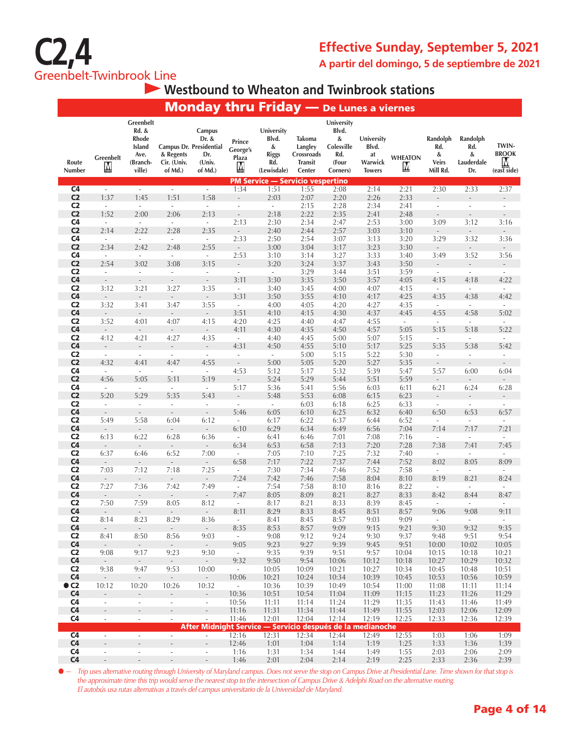

### **Westbound to Wheaton and Twinbrook stations**

|                                  |                                                      |                                                                            |                                     |                                                                        |                                  | <b>Monday thru Friday</b> — De Lunes a viernes                 |                                                             |                                                                    |                                                       |                          |                                                  |                                           |                                                                         |
|----------------------------------|------------------------------------------------------|----------------------------------------------------------------------------|-------------------------------------|------------------------------------------------------------------------|----------------------------------|----------------------------------------------------------------|-------------------------------------------------------------|--------------------------------------------------------------------|-------------------------------------------------------|--------------------------|--------------------------------------------------|-------------------------------------------|-------------------------------------------------------------------------|
| Route<br>Number                  | Greenbelt<br>M                                       | Greenbelt<br>Rd. &<br><b>Rhode</b><br>Island<br>Ave.<br>(Branch-<br>ville) | & Regents<br>Cir. (Univ.<br>of Md.) | Campus<br>Dr. &<br>Campus Dr. Presidential<br>Dr.<br>(Univ.<br>of Md.) | Prince<br>George's<br>Plaza<br>M | University<br>Blvd.<br>&<br><b>Riggs</b><br>Rd.<br>(Lewisdale) | Takoma<br>Langley<br>Crossroads<br><b>Transit</b><br>Center | University<br>Blvd.<br>&<br>Colesville<br>Rd.<br>(Four<br>Corners) | University<br>Blvd.<br>at<br>Warwick<br><b>Towers</b> | <b>WHEATON</b><br>M      | Randolph<br>Rd.<br>&<br><b>Veirs</b><br>Mill Rd. | Randolph<br>Rd.<br>&<br>Lauderdale<br>Dr. | TWIN-<br><b>BROOK</b><br><u>M</u><br>$(ex\overline{st}\overline{side})$ |
| C <sub>4</sub>                   | $\sim$                                               | $\sim$                                                                     | $\sim$                              | $\sim$                                                                 | 1:34                             | <b>PM Service - Servicio vespertino</b><br>1:51                | 1:55                                                        | 2:08                                                               | 2:14                                                  | 2:21                     | 2:30                                             | 2:33                                      | 2:37                                                                    |
| C <sub>2</sub>                   | 1:37                                                 | 1:45                                                                       | 1:51                                | 1:58                                                                   | $\overline{\phantom{a}}$         | 2:03                                                           | 2:07                                                        | 2:20                                                               | 2:26                                                  | 2:33                     |                                                  |                                           |                                                                         |
| C <sub>2</sub>                   | $\overline{\phantom{a}}$                             | $\overline{\phantom{a}}$                                                   | $\mathcal{L}_{\mathcal{A}}$         | $\overline{\phantom{a}}$                                               | $\overline{\phantom{a}}$         | $\sim$                                                         | 2:15                                                        | 2:28                                                               | 2:34                                                  | 2:41                     | $\overline{\phantom{a}}$                         | $\overline{\phantom{a}}$                  | $\overline{\phantom{a}}$                                                |
| C <sub>2</sub>                   | 1:52                                                 | 2:00                                                                       | 2:06                                | 2:13                                                                   | $\overline{\phantom{a}}$         | 2:18                                                           | 2:22                                                        | 2:35                                                               | 2:41                                                  | 2:48                     | $\overline{\phantom{m}}$                         | $\overline{a}$                            | $\frac{1}{2}$                                                           |
| C <sub>4</sub>                   | $\overline{\phantom{a}}$                             | $\overline{\phantom{a}}$                                                   | $\overline{\phantom{a}}$            | $\overline{\phantom{a}}$                                               | 2:13                             | 2:30                                                           | 2:34                                                        | 2:47                                                               | 2:53                                                  | 3:00                     | 3:09                                             | 3:12                                      | 3:16                                                                    |
| C <sub>2</sub>                   | 2:14                                                 | 2:22                                                                       | 2:28                                | 2:35                                                                   | $\sim$                           | 2:40                                                           | 2:44                                                        | 2:57                                                               | 3:03                                                  | 3:10                     | $\overline{\phantom{a}}$                         | $\sim$                                    | $\sim$                                                                  |
| C <sub>4</sub><br>C <sub>2</sub> | $\sim$<br>2:34                                       | $\sim$<br>2:42                                                             | $\mathcal{L}_{\mathcal{A}}$<br>2:48 | $\sim$<br>2:55                                                         | 2:33<br>$\sim$                   | 2:50<br>3:00                                                   | 2:54<br>3:04                                                | 3:07<br>3:17                                                       | 3:13<br>3:23                                          | 3:20<br>3:30             | 3:29<br>$\overline{\phantom{a}}$                 | 3:32<br>$\overline{\phantom{a}}$          | 3:36<br>$\sim$                                                          |
| C <sub>4</sub>                   | $\mathcal{L}$                                        | $\mathcal{L}_{\mathcal{A}}$                                                | $\mathcal{L}_{\mathcal{A}}$         | $\overline{\phantom{a}}$                                               | 2:53                             | 3:10                                                           | 3:14                                                        | 3:27                                                               | 3:33                                                  | 3:40                     | 3:49                                             | 3:52                                      | 3:56                                                                    |
| C <sub>2</sub>                   | 2:54                                                 | 3:02                                                                       | 3:08                                | 3:15                                                                   | $\overline{\phantom{a}}$         | 3:20                                                           | 3:24                                                        | 3:37                                                               | 3:43                                                  | 3:50                     |                                                  |                                           | $\qquad \qquad -$                                                       |
| C <sub>2</sub>                   | $\overline{\phantom{a}}$                             | $\mathcal{L}_{\mathcal{A}}$                                                | $\overline{\phantom{a}}$            | $\overline{\phantom{a}}$                                               | $\mathcal{L}_{\mathcal{A}}$      | $\sim$                                                         | 3:29                                                        | 3:44                                                               | 3:51                                                  | 3:59                     | $\overline{\phantom{a}}$                         | $\sim$                                    | $\sim$                                                                  |
| C <sub>4</sub>                   | $\overline{\phantom{a}}$                             | $\overline{\phantom{a}}$                                                   | $\overline{\phantom{a}}$            | $\overline{\phantom{a}}$                                               | 3:11                             | 3:30                                                           | 3:35                                                        | 3:50                                                               | 3:57                                                  | 4:05                     | 4:15                                             | 4:18                                      | 4:22                                                                    |
| C <sub>2</sub>                   | 3:12                                                 | 3:21                                                                       | 3:27                                | 3:35                                                                   | $\overline{\phantom{a}}$         | 3:40                                                           | 3:45                                                        | 4:00                                                               | 4:07                                                  | 4:15                     | $\overline{\phantom{a}}$                         | $\overline{\phantom{a}}$                  | $\overline{\phantom{a}}$                                                |
| C <sub>4</sub><br>C <sub>2</sub> | $\overline{\phantom{a}}$<br>3:32                     | $\overline{\phantom{a}}$                                                   | $\overline{\phantom{a}}$<br>3:47    | ÷<br>3:55                                                              | 3:31                             | 3:50                                                           | 3:55                                                        | 4:10<br>4:20                                                       | 4:17                                                  | 4:25<br>4:35             | 4:35                                             | 4:38                                      | 4:42                                                                    |
| C <sub>4</sub>                   | $\overline{\phantom{a}}$                             | 3:41<br>$\overline{\phantom{a}}$                                           | $\sim$                              | $\blacksquare$                                                         | $\overline{\phantom{a}}$<br>3:51 | 4:00<br>4:10                                                   | 4:05<br>4:15                                                | 4:30                                                               | 4:27<br>4:37                                          | 4:45                     | $\overline{\phantom{a}}$<br>4:55                 | $\overline{\phantom{a}}$<br>4:58          | ä,<br>5:02                                                              |
| C <sub>2</sub>                   | 3:52                                                 | 4:01                                                                       | 4:07                                | 4:15                                                                   | 4:20                             | 4:25                                                           | 4:40                                                        | 4:47                                                               | 4:55                                                  | $\overline{\phantom{a}}$ | $\overline{\phantom{a}}$                         | $\overline{\phantom{a}}$                  | $\overline{\phantom{a}}$                                                |
| C <sub>4</sub>                   | $\overline{\phantom{a}}$                             | $\overline{\phantom{a}}$                                                   | $\overline{\phantom{a}}$            | $\overline{\phantom{a}}$                                               | 4:11                             | 4:30                                                           | 4:35                                                        | 4:50                                                               | 4:57                                                  | 5:05                     | 5:15                                             | 5:18                                      | 5:22                                                                    |
| C <sub>2</sub>                   | 4:12                                                 | 4:21                                                                       | 4:27                                | 4:35                                                                   | $\mathcal{L}_{\mathcal{A}}$      | 4:40                                                           | 4:45                                                        | 5:00                                                               | 5:07                                                  | 5:15                     | $\overline{\phantom{a}}$                         | $\mathcal{L}_{\mathcal{A}}$               | ÷,                                                                      |
| C <sub>4</sub>                   | $\overline{\phantom{a}}$                             | $\frac{1}{2}$                                                              |                                     |                                                                        | 4:31                             | 4:50                                                           | 4:55                                                        | 5:10                                                               | 5:17                                                  | 5:25                     | 5:35                                             | 5:38                                      | 5:42                                                                    |
| C <sub>2</sub>                   | $\overline{\phantom{a}}$                             | $\overline{\phantom{a}}$                                                   | $\overline{\phantom{a}}$            | $\overline{\phantom{a}}$                                               | $\overline{\phantom{a}}$         | $\mathcal{L}_{\mathcal{A}}$                                    | 5:00                                                        | 5:15                                                               | 5:22                                                  | 5:30                     | $\overline{\phantom{a}}$                         | $\overline{\phantom{a}}$                  | $\overline{\phantom{a}}$                                                |
| C <sub>2</sub><br>C <sub>4</sub> | 4:32<br>$\overline{\phantom{a}}$                     | 4:41<br>$\sim$                                                             | 4:47<br>$\overline{\phantom{a}}$    | 4:55<br>$\overline{\phantom{a}}$                                       | $\overline{\phantom{a}}$<br>4:53 | 5:00<br>5:12                                                   | 5:05<br>5:17                                                | 5:20<br>5:32                                                       | 5:27<br>5:39                                          | 5:35<br>5:47             | $\overline{\phantom{a}}$<br>5:57                 | $\overline{\phantom{a}}$<br>6:00          | $\overline{\phantom{a}}$<br>6:04                                        |
| C <sub>2</sub>                   | 4:56                                                 | 5:05                                                                       | 5:11                                | 5:19                                                                   | $\mathcal{L}_{\mathcal{A}}$      | 5:24                                                           | 5:29                                                        | 5:44                                                               | 5:51                                                  | 5:59                     | $\bar{\phantom{a}}$                              | $\overline{\phantom{a}}$                  | $\overline{\phantom{a}}$                                                |
| C <sub>4</sub>                   | $\sim$                                               | $\overline{\phantom{a}}$                                                   | $\overline{\phantom{a}}$            | $\overline{\phantom{a}}$                                               | 5:17                             | 5:36                                                           | 5:41                                                        | 5:56                                                               | 6:03                                                  | 6:11                     | 6:21                                             | 6:24                                      | 6:28                                                                    |
| C <sub>2</sub>                   | 5:20                                                 | 5:29                                                                       | 5:35                                | 5:43                                                                   | $\overline{\phantom{a}}$         | 5:48                                                           | 5:53                                                        | 6:08                                                               | 6:15                                                  | 6:23                     | $\blacksquare$                                   | $\overline{\phantom{a}}$                  | $\overline{\phantom{a}}$                                                |
| C <sub>2</sub>                   | $\bar{a}$                                            | $\sim$                                                                     | $\sim$                              | ä,                                                                     | $\sim$                           | $\sim$                                                         | 6:03                                                        | 6:18                                                               | 6:25                                                  | 6:33                     | $\mathcal{L}_{\mathcal{A}}$                      | $\omega$                                  | $\overline{\phantom{a}}$                                                |
| C <sub>4</sub>                   | $\overline{\phantom{a}}$                             | $\overline{\phantom{a}}$                                                   | $\overline{\phantom{a}}$            | $\overline{\phantom{a}}$                                               | 5:46                             | 6:05                                                           | 6:10                                                        | 6:25                                                               | 6:32                                                  | 6:40                     | 6:50                                             | 6:53                                      | 6:57                                                                    |
| C <sub>2</sub>                   | 5:49                                                 | 5:58                                                                       | 6:04                                | 6:12                                                                   | $\omega$                         | 6:17                                                           | 6:22                                                        | 6:37                                                               | 6:44                                                  | 6:52                     | $\overline{\phantom{a}}$                         | $\bar{a}$                                 | ×.                                                                      |
| C <sub>4</sub><br>C <sub>2</sub> | $\overline{\phantom{a}}$<br>6:13                     | $\overline{\phantom{a}}$<br>6:22                                           | 6:28                                | $\overline{\phantom{m}}$<br>6:36                                       | 6:10<br>$\omega$                 | 6:29<br>6:41                                                   | 6:34<br>6:46                                                | 6:49<br>7:01                                                       | 6:56<br>7:08                                          | 7:04<br>7:16             | 7:14<br>$\mathcal{L}_{\mathcal{A}}$              | 7:17<br>$\overline{\phantom{a}}$          | 7:21<br>$\overline{\phantom{a}}$                                        |
| C <sub>4</sub>                   | $\overline{\phantom{a}}$                             | $\overline{\phantom{a}}$                                                   | $\overline{\phantom{a}}$            |                                                                        | 6:34                             | 6:53                                                           | 6:58                                                        | 7:13                                                               | 7:20                                                  | 7:28                     | 7:38                                             | 7:41                                      | 7:45                                                                    |
| C <sub>2</sub>                   | 6:37                                                 | 6:46                                                                       | 6:52                                | 7:00                                                                   | $\overline{\phantom{a}}$         | 7:05                                                           | 7:10                                                        | 7:25                                                               | 7:32                                                  | 7:40                     | $\overline{\phantom{a}}$                         | $\overline{\phantom{a}}$                  | $\overline{\phantom{a}}$                                                |
| C <sub>4</sub>                   | $\overline{\phantom{a}}$                             | $\bar{\phantom{a}}$                                                        | $\overline{\phantom{a}}$            | $\overline{\phantom{a}}$                                               | 6:58                             | 7:17                                                           | 7:22                                                        | 7:37                                                               | 7:44                                                  | 7:52                     | 8:02                                             | 8:05                                      | 8:09                                                                    |
| C <sub>2</sub>                   | 7:03                                                 | 7:12                                                                       | 7:18                                | 7:25                                                                   | $\overline{\phantom{a}}$         | 7:30                                                           | 7:34                                                        | 7:46                                                               | 7:52                                                  | 7:58                     | $\overline{\phantom{a}}$                         | $\overline{\phantom{a}}$                  | $\overline{\phantom{a}}$                                                |
| C <sub>4</sub><br>C <sub>2</sub> | $\overline{\phantom{a}}$                             | $\overline{\phantom{a}}$                                                   | $\overline{\phantom{a}}$            | $\Box$                                                                 | 7:24                             | 7:42                                                           | 7:46                                                        | 7:58                                                               | 8:04                                                  | 8:10                     | 8:19                                             | 8:21                                      | 8:24                                                                    |
| C <sub>4</sub>                   | 7:27<br>$\sim$                                       | 7:36<br>$\overline{\phantom{a}}$                                           | 7:42<br>$\overline{\phantom{a}}$    | 7:49<br>$\overline{\phantom{a}}$                                       | $\overline{\phantom{a}}$<br>7:47 | 7:54<br>8:05                                                   | 7:58<br>8:09                                                | 8:10<br>8:21                                                       | 8:16<br>8:27                                          | 8:22<br>8:33             | $\overline{\phantom{a}}$<br>8:42                 | $\overline{\phantom{a}}$<br>8:44          | ٠<br>8:47                                                               |
| C <sub>2</sub>                   | 7:50                                                 | 7:59                                                                       | 8:05                                | 8:12                                                                   | $\sim$                           | 8:17                                                           | 8:21                                                        | 8:33                                                               | 8:39                                                  | 8:45                     | $\overline{\phantom{a}}$                         | $\overline{\phantom{a}}$                  | $\overline{\phantom{a}}$                                                |
| C <sub>4</sub>                   | $\overline{\phantom{a}}$                             | $\overline{\phantom{a}}$                                                   |                                     | $\overline{\phantom{a}}$                                               | 8:11                             | 8:29                                                           | 8:33                                                        | 8:45                                                               | 8:51                                                  | 8:57                     | 9:06                                             | 9:08                                      | 9:11                                                                    |
| C <sub>2</sub>                   | 8:14                                                 | 8:23                                                                       | 8:29                                | 8:36                                                                   | $\overline{\phantom{a}}$         | 8:41                                                           | 8:45                                                        | 8:57                                                               | 9:03                                                  | 9:09                     | $\bar{a}$                                        | ×.                                        | ٠                                                                       |
| C4                               |                                                      |                                                                            |                                     |                                                                        | 8:35                             | 8:53                                                           | 8:57                                                        | 9:09                                                               | 9:15                                                  | 9:21                     | 9:30                                             | 9:32                                      | 9:35                                                                    |
| C <sub>2</sub>                   | 8:41                                                 | 8:50                                                                       | 8:56                                | 9:03                                                                   | $\sim$                           | 9:08                                                           | 9:12                                                        | 9:24                                                               | 9:30                                                  | 9:37                     | 9:48                                             | 9:51                                      | 9:54                                                                    |
| C <sub>4</sub><br>C <sub>2</sub> | $\omega_{\rm c}$<br>9:08                             | $\omega_{\rm c}$<br>9:17                                                   | $\omega_{\rm c}$<br>9:23            | $\omega_{\rm c}$<br>9:30                                               | 9:05<br>$\sim$                   | 9:23<br>9:35                                                   | 9:27<br>9:39                                                | 9:39<br>9:51                                                       | 9:45<br>9:57                                          | 9:51<br>10:04            | 10:00<br>10:15                                   | 10:02<br>10:18                            | 10:05<br>10:21                                                          |
| C <sub>4</sub>                   | $\sim$                                               | $\sim$                                                                     | $\sim$                              | $\sim$                                                                 | 9:32                             | 9:50                                                           | 9:54                                                        | 10:06                                                              | 10:12                                                 | 10:18                    | 10:27                                            | 10:29                                     | 10:32                                                                   |
| C <sub>2</sub>                   | 9:38                                                 | 9:47                                                                       | 9:53                                | 10:00                                                                  | $\sim$                           | 10:05                                                          | 10:09                                                       | 10:21                                                              | 10:27                                                 | 10:34                    | 10:45                                            | 10:48                                     | 10:51                                                                   |
| C <sub>4</sub>                   | $\sim$                                               | $\sim$                                                                     | $\sim$                              | $\sim$                                                                 | 10:06                            | 10:21                                                          | 10:24                                                       | 10:34                                                              | 10:39                                                 | 10:45                    | 10:53                                            | 10:56                                     | 10:59                                                                   |
| $\bullet$ C <sub>2</sub>         | 10:12                                                | 10:20                                                                      | 10:26                               | 10:32                                                                  | $\sim$                           | 10:36                                                          | 10:39                                                       | 10:49                                                              | 10:54                                                 | 11:00                    | 11:08                                            | 11:11                                     | 11:14                                                                   |
| C <sub>4</sub>                   | $\overline{\phantom{a}}$                             | $\blacksquare$                                                             | $\overline{\phantom{m}}$            | $\mathcal{L}_{\mathcal{A}}$                                            | 10:36                            | 10:51                                                          | 10:54                                                       | 11:04                                                              | 11:09                                                 | 11:15                    | 11:23                                            | 11:26                                     | 11:29                                                                   |
| C <sub>4</sub><br>C <sub>4</sub> | $\overline{\phantom{a}}$                             | $\overline{\phantom{a}}$                                                   | $\sim$                              | $\overline{\phantom{a}}$                                               | 10:56<br>11:16                   | 11:11<br>11:31                                                 | 11:14<br>11:34                                              | 11:24<br>11:44                                                     | 11:29<br>11:49                                        | 11:35<br>11:55           | 11:43<br>12:03                                   | 11:46<br>12:06                            | 11:49<br>12:09                                                          |
| C <sub>4</sub>                   | $\overline{\phantom{a}}$<br>$\overline{\phantom{a}}$ | $\overline{\phantom{a}}$<br>$\overline{\phantom{a}}$                       | $\overline{\phantom{a}}$<br>$\sim$  | $\overline{\phantom{a}}$<br>$\overline{\phantom{a}}$                   | 11:46                            | 12:01                                                          | 12:04                                                       | 12:14                                                              | 12:19                                                 | 12:25                    | 12:33                                            | 12:36                                     | 12:39                                                                   |
|                                  |                                                      |                                                                            |                                     |                                                                        |                                  | After Midnight Service - Servicio después de la medianoche     |                                                             |                                                                    |                                                       |                          |                                                  |                                           |                                                                         |
| C4                               | $\overline{\phantom{a}}$                             | $\overline{\phantom{a}}$                                                   | $\mathcal{L}_{\mathcal{A}}$         | $\overline{\phantom{a}}$                                               | 12:16                            | 12:31                                                          | 12:34                                                       | 12:44                                                              | 12:49                                                 | 12:55                    | 1:03                                             | 1:06                                      | 1:09                                                                    |
| C <sub>4</sub>                   | ÷,                                                   | $\overline{a}$                                                             | $\overline{\phantom{a}}$            | $\frac{1}{2}$                                                          | 12:46                            | 1:01                                                           | 1:04                                                        | 1:14                                                               | 1:19                                                  | 1:25                     | 1:33                                             | 1:36                                      | 1:39                                                                    |
| C <sub>4</sub>                   | $\overline{\phantom{a}}$                             | $\overline{\phantom{a}}$                                                   | $\overline{\phantom{a}}$            | $\overline{\phantom{a}}$                                               | 1:16                             | 1:31                                                           | 1:34                                                        | 1:44                                                               | 1:49                                                  | 1:55                     | 2:03                                             | 2:06                                      | 2:09                                                                    |
| C <sub>4</sub>                   | $\overline{\phantom{a}}$                             | $\overline{\phantom{a}}$                                                   | $\overline{\phantom{a}}$            | $\overline{\phantom{a}}$                                               | 1:46                             | 2:01                                                           | 2:04                                                        | 2:14                                                               | 2:19                                                  | 2:25                     | 2:33                                             | 2:36                                      | 2:39                                                                    |

● *— Trip uses alternative routing through University of Maryland campus. Does not serve the stop on Campus Drive at Presidential Lane. Time shown for that stop is the approximate time this trip would serve the nearest stop to the intersection of Campus Drive & Adelphi Road on the alternative routing. El autobús usa rutas alternativas a través del campus universitario de la Universidad de Maryland.*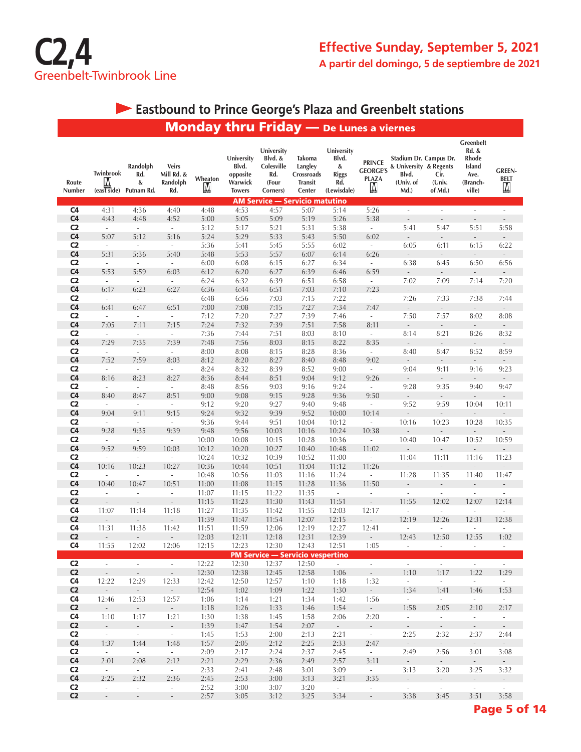

#### Monday thru Friday — De Lunes **Eastbound to Prince George's Plaza and Greenbelt stations**

|                 |                                           |                                    |                                               | Шинии        | <u><b>THATHOL</b></u>                                       |                                                                 |                                                                    |                                                                | <b>LUIICS &amp; AIGLIICS</b>                          |                                                                                |                           |                                                                     |                            |
|-----------------|-------------------------------------------|------------------------------------|-----------------------------------------------|--------------|-------------------------------------------------------------|-----------------------------------------------------------------|--------------------------------------------------------------------|----------------------------------------------------------------|-------------------------------------------------------|--------------------------------------------------------------------------------|---------------------------|---------------------------------------------------------------------|----------------------------|
| Route<br>Number | Twinbrook<br>Ņ<br>$(ex\bar{t}\bar{s}ide)$ | Randolph<br>Rd.<br>&<br>Putnam Rd. | <b>Veirs</b><br>Mill Rd. &<br>Randolph<br>Rd. | Wheaton<br>M | University<br>Blvd.<br>opposite<br>Warwick<br><b>Towers</b> | University<br>Blvd. &<br>Colesville<br>Rd.<br>(Four<br>Corners) | <b>Takoma</b><br>Langley<br>Crossroads<br><b>Transit</b><br>Center | University<br>Blvd.<br>&<br><b>Riggs</b><br>Rd.<br>(Lewisdale) | <b>PRINCE</b><br><b>GEORGE'S</b><br><b>PLAZA</b><br>Ņ | Stadium Dr. Campus Dr.<br>& University & Regents<br>Blvd.<br>(Univ. of<br>Md.) | Cir.<br>(Univ.<br>of Md.) | Greenbelt<br>Rd. &<br>Rhode<br>Island<br>Ave.<br>(Branch-<br>ville) | <b>GREEN-</b><br>BELT<br>M |
|                 |                                           |                                    |                                               |              |                                                             |                                                                 | <b>AM Service - Servicio matutino</b>                              |                                                                |                                                       |                                                                                |                           |                                                                     |                            |
| C <sub>4</sub>  | 4:31                                      | 4:36                               | 4:40                                          | 4:48         | 4:53                                                        | 4:57                                                            | 5:07                                                               | 5:14                                                           | 5:26                                                  | $\sim$                                                                         | ä,                        | ä,                                                                  | $\overline{\phantom{a}}$   |
| C <sub>4</sub>  | 4:43                                      | 4:48                               | 4:52                                          | 5:00         | 5:05                                                        | 5:09                                                            | 5:19                                                               | 5:26                                                           | 5:38                                                  | $\overline{\phantom{a}}$                                                       | $\overline{a}$            | $\overline{\phantom{a}}$                                            | $\overline{\phantom{a}}$   |
| C <sub>2</sub>  | $\mathcal{L}_{\mathcal{A}}$               | $\mathcal{L}_{\mathcal{A}}$        | $\overline{\phantom{a}}$                      | 5:12         | 5:17                                                        | 5:21                                                            | 5:31                                                               | 5:38                                                           | $\sim$                                                | 5:41                                                                           | 5:47                      | 5:51                                                                | 5:58                       |
| C <sub>4</sub>  | 5:07                                      | 5:12                               | 5:16                                          | 5:24         | 5:29                                                        | 5:33                                                            | 5:43                                                               | 5:50                                                           | 6:02                                                  | $\blacksquare$                                                                 | $\overline{\phantom{a}}$  | $\Box$                                                              | $\sim$                     |
| C <sub>2</sub>  | $\overline{\phantom{a}}$                  | $\mathcal{L}_{\mathcal{A}}$        | $\Box$                                        | 5:36         | 5:41                                                        | 5:45                                                            | 5:55                                                               | 6:02                                                           | $\overline{\phantom{a}}$                              | 6:05                                                                           | 6:11                      | 6:15                                                                | 6:22                       |
| C <sub>4</sub>  | 5:31                                      | 5:36                               | 5:40                                          | 5:48         | 5:53                                                        | 5:57                                                            | 6:07                                                               | 6:14                                                           | 6:26                                                  | $\blacksquare$                                                                 | $\overline{\phantom{a}}$  | $\overline{\phantom{a}}$                                            | $\sim$                     |
| C <sub>2</sub>  | $\overline{\phantom{a}}$                  | $\overline{\phantom{a}}$           | $\Box$                                        | 6:00         | 6:08                                                        | 6:15                                                            | 6:27                                                               | 6:34                                                           | $\overline{\phantom{a}}$                              | 6:38                                                                           | 6:45                      | 6:50                                                                | 6:56                       |
| C <sub>4</sub>  | 5:53                                      | 5:59                               | 6:03                                          | 6:12         | 6:20                                                        | 6:27                                                            | 6:39                                                               | 6:46                                                           | 6:59                                                  | $\overline{\phantom{a}}$                                                       | $\overline{\phantom{a}}$  | $\overline{\phantom{a}}$                                            | $\overline{\phantom{a}}$   |
| C <sub>2</sub>  | $\overline{\phantom{a}}$                  | $\mathcal{L}_{\mathcal{A}}$        | $\overline{\phantom{a}}$                      | 6:24         | 6:32                                                        | 6:39                                                            | 6:51                                                               | 6:58                                                           | $\overline{\phantom{a}}$                              | 7:02                                                                           | 7:09                      | 7:14                                                                | 7:20                       |
| C <sub>4</sub>  | 6:17                                      | 6:23                               | 6:27                                          | 6:36         | 6:44                                                        | 6:51                                                            | 7:03                                                               | 7:10                                                           | 7:23                                                  | $\overline{\phantom{a}}$                                                       | $\overline{\phantom{m}}$  | $\overline{\phantom{a}}$                                            | $\overline{\phantom{a}}$   |
| C <sub>2</sub>  | $\overline{\phantom{a}}$                  | $\mathcal{L}_{\mathcal{A}}$        | $\overline{\phantom{a}}$                      | 6:48         | 6:56                                                        | 7:03                                                            | 7:15                                                               | 7:22                                                           | $\overline{\phantom{a}}$                              | 7:26                                                                           | 7:33                      | 7:38                                                                | 7:44                       |
| C <sub>4</sub>  | 6:41                                      | 6:47                               | 6:51                                          | 7:00         | 7:08                                                        | 7:15                                                            | 7:27                                                               | 7:34                                                           | 7:47                                                  | $\overline{\phantom{a}}$                                                       | $\sim$                    | $\overline{\phantom{a}}$                                            | $\sim$                     |
| C <sub>2</sub>  | $\overline{\phantom{a}}$                  | $\overline{\phantom{a}}$           | $\overline{\phantom{a}}$                      | 7:12         | 7:20                                                        | 7:27                                                            | 7:39                                                               | 7:46                                                           | $\overline{\phantom{a}}$                              | 7:50                                                                           | 7:57                      | 8:02                                                                | 8:08                       |
| C <sub>4</sub>  | 7:05                                      | 7:11                               | 7:15                                          | 7:24         | 7:32                                                        | 7:39                                                            | 7:51                                                               | 7:58                                                           | 8:11                                                  | $\overline{\phantom{a}}$                                                       | $\overline{\phantom{a}}$  | $\overline{\phantom{a}}$                                            | $\overline{\phantom{a}}$   |
| C <sub>2</sub>  | $\overline{\phantom{a}}$                  | $\overline{\phantom{a}}$           | $\overline{\phantom{a}}$                      | 7:36         | 7:44                                                        | 7:51                                                            | 8:03                                                               | 8:10                                                           | $\overline{\phantom{a}}$                              | 8:14                                                                           | 8:21                      | 8:26                                                                | 8:32                       |
| C <sub>4</sub>  | 7:29                                      | 7:35                               | 7:39                                          | 7:48         | 7:56                                                        | 8:03                                                            | 8:15                                                               | 8:22                                                           | 8:35                                                  | $\overline{a}$                                                                 | $\overline{\phantom{a}}$  | $\frac{1}{2}$                                                       | $\overline{\phantom{a}}$   |
| C <sub>2</sub>  | $\overline{\phantom{a}}$                  | $\overline{\phantom{a}}$           | $\overline{\phantom{a}}$                      | 8:00         | 8:08                                                        | 8:15                                                            | 8:28                                                               | 8:36                                                           | $\overline{\phantom{a}}$                              | 8:40                                                                           | 8:47                      | 8:52                                                                | 8:59                       |
| C <sub>4</sub>  | 7:52                                      | 7:59                               | 8:03                                          | 8:12         | 8:20                                                        | 8:27                                                            | 8:40                                                               | 8:48                                                           | 9:02                                                  | $\centerdot$                                                                   | $\overline{\phantom{a}}$  | $\frac{1}{2}$                                                       | $\overline{\phantom{a}}$   |
| C <sub>2</sub>  | $\overline{\phantom{a}}$                  | $\overline{\phantom{a}}$           | $\overline{\phantom{a}}$                      | 8:24         | 8:32                                                        | 8:39                                                            | 8:52                                                               | 9:00                                                           | $\sim$                                                | 9:04                                                                           | 9:11                      | 9:16                                                                | 9:23                       |
| C <sub>4</sub>  | 8:16                                      | 8:23                               | 8:27                                          | 8:36         | 8:44                                                        | 8:51                                                            | 9:04                                                               | 9:12                                                           | 9:26                                                  | $\overline{\phantom{a}}$                                                       | $\overline{\phantom{a}}$  | $\overline{\phantom{a}}$                                            | $\overline{\phantom{a}}$   |
| C <sub>2</sub>  | $\mathcal{L}$                             | $\sim$                             | $\mathcal{L}_{\mathcal{A}}$                   | 8:48         | 8:56                                                        | 9:03                                                            | 9:16                                                               | 9:24                                                           | $\mathcal{L}_{\mathcal{A}}$                           | 9:28                                                                           | 9:35                      | 9:40                                                                | 9:47                       |
| C <sub>4</sub>  | 8:40                                      | 8:47                               | 8:51                                          | 9:00         | 9:08                                                        | 9:15                                                            | 9:28                                                               | 9:36                                                           | 9:50                                                  | $\mathcal{L}_{\mathcal{A}}$                                                    | $\sim$                    | $\overline{\phantom{a}}$                                            | $\sim$                     |
| C <sub>2</sub>  | $\overline{\phantom{a}}$                  | $\overline{\phantom{a}}$           | $\overline{\phantom{a}}$                      | 9:12         | 9:20                                                        | 9:27                                                            | 9:40                                                               | 9:48                                                           | $\overline{\phantom{a}}$                              | 9:52                                                                           | 9:59                      | 10:04                                                               | 10:11                      |
| C <sub>4</sub>  | 9:04                                      | 9:11                               | 9:15                                          | 9:24         | 9:32                                                        | 9:39                                                            | 9:52                                                               | 10:00                                                          | 10:14                                                 | $\blacksquare$                                                                 | $\overline{a}$            | $\overline{\phantom{a}}$                                            |                            |
| C <sub>2</sub>  | $\overline{\phantom{a}}$                  | $\overline{\phantom{a}}$           | $\overline{\phantom{a}}$                      | 9:36         | 9:44                                                        | 9:51                                                            | 10:04                                                              | 10:12                                                          | $\blacksquare$                                        | 10:16                                                                          | 10:23                     | 10:28                                                               | 10:35                      |
| C <sub>4</sub>  | 9:28                                      | 9:35                               | 9:39                                          | 9:48         | 9:56                                                        | 10:03                                                           | 10:16                                                              | 10:24                                                          | 10:38                                                 | $\overline{a}$                                                                 | $\overline{a}$            | $\overline{\phantom{a}}$                                            | $\overline{\phantom{a}}$   |
| C <sub>2</sub>  | $\overline{\phantom{a}}$                  | $\overline{\phantom{a}}$           | $\overline{\phantom{a}}$                      | 10:00        | 10:08                                                       | 10:15                                                           | 10:28                                                              | 10:36                                                          | $\overline{\phantom{a}}$                              | 10:40                                                                          | 10:47                     | 10:52                                                               | 10:59                      |
| C <sub>4</sub>  | 9:52                                      | 9:59                               | 10:03                                         | 10:12        | 10:20                                                       | 10:27                                                           | 10:40                                                              | 10:48                                                          | 11:02                                                 |                                                                                | $\overline{a}$            | $\overline{\phantom{a}}$                                            | $\overline{a}$             |
| C <sub>2</sub>  | $\overline{\phantom{a}}$                  | $\overline{\phantom{a}}$           | ÷,                                            | 10:24        | 10:32                                                       | 10:39                                                           | 10:52                                                              | 11:00                                                          | $\overline{a}$                                        | 11:04                                                                          | 11:11                     | 11:16                                                               | 11:23                      |
| C <sub>4</sub>  | 10:16                                     | 10:23                              | 10:27                                         | 10:36        | 10:44                                                       | 10:51                                                           | 11:04                                                              | 11:12                                                          | 11:26                                                 |                                                                                |                           |                                                                     |                            |
| C <sub>2</sub>  | $\overline{\phantom{a}}$                  | $\overline{\phantom{a}}$           | $\overline{\phantom{a}}$                      | 10:48        | 10:56                                                       | 11:03                                                           | 11:16                                                              | 11:24                                                          | ÷,                                                    | 11:28                                                                          | 11:35                     | 11:40                                                               | 11:47                      |
| C <sub>4</sub>  | 10:40                                     | 10:47                              | 10:51                                         | 11:00        | 11:08                                                       | 11:15                                                           | 11:28                                                              | 11:36                                                          | 11:50                                                 | $\overline{a}$                                                                 | $\overline{a}$            | $\overline{\phantom{a}}$                                            | $\overline{a}$             |
| C <sub>2</sub>  | $\overline{\phantom{a}}$                  | $\blacksquare$                     | $\overline{\phantom{a}}$                      | 11:07        | 11:15                                                       | 11:22                                                           | 11:35                                                              | $\sim$                                                         | i,                                                    | ÷,                                                                             |                           | ä,                                                                  |                            |
| C <sub>2</sub>  |                                           |                                    |                                               | 11:15        | 11:23                                                       | 11:30                                                           | 11:43                                                              | 11:51                                                          |                                                       | 11:55                                                                          | 12:02                     | 12:07                                                               | 12:14                      |
| C <sub>4</sub>  | 11:07                                     | 11:14                              | 11:18                                         | 11:27        | 11:35                                                       | 11:42                                                           | 11:55                                                              | 12:03                                                          | 12:17                                                 | $\overline{\phantom{a}}$                                                       | $\overline{\phantom{a}}$  | $\overline{\phantom{a}}$                                            | $\overline{\phantom{a}}$   |
| C <sub>2</sub>  | $\overline{\phantom{a}}$                  | Ĭ.                                 |                                               | 11:39        | 11:47                                                       | 11:54                                                           | 12:07                                                              | 12:15                                                          | $\overline{a}$                                        | 12:19                                                                          | 12:26                     | 12:31                                                               | 12:38                      |
| C <sub>4</sub>  | 11:31                                     | 11:38                              | 11:42                                         | 11:51        | 11:59                                                       | 12:06                                                           | 12:19                                                              | 12:27                                                          | 12:41                                                 | ÷,                                                                             | ä,                        | $\overline{\phantom{a}}$                                            | $\sim$                     |
| C <sub>2</sub>  |                                           |                                    |                                               | 12:03        | 12:11                                                       | 12:18                                                           | 12:31                                                              | 12:39                                                          |                                                       | 12:43                                                                          | 12:50                     | 12:55                                                               | 1:02                       |
| C <sub>4</sub>  | 11:55                                     | 12:02                              | 12:06                                         | 12:15        | 12:23                                                       | 12:30                                                           | 12:43                                                              | 12:51                                                          | 1:05                                                  | $\bar{a}$                                                                      | $\overline{\phantom{a}}$  | $\overline{\phantom{a}}$                                            | $\overline{\phantom{a}}$   |
|                 |                                           |                                    |                                               |              |                                                             |                                                                 | <b>PM Service - Servicio vespertino</b>                            |                                                                |                                                       |                                                                                |                           |                                                                     |                            |
| C <sub>2</sub>  | $\omega$ .                                | $\omega$                           | $\omega$                                      | 12:22        | 12:30                                                       | 12:37                                                           | 12:50                                                              | $\sim$                                                         | $\mathbb{Z}^{\mathbb{Z}}$                             | $\mathcal{L}^{\text{max}}$                                                     | $\sim$                    | $\sim 10$                                                           | $\sim$                     |
| C <sub>2</sub>  | $\mathcal{L}^{\pm}$                       | $\mathcal{L}_{\mathrm{eff}}$       | $\omega_{\rm c}$                              | 12:30        | 12:38                                                       | 12:45                                                           | 12:58                                                              | 1:06                                                           | $\omega_{\rm c}$                                      | 1:10                                                                           | 1:17                      | 1:22                                                                | 1:29                       |
| C <sub>4</sub>  | 12:22                                     | 12:29                              | 12:33                                         | 12:42        | 12:50                                                       | 12:57                                                           | 1:10                                                               | 1:18                                                           | 1:32                                                  | $\sim$                                                                         | $\sim$                    | $\sim$                                                              | $\sim$                     |
| C <sub>2</sub>  | $\omega_{\rm c}$                          | $\omega_{\rm c}$                   | $\omega_{\rm{eff}}$                           | 12:54        | 1:02                                                        | 1:09                                                            | 1:22                                                               | 1:30                                                           | $\omega_{\rm{eff}}$                                   | 1:34                                                                           | 1:41                      | 1:46                                                                | 1:53                       |
| C <sub>4</sub>  | 12:46                                     | 12:53                              | 12:57                                         | 1:06         | 1:14                                                        | 1:21                                                            | 1:34                                                               | 1:42                                                           | 1:56                                                  | $\sim$                                                                         | $\sim$                    | $\sim$                                                              | $\sim$                     |
| C <sub>2</sub>  | $\mathcal{L}^{\pm}$                       | $\sim$                             | $\omega_{\rm{eff}}$                           | 1:18         | 1:26                                                        | 1:33                                                            | 1:46                                                               | 1:54                                                           | $\omega_{\rm{eff}}$                                   | 1:58                                                                           | 2:05                      | 2:10                                                                | 2:17                       |
| C4              | 1:10                                      | 1:17                               | 1:21                                          | 1:30         | 1:38                                                        | 1:45                                                            | 1:58                                                               | 2:06                                                           | 2:20                                                  | $\sim$                                                                         | $\sim$                    | $\sim$                                                              | $\sim$                     |
| C <sub>2</sub>  | $\sim$                                    | $\sim$                             | $\sim$                                        | 1:39         | 1:47                                                        | 1:54                                                            | 2:07                                                               | $\sim$                                                         | $\sim$                                                | $\sim 10$                                                                      | $\sim$                    | $\sim$                                                              | $\sim$                     |
| C <sub>2</sub>  | $\omega_{\rm{eff}}$                       | $\mathcal{L}^{\pm}$                | $\omega_{\rm{eff}}$                           | 1:45         | 1:53                                                        | 2:00                                                            | 2:13                                                               | 2:21                                                           | $\omega_{\rm c}$                                      | 2:25                                                                           | 2:32                      | 2:37                                                                | 2:44                       |
| C4              | 1:37                                      | 1:44                               | 1:48                                          | 1:57         | 2:05                                                        | 2:12                                                            | 2:25                                                               | 2:33                                                           | 2:47                                                  | $\sim$                                                                         | $\sim$                    | $\sim$                                                              | $\sim$                     |
| C <sub>2</sub>  | $\sim$                                    | $\sim$                             | $\sim$                                        | 2:09         | 2:17                                                        | 2:24                                                            | 2:37                                                               | 2:45                                                           | $\sim$                                                | 2:49                                                                           | 2:56                      | 3:01                                                                | 3:08                       |
| C <sub>4</sub>  | 2:01                                      | 2:08                               | 2:12                                          | 2:21         | 2:29                                                        | 2:36                                                            | 2:49                                                               | 2:57                                                           | 3:11                                                  | $\sim$                                                                         | $\sim$                    | $\sim$                                                              | $\sim$                     |
| C <sub>2</sub>  | $\sim$                                    | $\sim$                             | $\sim$                                        | 2:33         | 2:41                                                        | 2:48                                                            | 3:01                                                               | 3:09                                                           | $\sim$                                                | 3:13                                                                           | 3:20                      | 3:25                                                                | 3:32                       |
| C <sub>4</sub>  | 2:25                                      | 2:32                               | 2:36                                          | 2:45         | 2:53                                                        | 3:00                                                            | 3:13                                                               | 3:21                                                           | 3:35                                                  | $\sim$                                                                         | $\omega_{\rm c}$          | $\omega$                                                            | $\sim$                     |
| C <sub>2</sub>  | $\mathcal{L}^{\pm}$                       | $\mathcal{L}_{\mathcal{A}}$        | $\mathcal{L}_{\mathcal{A}}$                   | 2:52         | 3:00                                                        | 3:07                                                            | 3:20                                                               | $\sim$                                                         | $\sim$                                                | $\sim$ $-$                                                                     | $\sim$                    | $\sim$                                                              | $\sim$                     |
| C <sub>2</sub>  | $\sim$                                    | $\sim$                             | $\sim$                                        | 2:57         | 3:05                                                        | 3:12                                                            | 3:25                                                               | 3:34                                                           | $\sim$                                                | 3:38                                                                           | 3:45                      | 3:51                                                                | 3:58                       |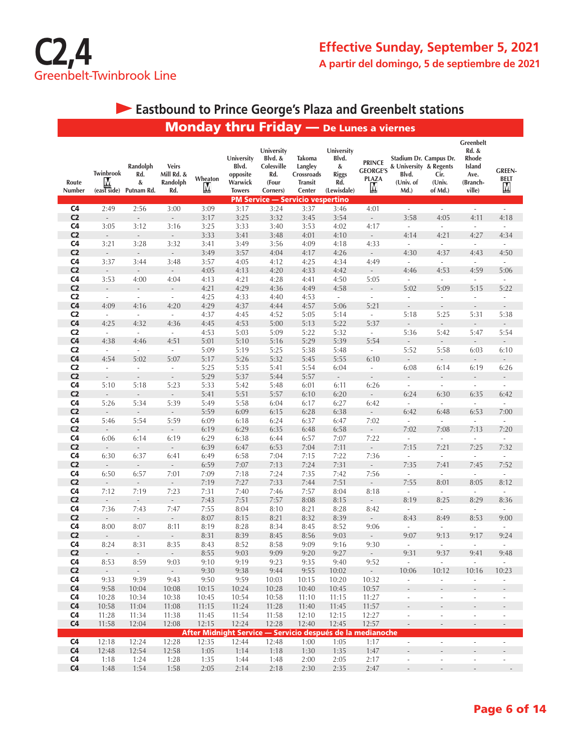

# **Eastbound to Prince George's Plaza and Greenbelt stations**

|                                  |                                                  |                                     |                                               |               |                                                             |                                                                                                            |                                                             | <b>Monday thru Friday</b> - De Lunes a viernes                    |                                                       |                                                                                |                                  |                                                                                |                                      |
|----------------------------------|--------------------------------------------------|-------------------------------------|-----------------------------------------------|---------------|-------------------------------------------------------------|------------------------------------------------------------------------------------------------------------|-------------------------------------------------------------|-------------------------------------------------------------------|-------------------------------------------------------|--------------------------------------------------------------------------------|----------------------------------|--------------------------------------------------------------------------------|--------------------------------------|
| Route<br>Number                  | Twinbrook<br>М<br>$(exst \overrightarrow{side})$ | Randolph<br>Rd.<br>&<br>Putnam Rd.  | <b>Veirs</b><br>Mill Rd. &<br>Randolph<br>Rd. | Wheaton<br>M  | University<br>Blvd.<br>opposite<br>Warwick<br><b>Towers</b> | University<br>Blvd. &<br>Colesville<br>Rd.<br>(Four<br>Corners)<br><b>PM Service - Servicio vespertino</b> | Takoma<br>Langley<br>Crossroads<br><b>Transit</b><br>Center | University<br>Blvd.<br>$\&$<br><b>Riggs</b><br>Rd.<br>(Lewisdale) | <b>PRINCE</b><br><b>GEORGE'S</b><br><b>PLAZA</b><br>M | Stadium Dr. Campus Dr.<br>& University & Regents<br>Blvd.<br>(Univ. of<br>Md.) | Cir.<br>(Univ.<br>of Md.)        | Greenbelt<br><b>Rd. &amp;</b><br>Rhode<br>Island<br>Ave.<br>(Branch-<br>ville) | <b>GREEN-</b><br><b>BELT</b><br>M    |
| C <sub>4</sub>                   | 2:49                                             | 2:56                                | 3:00                                          | 3:09          | 3:17                                                        | 3:24                                                                                                       | 3:37                                                        | 3:46                                                              | 4:01                                                  | $\overline{\phantom{a}}$                                                       | $\overline{\phantom{a}}$         | $\overline{\phantom{a}}$                                                       | $\overline{\phantom{a}}$             |
| C <sub>2</sub>                   | $\overline{\phantom{a}}$                         | $\Box$                              | $\overline{\phantom{a}}$                      | 3:17          | 3:25                                                        | 3:32                                                                                                       | 3:45                                                        | 3:54                                                              | $\Box$                                                | 3:58                                                                           | 4:05                             | 4:11                                                                           | 4:18                                 |
| C <sub>4</sub>                   | 3:05                                             | 3:12                                | 3:16                                          | 3:25          | 3:33                                                        | 3:40                                                                                                       | 3:53                                                        | 4:02                                                              | 4:17                                                  | $\overline{\phantom{a}}$                                                       | $\overline{\phantom{a}}$         | $\overline{\phantom{a}}$                                                       | $\overline{\phantom{a}}$             |
| C <sub>2</sub>                   | $\overline{\phantom{a}}$                         | $\overline{\phantom{a}}$            | $\overline{\phantom{a}}$                      | 3:33          | 3:41                                                        | 3:48                                                                                                       | 4:01                                                        | 4:10                                                              | $\overline{\phantom{a}}$                              | 4:14                                                                           | 4:21                             | 4:27                                                                           | 4:34                                 |
| C <sub>4</sub><br>C <sub>2</sub> | 3:21<br>$\overline{\phantom{a}}$                 | 3:28<br>$\overline{\phantom{a}}$    | 3:32                                          | 3:41<br>3:49  | 3:49<br>3:57                                                | 3:56<br>4:04                                                                                               | 4:09<br>4:17                                                | 4:18<br>4:26                                                      | 4:33                                                  | $\overline{\phantom{a}}$<br>4:30                                               | $\overline{\phantom{a}}$<br>4:37 | $\omega$<br>4:43                                                               | $\overline{\phantom{a}}$<br>4:50     |
| C <sub>4</sub>                   | 3:37                                             | 3:44                                | 3:48                                          | 3:57          | 4:05                                                        | 4:12                                                                                                       | 4:25                                                        | 4:34                                                              | $\overline{\phantom{a}}$<br>4:49                      | $\omega$                                                                       | $\mathcal{L}_{\mathcal{A}}$      | $\frac{1}{2}$                                                                  | $\mathcal{L}_{\mathcal{A}}$          |
| C <sub>2</sub>                   | $\mathcal{L}_{\mathcal{A}}$                      | $\mathcal{L}_{\mathcal{A}}$         | $\overline{\phantom{a}}$                      | 4:05          | 4:13                                                        | 4:20                                                                                                       | 4:33                                                        | 4:42                                                              | $\overline{\phantom{a}}$                              | 4:46                                                                           | 4:53                             | 4:59                                                                           | 5:06                                 |
| C <sub>4</sub>                   | 3:53                                             | 4:00                                | 4:04                                          | 4:13          | 4:21                                                        | 4:28                                                                                                       | 4:41                                                        | 4:50                                                              | 5:05                                                  | $\overline{\phantom{a}}$                                                       | $\overline{\phantom{a}}$         | $\overline{\phantom{a}}$                                                       | $\overline{\phantom{a}}$             |
| C <sub>2</sub>                   | $\overline{\phantom{a}}$                         | $\overline{\phantom{a}}$            |                                               | 4:21          | 4:29                                                        | 4:36                                                                                                       | 4:49                                                        | 4:58                                                              | $\overline{\phantom{a}}$                              | 5:02                                                                           | 5:09                             | 5:15                                                                           | 5:22                                 |
| C <sub>2</sub>                   | $\overline{\phantom{a}}$                         | $\overline{\phantom{a}}$            | $\overline{\phantom{a}}$                      | 4:25          | 4:33                                                        | 4:40                                                                                                       | 4:53                                                        | $\overline{\phantom{a}}$                                          | $\overline{\phantom{a}}$                              | $\overline{\phantom{a}}$                                                       | $\overline{\phantom{a}}$         | $\blacksquare$                                                                 | $\overline{\phantom{a}}$             |
| C <sub>4</sub>                   | 4:09                                             | 4:16                                | 4:20                                          | 4:29          | 4:37                                                        | 4:44                                                                                                       | 4:57                                                        | 5:06                                                              | 5:21                                                  |                                                                                | $\overline{\phantom{a}}$         | $\overline{\phantom{m}}$                                                       |                                      |
| C <sub>2</sub>                   | $\sim$                                           | $\omega$                            | $\overline{\phantom{a}}$                      | 4:37          | 4:45                                                        | 4:52                                                                                                       | 5:05                                                        | 5:14                                                              | $\overline{\phantom{a}}$                              | 5:18                                                                           | 5:25                             | 5:31                                                                           | 5:38                                 |
| C <sub>4</sub><br>C <sub>2</sub> | 4:25<br>$\mathcal{L}_{\mathcal{A}}$              | 4:32<br>$\mathcal{L}_{\mathcal{A}}$ | 4:36<br>$\overline{\phantom{a}}$              | 4:45          | 4:53                                                        | 5:00                                                                                                       | 5:13                                                        | 5:22                                                              | 5:37<br>$\mathcal{L}_{\mathcal{A}}$                   | 5:36                                                                           |                                  | 5:47                                                                           |                                      |
| C <sub>4</sub>                   | 4:38                                             | 4:46                                | 4:51                                          | 4:53<br>5:01  | 5:03<br>5:10                                                | 5:09<br>5:16                                                                                               | 5:22<br>5:29                                                | 5:32<br>5:39                                                      | 5:54                                                  | $\overline{\phantom{a}}$                                                       | 5:42<br>$\overline{\phantom{a}}$ | $\blacksquare$                                                                 | 5:54<br>$\sim$                       |
| C <sub>2</sub>                   | $\omega$                                         | $\sim$                              | $\overline{\phantom{a}}$                      | 5:09          | 5:19                                                        | 5:25                                                                                                       | 5:38                                                        | 5:48                                                              | $\overline{\phantom{a}}$                              | 5:52                                                                           | 5:58                             | 6:03                                                                           | 6:10                                 |
| C <sub>4</sub>                   | 4:54                                             | 5:02                                | 5:07                                          | 5:17          | 5:26                                                        | 5:32                                                                                                       | 5:45                                                        | 5:55                                                              | 6:10                                                  | $\Box$                                                                         | $\overline{\phantom{a}}$         | $\overline{\phantom{a}}$                                                       |                                      |
| C <sub>2</sub>                   | $\overline{\phantom{a}}$                         | $\overline{\phantom{a}}$            | $\Box$                                        | 5:25          | 5:35                                                        | 5:41                                                                                                       | 5:54                                                        | 6:04                                                              | $\overline{\phantom{a}}$                              | 6:08                                                                           | 6:14                             | 6:19                                                                           | 6:26                                 |
| C <sub>2</sub>                   | $\overline{\phantom{a}}$                         | $\overline{\phantom{a}}$            | $\blacksquare$                                | 5:29          | 5:37                                                        | 5:44                                                                                                       | 5:57                                                        | $\mathbb{Z}^{\times}$                                             | $\frac{1}{2}$                                         | $\overline{\phantom{a}}$                                                       |                                  | $\Box$                                                                         |                                      |
| C <sub>4</sub>                   | 5:10                                             | 5:18                                | 5:23                                          | 5:33          | 5:42                                                        | 5:48                                                                                                       | 6:01                                                        | 6:11                                                              | 6:26                                                  | $\overline{\phantom{a}}$                                                       | $\overline{\phantom{a}}$         | $\overline{\phantom{a}}$                                                       | $\overline{\phantom{a}}$             |
| C <sub>2</sub>                   | $\Box$                                           | $\overline{\phantom{a}}$            | $\Box$                                        | 5:41          | 5:51                                                        | 5:57                                                                                                       | 6:10                                                        | 6:20                                                              | $\overline{\phantom{a}}$                              | 6:24                                                                           | 6:30                             | 6:35                                                                           | 6:42                                 |
| C <sub>4</sub>                   | 5:26                                             | 5:34                                | 5:39                                          | 5:49          | 5:58                                                        | 6:04                                                                                                       | 6:17                                                        | 6:27                                                              | 6:42                                                  | ä,                                                                             | $\overline{\phantom{a}}$         | $\overline{\phantom{a}}$                                                       | $\overline{\phantom{a}}$             |
| C <sub>2</sub><br>C <sub>4</sub> | $\overline{\phantom{a}}$<br>5:46                 | $\overline{\phantom{a}}$<br>5:54    | $\overline{\phantom{a}}$<br>5:59              | 5:59<br>6:09  | 6:09<br>6:18                                                | 6:15<br>6:24                                                                                               | 6:28<br>6:37                                                | 6:38<br>6:47                                                      | $\overline{\phantom{a}}$<br>7:02                      | 6:42<br>$\omega$                                                               | 6:48<br>$\sim$                   | 6:53<br>ä,                                                                     | 7:00<br>$\overline{\phantom{a}}$     |
| C <sub>2</sub>                   | $\overline{\phantom{a}}$                         | $\overline{\phantom{a}}$            | $\overline{\phantom{a}}$                      | 6:19          | 6:29                                                        | 6:35                                                                                                       | 6:48                                                        | 6:58                                                              | $\overline{\phantom{a}}$                              | 7:02                                                                           | 7:08                             | 7:13                                                                           | 7:20                                 |
| C <sub>4</sub>                   | 6:06                                             | 6:14                                | 6:19                                          | 6:29          | 6:38                                                        | 6:44                                                                                                       | 6:57                                                        | 7:07                                                              | 7:22                                                  | $\overline{\phantom{a}}$                                                       | $\overline{\phantom{a}}$         | $\overline{\phantom{a}}$                                                       | $\omega$                             |
| C <sub>2</sub>                   | $\mathcal{L}_{\mathcal{A}}$                      | $\overline{\phantom{a}}$            | $\overline{\phantom{a}}$                      | 6:39          | 6:47                                                        | 6:53                                                                                                       | 7:04                                                        | 7:11                                                              | $\overline{\phantom{a}}$                              | 7:15                                                                           | 7:21                             | 7:25                                                                           | 7:32                                 |
| C <sub>4</sub>                   | 6:30                                             | 6:37                                | 6:41                                          | 6:49          | 6:58                                                        | 7:04                                                                                                       | 7:15                                                        | 7:22                                                              | 7:36                                                  | $\overline{\phantom{a}}$                                                       | $\overline{\phantom{a}}$         | $\Box$                                                                         | $\overline{\phantom{a}}$             |
| C <sub>2</sub>                   | $\overline{\phantom{a}}$                         | $\overline{\phantom{a}}$            | $\overline{\phantom{a}}$                      | 6:59          | 7:07                                                        | 7:13                                                                                                       | 7:24                                                        | 7:31                                                              | $\overline{\phantom{a}}$                              | 7:35                                                                           | 7:41                             | 7:45                                                                           | 7:52                                 |
| C <sub>4</sub>                   | 6:50                                             | 6:57                                | 7:01                                          | 7:09          | 7:18                                                        | 7:24                                                                                                       | 7:35                                                        | 7:42                                                              | 7:56                                                  | $\overline{\phantom{a}}$                                                       | $\sim$                           | $\overline{\phantom{a}}$                                                       | $\sim$                               |
| C <sub>2</sub><br>C <sub>4</sub> | $\overline{\phantom{a}}$<br>7:12                 | $\overline{\phantom{a}}$<br>7:19    | $\overline{\phantom{a}}$<br>7:23              | 7:19<br>7:31  | 7:27<br>7:40                                                | 7:33<br>7:46                                                                                               | 7:44<br>7:57                                                | 7:51<br>8:04                                                      | 8:18                                                  | 7:55<br>$\overline{\phantom{a}}$                                               | 8:01<br>$\sim$                   | 8:05<br>$\overline{\phantom{a}}$                                               | 8:12<br>$\sim$                       |
| C <sub>2</sub>                   |                                                  | $\overline{\phantom{a}}$            | $\overline{\phantom{a}}$                      | 7:43          | 7:51                                                        | 7:57                                                                                                       | 8:08                                                        | 8:15                                                              | $\overline{\phantom{a}}$                              | 8:19                                                                           | 8:25                             | 8:29                                                                           | 8:36                                 |
| C <sub>4</sub>                   | 7:36                                             | 7:43                                | 7:47                                          | 7:55          | 8:04                                                        | 8:10                                                                                                       | 8:21                                                        | 8:28                                                              | 8:42                                                  | $\sim$                                                                         | ×.                               | $\overline{\phantom{a}}$                                                       | $\sim$                               |
| C <sub>2</sub>                   | $\overline{\phantom{a}}$                         | $\overline{\phantom{a}}$            | $\overline{\phantom{a}}$                      | 8:07          | 8:15                                                        | 8:21                                                                                                       | 8:32                                                        | 8:39                                                              |                                                       | 8:43                                                                           | 8:49                             | 8:53                                                                           | 9:00                                 |
| C <sub>4</sub>                   | 8:00                                             | 8:07                                | 8:11                                          | 8:19          | 8:28                                                        | 8:34                                                                                                       | 8:45                                                        | 8:52                                                              | 9:06                                                  |                                                                                | $\overline{\phantom{a}}$         | $\overline{\phantom{a}}$                                                       | $\overline{\phantom{a}}$             |
| C <sub>2</sub>                   | $\overline{\phantom{a}}$                         | $\sim$                              | $\overline{\phantom{a}}$                      | 8:31          | 8:39                                                        | 8:45                                                                                                       | 8:56                                                        | 9:03                                                              | $\overline{\phantom{a}}$                              | 9:07                                                                           | 9:13                             | 9:17                                                                           | 9:24                                 |
| C <sub>4</sub>                   | 8:24                                             | 8:31                                | 8:35                                          | 8:43          | 8:52                                                        | 8:58                                                                                                       | 9:09                                                        | 9:16                                                              | 9:30                                                  | $\overline{\phantom{a}}$                                                       | $\overline{a}$                   | $\overline{\phantom{a}}$                                                       |                                      |
| C <sub>2</sub>                   | $\mathbb{Z}^{\mathbb{Z}}$                        | $\mathbb{Z}^{\mathbb{Z}}$           | $\mathbb{Z}^{\mathbb{Z}}$                     | 8:55          | 9:03                                                        | 9:09                                                                                                       | 9:20                                                        | 9:27                                                              | $\omega$                                              | 9:31                                                                           | 9:37                             | 9:41                                                                           | 9:48                                 |
| C <sub>4</sub><br>C <sub>2</sub> | 8:53<br>$\mathcal{L}_{\mathcal{A}}$              | 8:59<br>$\sim$                      | 9:03<br>$\omega_{\rm{eff}}$                   | 9:10<br>9:30  | 9:19<br>9:38                                                | 9:23<br>9:44                                                                                               | 9:35<br>9:55                                                | 9:40<br>10:02                                                     | 9:52<br>$\omega_{\rm{eff}}$                           | $\sim$<br>10:06                                                                | $\sim$<br>10:12                  | $\omega$<br>10:16                                                              | $\mathcal{L}_{\mathcal{A}}$<br>10:23 |
| C4                               | 9:33                                             | 9:39                                | 9:43                                          | 9:50          | 9:59                                                        | 10:03                                                                                                      | 10:15                                                       | 10:20                                                             | 10:32                                                 | $\overline{\phantom{a}}$                                                       | $\overline{\phantom{a}}$         | $\overline{\phantom{a}}$                                                       | $\sim$                               |
| C <sub>4</sub>                   | 9:58                                             | 10:04                               | 10:08                                         | 10:15         | 10:24                                                       | 10:28                                                                                                      | 10:40                                                       | 10:45                                                             | 10:57                                                 |                                                                                | $\overline{a}$                   |                                                                                |                                      |
| C <sub>4</sub>                   | 10:28                                            | 10:34                               | 10:38                                         | 10:45         | 10:54                                                       | 10:58                                                                                                      | 11:10                                                       | 11:15                                                             | 11:27                                                 | $\Box$                                                                         | $\overline{\phantom{a}}$         | $\overline{a}$                                                                 | $\overline{\phantom{a}}$             |
| C <sub>4</sub>                   | 10:58                                            | 11:04                               | 11:08                                         | 11:15         | 11:24                                                       | 11:28                                                                                                      | 11:40                                                       | 11:45                                                             | 11:57                                                 |                                                                                |                                  |                                                                                |                                      |
| C <sub>4</sub>                   | 11:28                                            | 11:34                               | 11:38                                         | 11:45         | 11:54                                                       | 11:58                                                                                                      | 12:10                                                       | 12:15                                                             | 12:27                                                 | $\overline{\phantom{a}}$                                                       | $\frac{1}{2}$                    | $\overline{\phantom{a}}$                                                       | $\overline{\phantom{a}}$             |
| C <sub>4</sub>                   | 11:58                                            | 12:04                               | 12:08                                         | 12:15         | 12:24                                                       | 12:28                                                                                                      | 12:40                                                       | 12:45                                                             | 12:57                                                 | $\overline{\phantom{a}}$                                                       | $\overline{\phantom{a}}$         | $\overline{\phantom{a}}$                                                       | $\overline{\phantom{a}}$             |
|                                  |                                                  |                                     |                                               |               |                                                             |                                                                                                            |                                                             | After Midnight Service — Servicio después de la medianoche        |                                                       |                                                                                |                                  |                                                                                |                                      |
| C <sub>4</sub><br>C4             | 12:18<br>12:48                                   | 12:24<br>12:54                      | 12:28<br>12:58                                | 12:35<br>1:05 | 12:44<br>1:14                                               | 12:48<br>1:18                                                                                              | 1:00<br>1:30                                                | 1:05<br>1:35                                                      | 1:17<br>1:47                                          | $\overline{\phantom{a}}$                                                       | $\overline{\phantom{a}}$         | $\blacksquare$                                                                 | $\overline{\phantom{a}}$             |
| C <sub>4</sub>                   | 1:18                                             | 1:24                                | 1:28                                          | 1:35          | 1:44                                                        | 1:48                                                                                                       | 2:00                                                        | 2:05                                                              | 2:17                                                  | $\overline{\phantom{a}}$                                                       | $\overline{\phantom{a}}$         | $\blacksquare$                                                                 | $\overline{\phantom{a}}$             |
| C <sub>4</sub>                   | 1:48                                             | 1:54                                | 1:58                                          | 2:05          | 2:14                                                        | 2:18                                                                                                       | 2:30                                                        | 2:35                                                              | 2:47                                                  | $\overline{\phantom{a}}$                                                       | $\overline{\phantom{a}}$         | $\overline{\phantom{a}}$                                                       | $\overline{\phantom{a}}$             |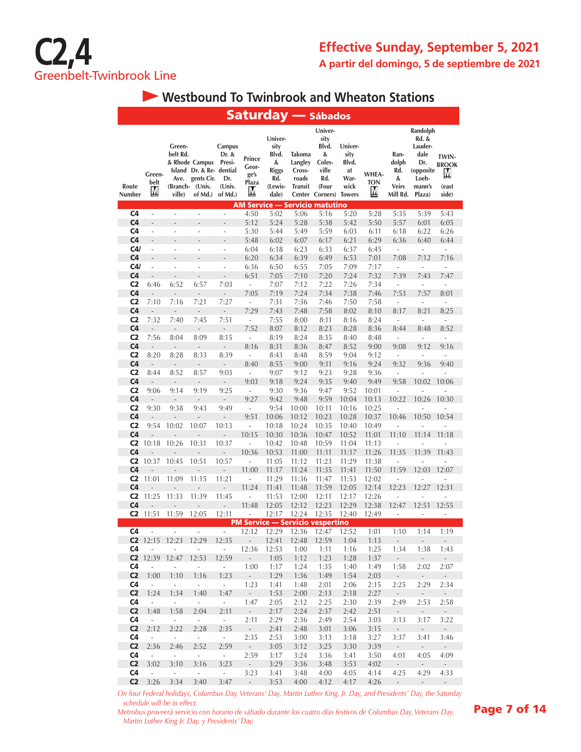

## **Westbound To Twinbrook and Wheaton Stations**

|                                  |                                 |                                                  |                                                                               |                                                       |                                       |                                                                          |                                                        | <b>Saturday — Sábados</b>                                                                  |                                                |                          |                                                       |                                                                                       |                                              |
|----------------------------------|---------------------------------|--------------------------------------------------|-------------------------------------------------------------------------------|-------------------------------------------------------|---------------------------------------|--------------------------------------------------------------------------|--------------------------------------------------------|--------------------------------------------------------------------------------------------|------------------------------------------------|--------------------------|-------------------------------------------------------|---------------------------------------------------------------------------------------|----------------------------------------------|
| Route<br>Number                  | Green-<br>belt<br>Μ             | Green-<br>belt Rd.<br>Ave.<br>(Branch-<br>ville) | & Rhode Campus<br>Island Dr. & Re- dential<br>gents Cir.<br>(Univ.<br>of Md.) | Campus<br>Dr. &<br>Presi-<br>Dr.<br>(Univ.<br>of Md.) | Prince<br>Geor-<br>ge's<br>Plaza<br>М | Univer-<br>sity<br>Blvd.<br>&<br><b>Riggs</b><br>Rd.<br>(Lewis-<br>dale) | Takoma<br>Langley<br>Cross-<br>roads<br><b>Transit</b> | Univer-<br>sity<br>Blvd.<br>&<br>Coles-<br>ville<br>Rd.<br>(Four<br>Center Corners) Towers | Univer-<br>sity<br>Blvd.<br>at<br>War-<br>wick | WHEA-<br><b>TON</b><br>M | Ran-<br>dolph<br>Rd.<br>&<br><b>Veirs</b><br>Mill Rd. | Randolph<br>Rd. &<br>Lauder-<br>dale<br>Dr.<br>(opposite<br>Loeh-<br>mann's<br>Plaza) | TWIN-<br><b>BROOK</b><br>M<br>(east<br>side) |
| C <sub>4</sub>                   | $\overline{\phantom{a}}$        | ÷                                                | i,                                                                            | $\overline{\phantom{a}}$                              | 4:50                                  | 5:02                                                                     | 5:06                                                   | <b>AM Service — Servicio matutino</b><br>5:16                                              | 5:20                                           | 5:28                     | 5:35                                                  | 5:39                                                                                  | 5:43                                         |
| C <sub>4</sub>                   | $\frac{1}{2}$                   |                                                  |                                                                               | L,                                                    | 5:12                                  | 5:24                                                                     | 5:28                                                   | 5:38                                                                                       | 5:42                                           | 5:50                     | 5:57                                                  | 6:01                                                                                  | 6:05                                         |
| C <sub>4</sub>                   | ÷,                              | ÷                                                | ÷                                                                             | ÷,                                                    | 5:30                                  | 5:44                                                                     | 5:49                                                   | 5:59                                                                                       | 6:03                                           | 6:11                     | 6:18                                                  | 6:22                                                                                  | 6:26                                         |
| C <sub>4</sub>                   | $\overline{a}$                  |                                                  |                                                                               | ÷,                                                    | 5:48                                  | 6:02                                                                     | 6:07                                                   | 6:17                                                                                       | 6:21                                           | 6:29                     | 6:36                                                  | 6:40                                                                                  | 6:44                                         |
| C4/                              | ÷,                              | L.                                               | L.                                                                            | ÷,                                                    | 6:04                                  | 6:18                                                                     | 6:23                                                   | 6:33                                                                                       | 6:37                                           | 6:45                     | $\overline{\phantom{a}}$                              | ÷,                                                                                    | ÷,                                           |
| C <sub>4</sub>                   | L.                              |                                                  |                                                                               |                                                       | 6:20                                  | 6:34                                                                     | 6:39                                                   | 6:49                                                                                       | 6:53                                           | 7:01                     | 7:08                                                  | 7:12                                                                                  | 7:16                                         |
| C4/                              | ÷,                              | ÷,                                               | L,                                                                            | $\overline{a}$                                        | 6:36                                  | 6:50                                                                     | 6:55                                                   | 7:05                                                                                       | 7:09                                           | 7:17                     | ÷,                                                    | ä,                                                                                    | ÷,                                           |
| C <sub>4</sub>                   | $\overline{a}$                  | L.                                               |                                                                               | L,                                                    | 6:51                                  | 7:05                                                                     | 7:10                                                   | 7:20                                                                                       | 7:24                                           | 7:32                     | 7:39                                                  | 7:43                                                                                  | 7:47                                         |
| C <sub>2</sub>                   | 6:46                            | 6:52                                             | 6:57                                                                          | 7:03                                                  | $\overline{\phantom{a}}$              | 7:07                                                                     | 7:12                                                   | 7:22                                                                                       | 7:26                                           | 7:34                     | ÷,                                                    | ä,                                                                                    | ä,                                           |
| C <sub>4</sub>                   | $\centering \label{eq:reduced}$ | $\overline{\phantom{a}}$                         | $\frac{1}{2}$                                                                 | $\frac{1}{2}$                                         | 7:05                                  | 7:19                                                                     | 7:24                                                   | 7:34                                                                                       | 7:38                                           | 7:46                     | 7:53                                                  | 7:57                                                                                  | 8:01                                         |
| C <sub>2</sub>                   | 7:10                            | 7:16                                             | 7:21                                                                          | 7:27                                                  | ÷,                                    | 7:31                                                                     | 7:36                                                   | 7:46                                                                                       | 7:50                                           | 7:58                     | ÷                                                     |                                                                                       | ÷,                                           |
| C <sub>4</sub>                   | $\frac{1}{2}$                   | $\overline{a}$                                   | ÷,                                                                            | ÷,                                                    | 7:29                                  | 7:43                                                                     | 7:48                                                   | 7:58                                                                                       | 8:02                                           | 8:10                     | 8:17                                                  | 8:21                                                                                  | 8:25                                         |
| C <sub>2</sub>                   | 7:32                            | 7:40                                             | 7:45                                                                          | 7:51                                                  | ä,                                    | 7:55                                                                     | 8:00                                                   | 8:11                                                                                       | 8:16                                           | 8:24                     | $\overline{\phantom{a}}$                              | ä,                                                                                    | $\sim$                                       |
| C <sub>4</sub>                   | $\qquad \qquad -$               | $\qquad \qquad -$                                | $\qquad \qquad -$                                                             | ÷,                                                    | 7:52                                  | 8:07                                                                     | 8:12                                                   | 8:23                                                                                       | 8:28                                           | 8:36                     | 8:44                                                  | 8:48                                                                                  | 8:52                                         |
| C <sub>2</sub>                   | 7:56                            | 8:04                                             | 8:09                                                                          | 8:15                                                  | ÷,                                    | 8:19                                                                     | 8:24                                                   | 8:35                                                                                       | 8:40                                           | 8:48                     | $\overline{\phantom{a}}$                              | ÷.                                                                                    | ÷,                                           |
| C <sub>4</sub>                   |                                 |                                                  |                                                                               | $\overline{\phantom{a}}$                              | 8:16                                  | 8:31                                                                     | 8:36                                                   | 8:47                                                                                       | 8:52                                           | 9:00                     | 9:08                                                  | 9:12                                                                                  | 9:16                                         |
| C <sub>2</sub>                   | 8:20                            | 8:28                                             | 8:33                                                                          | 8:39                                                  | $\overline{\phantom{a}}$              | 8:43                                                                     | 8:48                                                   | 8:59                                                                                       | 9:04                                           | 9:12                     | $\overline{\phantom{a}}$                              | L,                                                                                    | ÷,                                           |
| C <sub>4</sub>                   | $\qquad \qquad \blacksquare$    | $\frac{1}{2}$                                    | $\frac{1}{2}$                                                                 | $\overline{\phantom{a}}$                              | 8:40                                  | 8:55                                                                     | 9:00                                                   | 9:11                                                                                       | 9:16                                           | 9:24                     | 9:32                                                  | 9:36                                                                                  | 9:40                                         |
| C <sub>2</sub>                   | 8:44                            | 8:52                                             | 8:57                                                                          | 9:03                                                  | $\overline{\phantom{a}}$              | 9:07                                                                     | 9:12                                                   | 9:23                                                                                       | 9:28                                           | 9:36                     | ÷,                                                    | ä,                                                                                    | ÷,                                           |
| C <sub>4</sub>                   | $\qquad \qquad \blacksquare$    | $\overline{\phantom{a}}$                         | $\frac{1}{2}$                                                                 | $\frac{1}{2}$                                         | 9:03                                  | 9:18                                                                     | 9:24                                                   | 9:35                                                                                       | 9:40                                           | 9:49                     | 9:58                                                  | 10:02                                                                                 | 10:06                                        |
| C <sub>2</sub>                   | 9:06                            | 9:14                                             | 9:19                                                                          | 9:25                                                  | $\blacksquare$                        | 9:30                                                                     | 9:36                                                   | 9:47                                                                                       | 9:52                                           | 10:01                    | $\overline{\phantom{a}}$                              | ÷                                                                                     |                                              |
| C <sub>4</sub>                   | $\overline{a}$                  | $\overline{a}$                                   | $\frac{1}{2}$                                                                 | L,                                                    | 9:27                                  | 9:42                                                                     | 9:48                                                   | 9:59                                                                                       | 10:04                                          | 10:13                    | 10:22                                                 | 10:26                                                                                 | 10:30                                        |
| C <sub>2</sub>                   | 9:30                            | 9:38                                             | 9:43                                                                          | 9:49                                                  | $\overline{\phantom{a}}$              | 9:54                                                                     | 10:00                                                  | 10:11                                                                                      | 10:16                                          | 10:25                    | ÷,                                                    | L,                                                                                    | ä,                                           |
| C <sub>4</sub>                   | L.                              | $\overline{a}$                                   | Ĭ.                                                                            | $\overline{\phantom{m}}$                              | 9:51                                  | 10:06                                                                    | 10:12                                                  | 10:23                                                                                      | 10:28                                          | 10:37                    | 10:46                                                 | 10:50                                                                                 | 10:54                                        |
| C <sub>2</sub>                   | 9:54                            | 10:02                                            | 10:07                                                                         | 10:13                                                 | $\overline{\phantom{a}}$              | 10:18                                                                    | 10:24                                                  | 10:35                                                                                      | 10:40                                          | 10:49                    | L.                                                    |                                                                                       |                                              |
| C <sub>4</sub>                   |                                 |                                                  |                                                                               |                                                       | 10:15                                 | 10:30                                                                    | 10:36                                                  | 10:47                                                                                      | 10:52                                          | 11:01                    | 11:10                                                 | 11:14                                                                                 | 11:18                                        |
| C <sub>2</sub>                   | 10:18                           | 10:26                                            | 10:31                                                                         | 10:37                                                 | ÷,                                    | 10:42                                                                    | 10:48                                                  | 10:59                                                                                      | 11:04                                          | 11:13                    | i,                                                    |                                                                                       |                                              |
| C <sub>4</sub>                   |                                 | $\overline{a}$                                   | ÷,                                                                            | $\overline{a}$                                        | 10:36                                 | 10:53                                                                    | 11:00                                                  | 11:11                                                                                      | 11:17                                          | 11:26                    | 11:35                                                 | 11:39                                                                                 | 11:43                                        |
| C <sub>2</sub>                   | 10:37                           | 10:45                                            | 10:51                                                                         | 10:57                                                 | ÷,                                    | 11:05                                                                    | 11:12                                                  | 11:23                                                                                      | 11:29                                          | 11:38                    | Ĭ.                                                    |                                                                                       |                                              |
| C <sub>4</sub>                   |                                 |                                                  | $\overline{\phantom{m}}$                                                      | $\overline{a}$                                        | 11:00                                 | 11:17                                                                    | 11:24                                                  | 11:35                                                                                      | 11:41                                          | 11:50                    | 11:59                                                 | 12:03                                                                                 | 12:07                                        |
| C <sub>2</sub>                   | 11:01                           | 11:09                                            | 11:15                                                                         | 11:21                                                 | ÷,                                    | 11:29                                                                    | 11:36                                                  | 11:47                                                                                      | 11:53                                          | 12:02                    | ÷                                                     | L,                                                                                    |                                              |
| C <sub>4</sub>                   |                                 | L,                                               | $\overline{a}$                                                                | $\overline{a}$                                        | 11:24                                 | 11:41                                                                    | 11:48                                                  | 11:59                                                                                      | 12:05                                          | 12:14                    | 12:23                                                 | 12:27                                                                                 | 12:31                                        |
| C <sub>2</sub><br>C <sub>4</sub> | 11:25                           | 11:33                                            | 11:39                                                                         | 11:45                                                 | ÷,                                    | 11:53                                                                    | 12:00                                                  | 12:11                                                                                      | 12:17                                          | 12:26                    | ä,                                                    | L,                                                                                    | ä,                                           |
| C2                               | 11:51                           | 11:59                                            | 12:05                                                                         | 12:11                                                 | 11:48<br>ä,                           | 12:05<br>12:17                                                           | 12:12<br>12:24                                         | 12:23<br>12:35                                                                             | 12:29<br>12:40                                 | 12:38<br>12:49           | 12:47<br>÷,                                           | 12:51<br>ä,                                                                           | 12:55<br>$\overline{\phantom{m}}$            |
|                                  |                                 |                                                  |                                                                               |                                                       |                                       |                                                                          |                                                        | <b>PM Service — Servicio vespertino</b>                                                    |                                                |                          |                                                       |                                                                                       |                                              |
| C <sub>4</sub>                   | ÷,                              | ÷,                                               | ÷,                                                                            | L,                                                    | 12:12                                 | 12:29                                                                    | 12:36                                                  | 12:47                                                                                      | 12:52                                          | 1:01                     | 1:10                                                  | 1:14                                                                                  | 1:19                                         |
|                                  |                                 | C2 12:15 12:23 12:29                             |                                                                               | 12:35                                                 | $\sim 10^{-11}$                       | 12:41                                                                    | 12:48                                                  | 12:59                                                                                      | 1:04                                           | 1:13                     | $\sim$                                                | $\sim$                                                                                | $\sim 10^{-10}$                              |
| C4                               | $\overline{\phantom{a}}$        | $\overline{\phantom{a}}$                         | $\overline{\phantom{a}}$                                                      | $\sim$                                                | 12:36                                 | 12:53                                                                    | 1:00                                                   | 1:11                                                                                       | 1:16                                           | 1:25                     | 1:34                                                  | 1:38                                                                                  | 1:43                                         |
|                                  | $C2$ 12:39                      | 12:47                                            | 12:53                                                                         | 12:59                                                 | $\mathcal{L}_{\mathcal{A}}$           | 1:05                                                                     | 1:12                                                   | 1:23                                                                                       | 1:28                                           | 1:37                     | $\sim$                                                | $\sim$                                                                                | $\overline{\phantom{a}}$                     |
| C4                               | $\overline{\phantom{a}}$        | $\mathcal{L}_{\mathcal{A}}$                      | $\overline{\phantom{a}}$                                                      | $\sim$                                                | 1:00                                  | 1:17                                                                     | 1:24                                                   | 1:35                                                                                       | 1:40                                           | 1:49                     | 1:58                                                  | 2:02                                                                                  | 2:07                                         |
| C <sub>2</sub>                   | 1:00                            | 1:10                                             | 1:16                                                                          | 1:23                                                  | $\sim$                                | 1:29                                                                     | 1:36                                                   | 1:49                                                                                       | 1:54                                           | 2:03                     | $\sim$                                                | $\omega$                                                                              | $\sim$                                       |
| C <sub>4</sub>                   | $\overline{\phantom{a}}$        | $\overline{\phantom{a}}$                         | $\bar{\phantom{a}}$                                                           | $\omega$                                              | 1:23                                  | 1:41                                                                     | 1:48                                                   | 2:01                                                                                       | 2:06                                           | 2:15                     | 2:25                                                  | 2:29                                                                                  | 2:34                                         |
| C <sub>2</sub>                   | 1:24                            | 1:34                                             | 1:40                                                                          | 1:47                                                  | $\mathcal{L}_{\mathcal{A}}$           | 1:53                                                                     | 2:00                                                   | 2:13                                                                                       | 2:18                                           | 2:27                     | $\mathcal{L}_{\mathcal{A}}$                           | $\sim$                                                                                | $\mathcal{L}_{\mathcal{A}}$                  |
| C4                               | $\mathcal{L}_{\mathcal{A}}$     | $\sim$                                           | $\sim$                                                                        | $\omega$                                              | 1:47                                  | 2:05                                                                     | 2:12                                                   | 2:25                                                                                       | 2:30                                           | 2:39                     | 2:49                                                  | 2:53                                                                                  | 2:58                                         |
| C <sub>2</sub>                   | 1:48                            | 1:58                                             | 2:04                                                                          | 2:11                                                  | $\sim$                                | 2:17                                                                     | 2:24                                                   | 2:37                                                                                       | 2:42                                           | 2:51                     | $\sim$                                                | $\sim$                                                                                | $\sim$                                       |
| C4                               | $\sim$                          | $\sim$                                           | $\sim$                                                                        | $\omega$                                              | 2:11                                  | 2:29                                                                     | 2:36                                                   | 2:49                                                                                       | 2:54                                           | 3:03                     | 3:13                                                  | 3:17                                                                                  | 3:22                                         |
| C <sub>2</sub>                   | 2:12                            | 2:22                                             | 2:28                                                                          | 2:35                                                  | $\sim$                                | 2:41                                                                     | 2:48                                                   | 3:01                                                                                       | 3:06                                           | 3:15                     | $\sim$                                                | $\sim$                                                                                | $\sim$                                       |
| C4                               | $\mathcal{L}_{\mathcal{A}}$     | $\omega$                                         | $\omega$                                                                      | $\sim$                                                | 2:35                                  | 2:53                                                                     | 3:00                                                   | 3:13                                                                                       | 3:18                                           | 3:27                     | 3:37                                                  | 3:41                                                                                  | 3:46                                         |
| C <sub>2</sub>                   | 2:36                            | 2:46                                             | 2:52                                                                          | 2:59                                                  | $\sim$                                | 3:05                                                                     | 3:12                                                   | 3:25                                                                                       | 3:30                                           | 3:39                     | $\sim$                                                | $\sim$                                                                                | $\sim$                                       |
| C4                               | $\overline{\phantom{a}}$        | $\sim$                                           | $\sim$                                                                        | $\mathcal{L}_{\mathcal{A}}$                           | 2:59                                  | 3:17                                                                     | 3:24                                                   | 3:36                                                                                       | 3:41                                           | 3:50                     | 4:01                                                  | 4:05                                                                                  | 4:09                                         |
| C <sub>2</sub>                   | 3:02                            | 3:10                                             | 3:16                                                                          | 3:23                                                  | $\omega_{\rm c}$                      | 3:29                                                                     | 3:36                                                   | 3:48                                                                                       | 3:53                                           | 4:02                     | $\omega$                                              | $\omega$                                                                              | $\mathcal{L}_{\mathcal{A}}$                  |
| C <sub>4</sub>                   | $\overline{\phantom{a}}$        | $\sim$                                           | $\sim$                                                                        | $\mathcal{L}_{\mathcal{A}}$                           | 3:23                                  | 3:41                                                                     | 3:48                                                   | 4:00                                                                                       | 4:05                                           | 4:14                     | 4:25                                                  | 4:29                                                                                  | 4:33                                         |
| C <sub>2</sub>                   | 3:26                            | 3:34                                             | 3:40                                                                          | 3:47                                                  | $\omega_{\rm c}$                      | 3:53                                                                     | 4:00                                                   | 4:12                                                                                       | 4:17                                           | 4:26                     | $\sim$                                                | $\sim$                                                                                | $\sim$                                       |

*On four Federal holidays, Columbus Day, Veterans' Day, Martin Luther King, Jr. Day, and Presidents' Day, the Saturday schedule will be in effect.*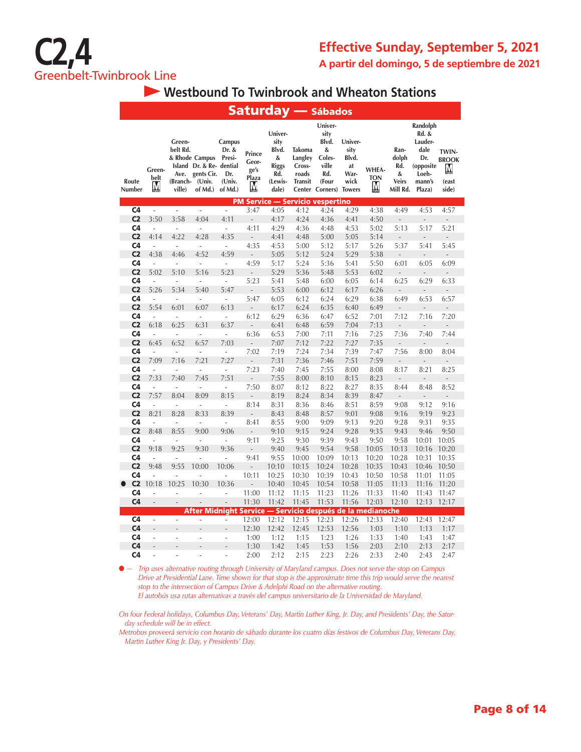

 **Westbound To Twinbrook and Wheaton Stations**

|                                  |                          |                                                  |                                                                               |                                                       |                                       |                                                                          |                                                                  | <b>Saturday — sábados</b>                                                    |                                                                 |                          |                                                       |                                                                                       |                                              |
|----------------------------------|--------------------------|--------------------------------------------------|-------------------------------------------------------------------------------|-------------------------------------------------------|---------------------------------------|--------------------------------------------------------------------------|------------------------------------------------------------------|------------------------------------------------------------------------------|-----------------------------------------------------------------|--------------------------|-------------------------------------------------------|---------------------------------------------------------------------------------------|----------------------------------------------|
| Route<br>Number                  | Green-<br>belt<br>М      | Green-<br>belt Rd.<br>Ave.<br>(Branch-<br>ville) | & Rhode Campus<br>Island Dr. & Re- dential<br>gents Cir.<br>(Univ.<br>of Md.) | Campus<br>Dr. &<br>Presi-<br>Dr.<br>(Univ.<br>of Md.) | Prince<br>Geor-<br>ge's<br>Plaza<br>M | Univer-<br>sity<br>Blvd.<br>&<br><b>Riggs</b><br>Rd.<br>(Lewis-<br>dale) | Takoma<br>Langley<br>Cross-<br>roads<br><b>Transit</b><br>Center | Univer-<br>sity<br>Blvd.<br>&<br>Coles-<br>ville<br>Rd.<br>(Four<br>Corners) | Univer-<br>sity<br>Blvd.<br>at<br>War-<br>wick<br><b>Towers</b> | WHEA-<br><b>TON</b><br>M | Ran-<br>dolph<br>Rd.<br>&<br><b>Veirs</b><br>Mill Rd. | Randolph<br>Rd. &<br>Lauder-<br>dale<br>Dr.<br>(opposite<br>Loeh-<br>mann's<br>Plaza) | TWIN-<br><b>BROOK</b><br>M<br>(east<br>side) |
|                                  |                          |                                                  |                                                                               |                                                       |                                       |                                                                          |                                                                  | <b>PM Service - Servicio vespertino</b>                                      |                                                                 |                          |                                                       |                                                                                       |                                              |
| C4                               | $\overline{\phantom{a}}$ | L.                                               | ÷,                                                                            | $\overline{\phantom{a}}$                              | 3:47                                  | 4:05                                                                     | 4:12                                                             | 4:24                                                                         | 4:29                                                            | 4:38                     | 4:49                                                  | 4:53                                                                                  | 4:57                                         |
| C <sub>2</sub>                   | 3:50                     | 3:58                                             | 4:04                                                                          | 4:11                                                  | $\frac{1}{2}$                         | 4:17                                                                     | 4:24                                                             | 4:36                                                                         | 4:41                                                            | 4:50                     | $\frac{1}{2}$                                         | $\overline{a}$                                                                        | $\overline{a}$                               |
| C4                               | ÷,                       | ä,                                               | J.                                                                            | ÷,                                                    | 4:11                                  | 4:29                                                                     | 4:36                                                             | 4:48                                                                         | 4:53                                                            | 5:02                     | 5:13                                                  | 5:17                                                                                  | 5:21                                         |
| C <sub>2</sub>                   | 4:14                     | 4:22                                             | 4:28                                                                          | 4:35                                                  | $\overline{a}$                        | 4:41                                                                     | 4:48                                                             | 5:00                                                                         | 5:05                                                            | 5:14                     |                                                       |                                                                                       | $\overline{a}$                               |
| C <sub>4</sub>                   | ÷,                       | ä,                                               | J.                                                                            | $\overline{\phantom{a}}$                              | 4:35                                  | 4:53                                                                     | 5:00                                                             | 5:12                                                                         | 5:17                                                            | 5:26                     | 5:37                                                  | 5:41                                                                                  | 5:45                                         |
| C <sub>2</sub>                   | 4:38                     | 4:46                                             | 4:52                                                                          | 4:59                                                  | $\overline{a}$                        | 5:05                                                                     | 5:12                                                             | 5:24                                                                         | 5:29                                                            | 5:38                     | $\overline{a}$                                        |                                                                                       | Ĭ.                                           |
| C4                               | l,                       | ÷,                                               | Ĭ.                                                                            | $\frac{1}{2}$                                         | 4:59                                  | 5:17                                                                     | 5:24                                                             | 5:36                                                                         | 5:41                                                            | 5:50                     | 6:01                                                  | 6:05                                                                                  | 6:09                                         |
| C <sub>2</sub>                   | 5:02                     | 5:10                                             | 5:16                                                                          | 5:23                                                  | ÷,                                    | 5:29                                                                     | 5:36                                                             | 5:48                                                                         | 5:53                                                            | 6:02                     | $\label{eq:reduced}$                                  | $\overline{a}$                                                                        | $\overline{a}$                               |
| C <sub>4</sub>                   | $\overline{a}$           | ÷,                                               | ÷,                                                                            | ÷,                                                    | 5:23                                  | 5:41                                                                     | 5:48                                                             | 6:00                                                                         | 6:05                                                            | 6:14                     | 6:25                                                  | 6:29                                                                                  | 6:33                                         |
| C <sub>2</sub>                   | 5:26                     | 5:34                                             | 5:40                                                                          | 5:47                                                  | $\overline{a}$                        | 5:53                                                                     | 6:00                                                             | 6:12                                                                         | 6:17                                                            | 6:26                     | $\overline{\phantom{a}}$                              | $\frac{1}{2}$                                                                         | $\overline{a}$                               |
| C <sub>4</sub>                   | L                        | J.                                               | J.                                                                            | $\overline{a}$                                        | 5:47                                  | 6:05                                                                     | 6:12                                                             | 6:24                                                                         | 6:29                                                            | 6:38                     | 6:49                                                  | 6:53                                                                                  | 6:57                                         |
| C <sub>2</sub>                   | 5:54                     | 6:01                                             | 6:07                                                                          | 6:13                                                  | $\frac{1}{2}$                         | 6:17                                                                     | 6:24                                                             | 6:35                                                                         | 6:40                                                            | 6:49                     | $\frac{1}{2}$                                         | L                                                                                     | $\overline{a}$                               |
| C <sub>4</sub>                   | ÷,                       | ä,                                               | ÷,                                                                            | ÷                                                     | 6:12<br>L                             | 6:29                                                                     | 6:36                                                             | 6:47                                                                         | 6:52                                                            | 7:01                     | 7:12                                                  | 7:16                                                                                  | 7:20                                         |
| C <sub>2</sub><br>C <sub>4</sub> | 6:18                     | 6:25                                             | 6:31                                                                          | 6:37                                                  |                                       | 6:41                                                                     | 6:48                                                             | 6:59                                                                         | 7:04                                                            | 7:13                     | $\overline{a}$                                        | L,                                                                                    | ä,                                           |
| C <sub>2</sub>                   | L,<br>6:45               | ÷,<br>6:52                                       | ÷,<br>6:57                                                                    | $\overline{\phantom{a}}$<br>7:03                      | 6:36                                  | 6:53                                                                     | 7:00<br>7:12                                                     | 7:11<br>7:22                                                                 | 7:16<br>7:27                                                    | 7:25<br>7:35             | 7:36                                                  | 7:40                                                                                  | 7:44                                         |
| C <sub>4</sub>                   | $\sim$                   | $\mathbf{r}$                                     | $\sim$                                                                        |                                                       | $\overline{a}$<br>7:02                | 7:07<br>7:19                                                             | 7:24                                                             | 7:34                                                                         |                                                                 | 7:47                     | $\frac{1}{2}$<br>7:56                                 | $\overline{a}$<br>8:00                                                                | ÷,<br>8:04                                   |
| C <sub>2</sub>                   | 7:09                     | 7:16                                             | 7:21                                                                          | $\overline{\phantom{a}}$<br>7:27                      | $\frac{1}{2}$                         | 7:31                                                                     | 7:36                                                             | 7:46                                                                         | 7:39<br>7:51                                                    | 7:59                     | $\frac{1}{2}$                                         | $\frac{1}{2}$                                                                         | $\overline{a}$                               |
| C4                               | J.                       | ä,                                               | ÷,                                                                            | $\overline{\phantom{a}}$                              | 7:23                                  | 7:40                                                                     | 7:45                                                             | 7:55                                                                         | 8:00                                                            | 8:08                     | 8:17                                                  | 8:21                                                                                  | 8:25                                         |
| C <sub>2</sub>                   | 7:33                     | 7:40                                             | 7:45                                                                          | 7:51                                                  | $\centering \label{eq:reduced}$       | 7:55                                                                     | 8:00                                                             | 8:10                                                                         | 8:15                                                            | 8:23                     | $\overline{\phantom{m}}$                              | $\overline{a}$                                                                        | $\overline{a}$                               |
| C4                               | ÷.                       | ×.                                               | ÷,                                                                            | ÷,                                                    | 7:50                                  | 8:07                                                                     | 8:12                                                             | 8:22                                                                         | 8:27                                                            | 8:35                     | 8:44                                                  | 8:48                                                                                  | 8:52                                         |
| C <sub>2</sub>                   | 7:57                     | 8:04                                             | 8:09                                                                          | 8:15                                                  | L,                                    | 8:19                                                                     | 8:24                                                             | 8:34                                                                         | 8:39                                                            | 8:47                     | $\overline{a}$                                        |                                                                                       | $\overline{a}$                               |
| C <sub>4</sub>                   | L                        | ä,                                               | J.                                                                            | ÷,                                                    | 8:14                                  | 8:31                                                                     | 8:36                                                             | 8:46                                                                         | 8:51                                                            | 8:59                     | 9:08                                                  | 9:12                                                                                  | 9:16                                         |
| C <sub>2</sub>                   | 8:21                     | 8:28                                             | 8:33                                                                          | 8:39                                                  | $\overline{a}$                        | 8:43                                                                     | 8:48                                                             | 8:57                                                                         | 9:01                                                            | 9:08                     | 9:16                                                  | 9:19                                                                                  | 9:23                                         |
| C4                               | $\overline{a}$           | ÷,                                               | Ĭ.                                                                            | ÷,                                                    | 8:41                                  | 8:55                                                                     | 9:00                                                             | 9:09                                                                         | 9:13                                                            | 9:20                     | 9:28                                                  | 9:31                                                                                  | 9:35                                         |
| C <sub>2</sub>                   | 8:48                     | 8:55                                             | 9:00                                                                          | 9:06                                                  | $\overline{a}$                        | 9:10                                                                     | 9:15                                                             | 9:24                                                                         | 9:28                                                            | 9:35                     | 9:43                                                  | 9:46                                                                                  | 9:50                                         |
| C <sub>4</sub>                   | L,                       | ÷,                                               | ÷,                                                                            | ÷,                                                    | 9:11                                  | 9:25                                                                     | 9:30                                                             | 9:39                                                                         | 9:43                                                            | 9:50                     | 9:58                                                  | 10:01                                                                                 | 10:05                                        |
| C <sub>2</sub>                   | 9:18                     | 9:25                                             | 9:30                                                                          | 9:36                                                  | $\overline{a}$                        | 9:40                                                                     | 9:45                                                             | 9:54                                                                         | 9:58                                                            | 10:05                    | 10:13                                                 | 10:16                                                                                 | 10:20                                        |
| C4                               | $\overline{a}$           | J.                                               | L,                                                                            | i,                                                    | 9:41                                  | 9:55                                                                     | 10:00                                                            | 10:09                                                                        | 10:13                                                           | 10:20                    | 10:28                                                 | 10:31                                                                                 | 10:35                                        |
| C <sub>2</sub>                   | 9:48                     | 9:55                                             | 10:00                                                                         | 10:06                                                 | L.                                    | 10:10                                                                    | 10:15                                                            | 10:24                                                                        | 10:28                                                           | 10:35                    | 10:43                                                 | 10:46                                                                                 | 10:50                                        |
| C4                               | L                        | L,                                               | L,                                                                            | $\overline{a}$                                        | 10:11                                 | 10:25                                                                    | 10:30                                                            | 10:39                                                                        | 10:43                                                           | 10:50                    | 10:58                                                 | 11:01                                                                                 | 11:05                                        |
| C <sub>2</sub>                   | 10:18                    | 10:25                                            | 10:30                                                                         | 10:36                                                 | $\overline{a}$                        | 10:40                                                                    | 10:45                                                            | 10:54                                                                        | 10:58                                                           | 11:05                    | 11:13                                                 | 11:16                                                                                 | 11:20                                        |
| C4                               | Ĭ.                       | ÷,                                               | Ĭ.                                                                            | i,                                                    | 11:00                                 | 11:12                                                                    | 11:15                                                            | 11:23                                                                        | 11:26                                                           | 11:33                    | 11:40                                                 | 11:43                                                                                 | 11:47                                        |
| C <sub>4</sub>                   | $\overline{a}$           | $\qquad \qquad \blacksquare$                     | $\overline{a}$                                                                | $\overline{a}$                                        | 11:30                                 | 11:42                                                                    | 11:45                                                            | 11:53                                                                        | 11:56                                                           | 12:03                    | 12:10                                                 | 12:13                                                                                 | 12:17                                        |
|                                  |                          |                                                  | After Midnight Service — Servicio después de la medianoche                    |                                                       |                                       |                                                                          |                                                                  |                                                                              |                                                                 |                          |                                                       |                                                                                       |                                              |
| C <sub>4</sub>                   | $\overline{a}$           | L.                                               | L                                                                             | Ĭ.                                                    | 12:00                                 | 12:12                                                                    | 12:15                                                            | 12:23                                                                        | 12:26                                                           | 12:33                    | 12:40                                                 | 12:43                                                                                 | 12:47                                        |
| C <sub>4</sub>                   | $\overline{a}$           |                                                  |                                                                               | $\overline{a}$                                        | 12:30                                 | 12:42                                                                    | 12:45                                                            | 12:53                                                                        | 12:56                                                           | 1:03                     | 1:10                                                  | 1:13                                                                                  | 1:17                                         |
| C4                               | $\overline{a}$           | L.                                               | L                                                                             | $\overline{a}$                                        | 1:00                                  | 1:12                                                                     | 1:15                                                             | 1:23                                                                         | 1:26                                                            | 1:33                     | 1:40                                                  | 1:43                                                                                  | 1:47                                         |
| C <sub>4</sub>                   | L.                       |                                                  |                                                                               | ä,                                                    | 1:30                                  | 1:42                                                                     | 1:45                                                             | 1:53                                                                         | 1:56                                                            | 2:03                     | 2:10                                                  | 2:13                                                                                  | 2:17                                         |
| C4                               | L,                       | L                                                | L                                                                             | L                                                     | 2:00                                  | 2:12                                                                     | 2:15                                                             | 2:23                                                                         | 2:26                                                            | 2:33                     | 2:40                                                  | 2:43                                                                                  | 2:47                                         |

● *— Trip uses alternative routing through University of Maryland campus. Does not serve the stop on Campus Drive at Presidential Lane. Time shown for that stop is the approximate time this trip would serve the nearest stop to the intersection of Campus Drive & Adelphi Road on the alternative routing. El autobús usa rutas alternativas a través del campus universitario de la Universidad de Maryland.* 

*On four Federal holidays, Columbus Day, Veterans' Day, Martin Luther King, Jr. Day, and Presidents' Day, the Saturday schedule will be in effect.*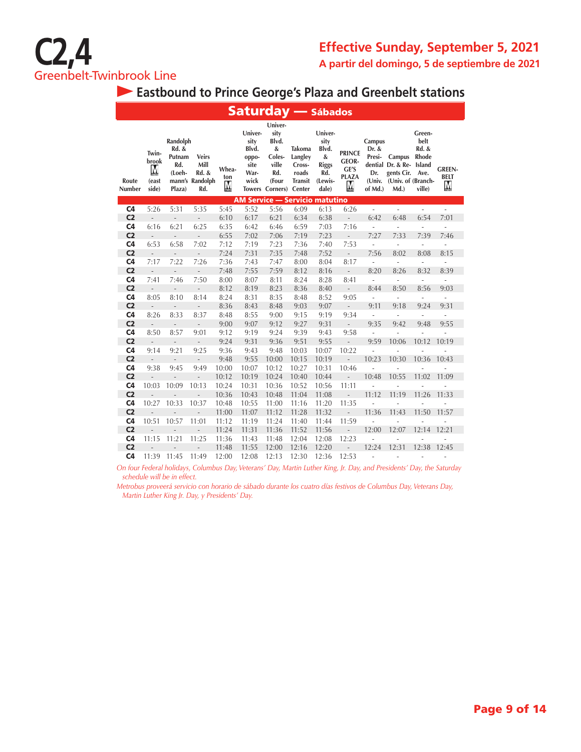

**Eastbound to Prince George's Plaza and Greenbelt stations**

|                                  |                                       |                                                        |                                                         |                   |                                                           | <b>Saturday — Sábados</b>                                                                  |                                                        |                                                                          |                                                             |                                                       |                                                                                   |                                                           |                                   |
|----------------------------------|---------------------------------------|--------------------------------------------------------|---------------------------------------------------------|-------------------|-----------------------------------------------------------|--------------------------------------------------------------------------------------------|--------------------------------------------------------|--------------------------------------------------------------------------|-------------------------------------------------------------|-------------------------------------------------------|-----------------------------------------------------------------------------------|-----------------------------------------------------------|-----------------------------------|
| Route<br>Number                  | Twin-<br>brook<br>M<br>(east<br>side) | Randolph<br>Rd. &<br>Putnam<br>Rd.<br>(Loeh-<br>Plaza) | <b>Veirs</b><br>Mill<br>Rd. &<br>mann's Randolph<br>Rd. | Whea-<br>ton<br>М | Univer-<br>sity<br>Blvd.<br>oppo-<br>site<br>War-<br>wick | Univer-<br>sity<br>Blvd.<br>&<br>Coles-<br>ville<br>Rd.<br>(Four<br>Towers Corners) Center | Takoma<br>Langley<br>Cross-<br>roads<br><b>Transit</b> | Univer-<br>sity<br>Blvd.<br>&<br><b>Riggs</b><br>Rd.<br>(Lewis-<br>dale) | <b>PRINCE</b><br><b>GEOR-</b><br>GE'S<br><b>PLAZA</b><br>M, | Campus<br>Dr. &<br>Presi-<br>Dr.<br>(Univ.<br>of Md.) | Campus<br>dential Dr. & Re- Island<br>gents Cir.<br>(Univ. of (Branch-<br>$Md.$ ) | Green-<br>belt<br>Rd. &<br><b>Rhode</b><br>Ave.<br>ville) | <b>GREEN-</b><br><b>BELT</b><br>M |
|                                  |                                       |                                                        |                                                         |                   |                                                           | <b>AM Service - Servicio matutino</b>                                                      |                                                        |                                                                          |                                                             |                                                       |                                                                                   |                                                           |                                   |
| C <sub>4</sub>                   | 5:26                                  | 5:31                                                   | 5:35                                                    | 5:45              | 5:52                                                      | 5:56                                                                                       | 6:09                                                   | 6:13                                                                     | 6:26                                                        | ÷                                                     | ÷,                                                                                | $\overline{\phantom{a}}$                                  | ä,                                |
| C <sub>2</sub>                   | $\frac{1}{2}$                         | $\overline{\phantom{a}}$                               | $\frac{1}{2}$                                           | 6:10              | 6:17                                                      | 6:21                                                                                       | 6:34                                                   | 6:38                                                                     | ÷,                                                          | 6:42                                                  | 6:48                                                                              | 6:54                                                      | 7:01                              |
| C <sub>4</sub>                   | 6:16                                  | 6:21                                                   | 6:25                                                    | 6:35              | 6:42                                                      | 6:46                                                                                       | 6:59                                                   | 7:03                                                                     | 7:16                                                        | ÷,                                                    | ÷,                                                                                | ÷,                                                        | $\overline{a}$                    |
| C <sub>2</sub>                   | $\overline{a}$                        | $\overline{\phantom{a}}$                               | $\frac{1}{2}$                                           | 6:55              | 7:02                                                      | 7:06                                                                                       | 7:19                                                   | 7:23                                                                     | $\overline{a}$                                              | 7:27                                                  | 7:33                                                                              | 7:39                                                      | 7:46                              |
| C <sub>4</sub>                   | 6:53                                  | 6:58                                                   | 7:02                                                    | 7:12              | 7:19                                                      | 7:23                                                                                       | 7:36                                                   | 7:40                                                                     | 7:53                                                        | ÷,                                                    | $\frac{1}{2}$                                                                     | ÷,                                                        | ÷,                                |
| C <sub>2</sub>                   | $\overline{\phantom{a}}$<br>7:17      | $\overline{\phantom{a}}$                               | $\overline{\phantom{m}}$                                | 7:24              | 7:31                                                      | 7:35                                                                                       | 7:48                                                   | 7:52                                                                     | $\overline{\phantom{0}}$                                    | 7:56                                                  | 8:02                                                                              | 8:08                                                      | 8:15                              |
| C <sub>4</sub><br>C <sub>2</sub> |                                       | 7:22<br>$\overline{a}$                                 | 7:26                                                    | 7:36<br>7:48      | 7:43                                                      | 7:47                                                                                       | 8:00<br>8:12                                           | 8:04<br>8:16                                                             | 8:17                                                        | ÷,<br>8:20                                            | $\overline{a}$<br>8:26                                                            | ä,<br>8:32                                                | i,                                |
| C <sub>4</sub>                   | $\overline{\phantom{a}}$<br>7:41      | 7:46                                                   | $\overline{a}$<br>7:50                                  | 8:00              | 7:55<br>8:07                                              | 7:59<br>8:11                                                                               | 8:24                                                   | 8:28                                                                     | $\overline{a}$<br>8:41                                      |                                                       |                                                                                   |                                                           | 8:39                              |
| C <sub>2</sub>                   | $\overline{\phantom{a}}$              | $\overline{\phantom{a}}$                               | $\overline{\phantom{a}}$                                | 8:12              | 8:19                                                      | 8:23                                                                                       | 8:36                                                   | 8:40                                                                     | $\overline{\phantom{a}}$                                    | $\overline{\phantom{a}}$<br>8:44                      | ÷,<br>8:50                                                                        | $\overline{\phantom{a}}$<br>8:56                          | $\frac{1}{2}$<br>9:03             |
| C <sub>4</sub>                   | 8:05                                  | 8:10                                                   | 8:14                                                    | 8:24              | 8:31                                                      | 8:35                                                                                       | 8:48                                                   | 8:52                                                                     | 9:05                                                        | ÷                                                     | ÷,                                                                                | ÷,                                                        | $\frac{1}{2}$                     |
| C <sub>2</sub>                   | $\overline{a}$                        | $\overline{\phantom{a}}$                               | $\frac{1}{2}$                                           | 8:36              | 8:43                                                      | 8:48                                                                                       | 9:03                                                   | 9:07                                                                     | $\overline{\phantom{m}}$                                    | 9:11                                                  | 9:18                                                                              | 9:24                                                      | 9:31                              |
| C <sub>4</sub>                   | 8:26                                  | 8:33                                                   | 8:37                                                    | 8:48              | 8:55                                                      | 9:00                                                                                       | 9:15                                                   | 9:19                                                                     | 9:34                                                        | ÷                                                     | ÷                                                                                 | ÷,                                                        | $\frac{1}{2}$                     |
| C <sub>2</sub>                   | $\overline{\phantom{m}}$              | $\frac{1}{2}$                                          | $\overline{\phantom{a}}$                                | 9:00              | 9:07                                                      | 9:12                                                                                       | 9:27                                                   | 9:31                                                                     | $\overline{a}$                                              | 9:35                                                  | 9:42                                                                              | 9:48                                                      | 9:55                              |
| C <sub>4</sub>                   | 8:50                                  | 8:57                                                   | 9:01                                                    | 9:12              | 9:19                                                      | 9:24                                                                                       | 9:39                                                   | 9:43                                                                     | 9:58                                                        | ä,                                                    | L.                                                                                | ÷.                                                        | ä,                                |
| C <sub>2</sub>                   | $\overline{a}$                        | $\overline{a}$                                         |                                                         | 9:24              | 9:31                                                      | 9:36                                                                                       | 9:51                                                   | 9:55                                                                     | $\overline{a}$                                              | 9:59                                                  | 10:06                                                                             | 10:12                                                     | 10:19                             |
| C <sub>4</sub>                   | 9:14                                  | 9:21                                                   | 9:25                                                    | 9:36              | 9:43                                                      | 9:48                                                                                       | 10:03                                                  | 10:07                                                                    | 10:22                                                       | ä,                                                    | L.                                                                                | L,                                                        |                                   |
| C <sub>2</sub>                   | $\frac{1}{2}$                         | $\overline{\phantom{a}}$                               | $\overline{a}$                                          | 9:48              | 9:55                                                      | 10:00                                                                                      | 10:15                                                  | 10:19                                                                    | $\overline{a}$                                              | 10:23                                                 | 10:30                                                                             | 10:36                                                     | 10:43                             |
| C <sub>4</sub>                   | 9:38                                  | 9:45                                                   | 9:49                                                    | 10:00             | 10:07                                                     | 10:12                                                                                      | 10:27                                                  | 10:31                                                                    | 10:46                                                       | ÷,                                                    |                                                                                   |                                                           |                                   |
| C <sub>2</sub>                   |                                       |                                                        |                                                         | 10:12             | 10:19                                                     | 10:24                                                                                      | 10:40                                                  | 10:44                                                                    |                                                             | 10:48                                                 | 10:55                                                                             | 11:02                                                     | 11:09                             |
| C <sub>4</sub>                   | 10:03                                 | 10:09                                                  | 10:13                                                   | 10:24             | 10:31                                                     | 10:36                                                                                      | 10:52                                                  | 10:56                                                                    | 11:11                                                       |                                                       |                                                                                   |                                                           |                                   |
| C <sub>2</sub>                   |                                       |                                                        |                                                         | 10:36             | 10:43                                                     | 10:48                                                                                      | 11:04                                                  | 11:08                                                                    | $\overline{a}$                                              | 11:12                                                 | 11:19                                                                             | 11:26                                                     | 11:33                             |
| C <sub>4</sub>                   | 10:27                                 | 10:33                                                  | 10:37                                                   | 10:48             | 10:55                                                     | 11:00                                                                                      | 11:16                                                  | 11:20                                                                    | 11:35                                                       | ä,                                                    | L,                                                                                | ä,                                                        | $\overline{a}$                    |
| C <sub>2</sub>                   | L.                                    | $\frac{1}{2}$                                          | ÷.                                                      | 11:00             | 11:07                                                     | 11:12                                                                                      | 11:28                                                  | 11:32                                                                    | $\frac{1}{2}$                                               | 11:36                                                 | 11:43                                                                             | 11:50                                                     | 11:57                             |
| C <sub>4</sub>                   | 10:51                                 | 10:57                                                  | 11:01                                                   | 11:12             | 11:19                                                     | 11:24                                                                                      | 11:40                                                  | 11:44                                                                    | 11:59                                                       | i.                                                    | Ĭ.                                                                                | ä,                                                        | L,                                |
| C <sub>2</sub>                   | $\overline{a}$                        |                                                        |                                                         | 11:24             | 11:31                                                     | 11:36                                                                                      | 11:52                                                  | 11:56                                                                    | $\overline{a}$                                              | 12:00                                                 | 12:07                                                                             | 12:14                                                     | 12:21                             |
| C <sub>4</sub>                   | 11:15                                 | 11:21                                                  | 11:25                                                   | 11:36             | 11:43                                                     | 11:48                                                                                      | 12:04                                                  | 12:08                                                                    | 12:23                                                       | i.                                                    | ÷,                                                                                | Ĭ.                                                        | $\overline{\phantom{0}}$          |
| C <sub>2</sub>                   |                                       |                                                        |                                                         | 11:48             | 11:55                                                     | 12:00                                                                                      | 12:16                                                  | 12:20                                                                    |                                                             | 12:24                                                 | 12:31                                                                             | 12:38                                                     | 12:45                             |
| C <sub>4</sub>                   | 11:39                                 | 11:45                                                  | 11:49                                                   | 12:00             | 12:08                                                     | 12:13                                                                                      | 12:30                                                  | 12:36                                                                    | 12:53                                                       |                                                       |                                                                                   |                                                           |                                   |

*On four Federal holidays, Columbus Day, Veterans' Day, Martin Luther King, Jr. Day, and Presidents' Day, the Saturday schedule will be in effect.*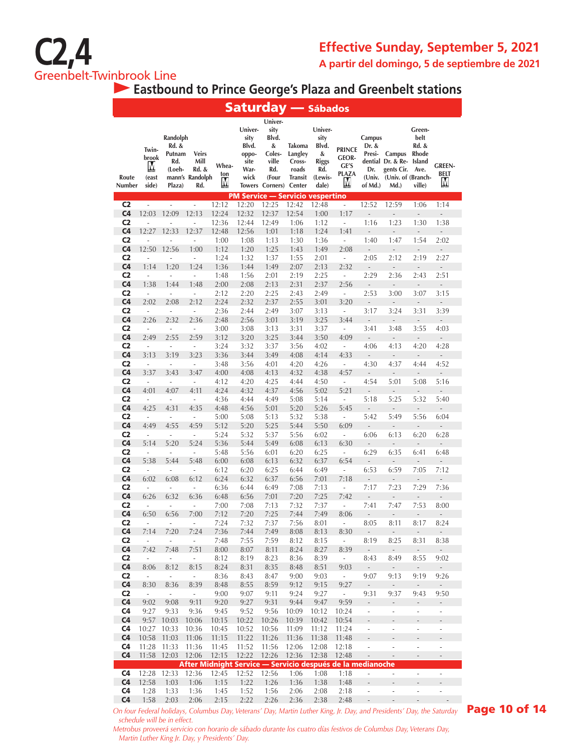

**Eastbound to Prince George's Plaza and Greenbelt stations**

|                                  |                                       |                                                        |                                                            |                   | <b>Saturday — Sábados</b>                                 |                                                                                            |                                                                  |                                                                   |                                                            |                                                       |                                                                            |                                                                     |                                                      |
|----------------------------------|---------------------------------------|--------------------------------------------------------|------------------------------------------------------------|-------------------|-----------------------------------------------------------|--------------------------------------------------------------------------------------------|------------------------------------------------------------------|-------------------------------------------------------------------|------------------------------------------------------------|-------------------------------------------------------|----------------------------------------------------------------------------|---------------------------------------------------------------------|------------------------------------------------------|
| Route<br>Number                  | Twin-<br>brook<br>M<br>(east<br>side) | Randolph<br>Rd. &<br>Putnam<br>Rd.<br>(Loeh-<br>Plaza) | <b>Veirs</b><br>Mill<br>Rd. &<br>mann's Randolph<br>Rd.    | Whea-<br>ton<br>M | Univer-<br>sity<br>Blvd.<br>oppo-<br>site<br>War-<br>wick | Univer-<br>sity<br>Blvd.<br>&<br>Coles-<br>ville<br>Rd.<br>(Four<br><b>Towers Corners)</b> | Takoma<br>Langley<br>Cross-<br>roads<br><b>Transit</b><br>Center | Univer-<br>sity<br>Blvd.<br>&<br>Riggs<br>Rd.<br>(Lewis-<br>dale) | <b>PRINCE</b><br><b>GEOR-</b><br>GE'S<br><b>PLAZA</b><br>M | Campus<br>Dr. &<br>Presi-<br>Dr.<br>(Univ.<br>of Md.) | Campus<br>dential Dr. & Re-<br>gents Cir.<br>(Univ. of (Branch-<br>$Md.$ ) | Green-<br>belt<br>Rd. &<br><b>Rhode</b><br>Island<br>Ave.<br>ville) | <b>GREEN-</b><br><b>BELT</b><br>M                    |
| C <sub>2</sub>                   | ÷,                                    | i,                                                     | ÷,                                                         | 12:12             | <b>PM Service - Servicio vespertino</b><br>12:20          | 12:25                                                                                      | 12:42                                                            | 12:48                                                             | ÷                                                          | 12:52                                                 | 12:59                                                                      | 1:06                                                                | 1:14                                                 |
| C <sub>4</sub>                   | 12:03                                 | 12:09                                                  | 12:13                                                      | 12:24             | 12:32                                                     | 12:37                                                                                      | 12:54                                                            | 1:00                                                              | 1:17                                                       |                                                       |                                                                            | Ĭ.                                                                  |                                                      |
| C <sub>2</sub>                   | ÷                                     |                                                        | Ĭ.                                                         | 12:36             | 12:44                                                     | 12:49                                                                                      | 1:06                                                             | 1:12                                                              | $\overline{\phantom{a}}$                                   | 1:16                                                  | 1:23                                                                       | 1:30                                                                | 1:38                                                 |
| C <sub>4</sub>                   | 12:27                                 | 12:33                                                  | 12:37                                                      | 12:48             | 12:56                                                     | 1:01                                                                                       | 1:18                                                             | 1:24                                                              | 1:41                                                       | $\overline{\phantom{m}}$                              |                                                                            | $\overline{\phantom{m}}$                                            | $\overline{a}$                                       |
| C <sub>2</sub><br>C <sub>4</sub> | ä,<br>12:50                           | ä,<br>12:56                                            | ÷,<br>1:00                                                 | 1:00<br>1:12      | 1:08<br>1:20                                              | 1:13<br>1:25                                                                               | 1:30<br>1:43                                                     | 1:36<br>1:49                                                      | ÷<br>2:08                                                  | 1:40<br>$\overline{\phantom{a}}$                      | 1:47<br>$\qquad \qquad -$                                                  | 1:54<br>$\frac{1}{2}$                                               | 2:02<br>÷,                                           |
| C <sub>2</sub>                   | ÷                                     | ÷,                                                     | i,                                                         | 1:24              | 1:32                                                      | 1:37                                                                                       | 1:55                                                             | 2:01                                                              | ÷,                                                         | 2:05                                                  | 2:12                                                                       | 2:19                                                                | 2:27                                                 |
| C <sub>4</sub>                   | 1:14                                  | 1:20                                                   | 1:24                                                       | 1:36              | 1:44                                                      | 1:49                                                                                       | 2:07                                                             | 2:13                                                              | 2:32                                                       | $\overline{\phantom{a}}$                              | $\overline{\phantom{m}}$                                                   | $\overline{a}$                                                      | $\overline{\phantom{a}}$                             |
| C <sub>2</sub>                   | ÷,                                    | ÷,                                                     | ÷,                                                         | 1:48              | 1:56                                                      | 2:01                                                                                       | 2:19                                                             | 2:25                                                              | ÷,                                                         | 2:29                                                  | 2:36                                                                       | 2:43                                                                | 2:51                                                 |
| C <sub>4</sub>                   | 1:38                                  | 1:44                                                   | 1:48                                                       | 2:00              | 2:08                                                      | 2:13                                                                                       | 2:31                                                             | 2:37                                                              | 2:56                                                       | $\overline{a}$                                        |                                                                            | $\overline{a}$                                                      | $\qquad \qquad -$                                    |
| C <sub>2</sub><br>C <sub>4</sub> | $\bar{a}$<br>2:02                     | ÷,<br>2:08                                             | i,<br>2:12                                                 | 2:12<br>2:24      | 2:20<br>2:32                                              | 2:25<br>2:37                                                                               | 2:43<br>2:55                                                     | 2:49<br>3:01                                                      | ÷,<br>3:20                                                 | 2:53                                                  | 3:00                                                                       | 3:07                                                                | 3:15                                                 |
| C <sub>2</sub>                   | $\sim$                                | $\overline{a}$                                         | $\overline{\phantom{a}}$                                   | 2:36              | 2:44                                                      | 2:49                                                                                       | 3:07                                                             | 3:13                                                              | ÷,                                                         | 3:17                                                  | 3:24                                                                       | 3:31                                                                | 3:39                                                 |
| C <sub>4</sub>                   | 2:26                                  | 2:32                                                   | 2:36                                                       | 2:48              | 2:56                                                      | 3:01                                                                                       | 3:19                                                             | 3:25                                                              | 3:44                                                       | $\frac{1}{2}$                                         |                                                                            | $\overline{\phantom{a}}$                                            | $\overline{\phantom{a}}$                             |
| C <sub>2</sub>                   | $\bar{a}$                             | ÷,                                                     | $\overline{a}$                                             | 3:00              | 3:08                                                      | 3:13                                                                                       | 3:31                                                             | 3:37                                                              | ÷,                                                         | 3:41                                                  | 3:48                                                                       | 3:55                                                                | 4:03                                                 |
| C <sub>4</sub>                   | 2:49                                  | 2:55                                                   | 2:59                                                       | 3:12              | 3:20                                                      | 3:25                                                                                       | 3:44                                                             | 3:50                                                              | 4:09                                                       | $\overline{\phantom{a}}$                              | $\overline{a}$                                                             | $\overline{\phantom{a}}$                                            | ÷,                                                   |
| C <sub>2</sub><br>C <sub>4</sub> | $\overline{\phantom{a}}$<br>3:13      | ÷<br>3:19                                              | $\overline{\phantom{a}}$<br>3:23                           | 3:24<br>3:36      | 3:32<br>3:44                                              | 3:37<br>3:49                                                                               | 3:56<br>4:08                                                     | 4:02<br>4:14                                                      | $\overline{\phantom{a}}$<br>4:33                           | 4:06<br>$\overline{\phantom{a}}$                      | 4:13<br>$\overline{\phantom{a}}$                                           | 4:20<br>L,                                                          | 4:28<br>$\label{eq:reduced}$                         |
| C <sub>2</sub>                   | $\overline{\phantom{a}}$              | $\overline{a}$                                         | ÷                                                          | 3:48              | 3:56                                                      | 4:01                                                                                       | 4:20                                                             | 4:26                                                              | $\overline{\phantom{a}}$                                   | 4:30                                                  | 4:37                                                                       | 4:44                                                                | 4:52                                                 |
| C <sub>4</sub>                   | 3:37                                  | 3:43                                                   | 3:47                                                       | 4:00              | 4:08                                                      | 4:13                                                                                       | 4:32                                                             | 4:38                                                              | 4:57                                                       | $\overline{a}$                                        | $\overline{a}$                                                             | $\overline{a}$                                                      | $\overline{a}$                                       |
| C <sub>2</sub>                   | $\overline{\phantom{a}}$              | $\overline{a}$                                         | ÷                                                          | 4:12              | 4:20                                                      | 4:25                                                                                       | 4:44                                                             | 4:50                                                              | $\overline{\phantom{a}}$                                   | 4:54                                                  | 5:01                                                                       | 5:08                                                                | 5:16                                                 |
| C <sub>4</sub><br>C <sub>2</sub> | 4:01<br>$\overline{\phantom{a}}$      | 4:07<br>$\overline{a}$                                 | 4:11<br>$\overline{\phantom{a}}$                           | 4:24<br>4:36      | 4:32                                                      | 4:37                                                                                       | 4:56<br>5:08                                                     | 5:02                                                              | 5:21<br>$\overline{\phantom{a}}$                           | $\overline{a}$<br>5:18                                | 5:25                                                                       | $\overline{a}$<br>5:32                                              | 5:40                                                 |
| C <sub>4</sub>                   | 4:25                                  | 4:31                                                   | 4:35                                                       | 4:48              | 4:44<br>4:56                                              | 4:49<br>5:01                                                                               | 5:20                                                             | 5:14<br>5:26                                                      | 5:45                                                       | $\qquad \qquad \blacksquare$                          |                                                                            | $\overline{a}$                                                      | $\overline{\phantom{a}}$                             |
| C <sub>2</sub>                   | ÷,                                    | ÷,                                                     | $\overline{a}$                                             | 5:00              | 5:08                                                      | 5:13                                                                                       | 5:32                                                             | 5:38                                                              | $\frac{1}{2}$                                              | 5:42                                                  | 5:49                                                                       | 5:56                                                                | 6:04                                                 |
| C <sub>4</sub>                   | 4:49                                  | 4:55                                                   | 4:59                                                       | 5:12              | 5:20                                                      | 5:25                                                                                       | 5:44                                                             | 5:50                                                              | 6:09                                                       | ÷,                                                    |                                                                            | $\overline{a}$                                                      | $\frac{1}{2}$                                        |
| C <sub>2</sub>                   | $\overline{\phantom{a}}$              | ÷,                                                     | $\overline{\phantom{a}}$                                   | 5:24              | 5:32                                                      | 5:37                                                                                       | 5:56                                                             | 6:02                                                              | $\blacksquare$                                             | 6:06                                                  | 6:13                                                                       | 6:20                                                                | 6:28                                                 |
| C <sub>4</sub><br>C <sub>2</sub> | 5:14<br>÷.                            | 5:20<br>ä,                                             | 5:24<br>÷,                                                 | 5:36<br>5:48      | 5:44<br>5:56                                              | 5:49<br>6:01                                                                               | 6:08<br>6:20                                                     | 6:13<br>6:25                                                      | 6:30<br>÷,                                                 | $\overline{a}$<br>6:29                                | $\overline{a}$<br>6:35                                                     | $\overline{a}$<br>6:41                                              | $\overline{\phantom{a}}$<br>6:48                     |
| C <sub>4</sub>                   | 5:38                                  | 5:44                                                   | 5:48                                                       | 6:00              | 6:08                                                      | 6:13                                                                                       | 6:32                                                             | 6:37                                                              | 6:54                                                       |                                                       |                                                                            |                                                                     |                                                      |
| C <sub>2</sub>                   | $\overline{\phantom{a}}$              | ÷,                                                     | $\overline{\phantom{a}}$                                   | 6:12              | 6:20                                                      | 6:25                                                                                       | 6:44                                                             | 6:49                                                              | ä,                                                         | 6:53                                                  | 6:59                                                                       | 7:05                                                                | 7:12                                                 |
| C <sub>4</sub>                   | 6:02                                  | 6:08                                                   | 6:12                                                       | 6:24              | 6:32                                                      | 6:37                                                                                       | 6:56                                                             | 7:01                                                              | 7:18                                                       |                                                       |                                                                            | $\overline{a}$                                                      |                                                      |
| C <sub>2</sub>                   | $\sim$                                | ÷,                                                     | ÷,                                                         | 6:36              | 6:44                                                      | 6:49                                                                                       | 7:08                                                             | 7:13                                                              | ÷                                                          | 7:17                                                  | 7:23                                                                       | 7:29                                                                | 7:36                                                 |
| C <sub>4</sub><br>C <sub>2</sub> | 6:26<br>$\bar{a}$                     | 6:32<br>÷,                                             | 6:36<br>÷,                                                 | 6:48<br>7:00      | 6:56<br>7:08                                              | 7:01<br>7:13                                                                               | 7:20<br>7:32                                                     | 7:25<br>7:37                                                      | 7:42<br>$\overline{\phantom{a}}$                           | $\overline{a}$<br>7:41                                | 7:47                                                                       | $\frac{1}{2}$<br>7:53                                               | $\overline{\phantom{a}}$<br>8:00                     |
| C <sub>4</sub>                   | 6:50                                  | 6:56                                                   | 7:00                                                       | 7:12              | 7:20                                                      | 7:25                                                                                       | 7:44                                                             | 7:49                                                              | 8:06                                                       | $\overline{\phantom{m}}$                              | $\overline{a}$                                                             | $\frac{1}{2}$                                                       | $\overline{\phantom{0}}$                             |
| C <sub>2</sub>                   | $\overline{\phantom{0}}$              |                                                        |                                                            | 7:24              | 7:32                                                      | 7:37                                                                                       | 7:56                                                             | 8:01                                                              | -                                                          | 8:05                                                  | 8:11                                                                       | 8:17                                                                | 8:24                                                 |
| C <sub>4</sub>                   | 7:14                                  | 7:20                                                   | 7:24                                                       | 7:36              | 7:44                                                      | 7:49                                                                                       | 8:08                                                             | 8:13                                                              | 8:30                                                       | $\overline{\phantom{a}}$                              | $\mathcal{L}_{\mathcal{A}}$                                                | $\overline{\phantom{a}}$                                            | ÷,                                                   |
| C <sub>2</sub><br>C <sub>4</sub> | $\Box$<br>7:42                        | $\overline{\phantom{a}}$<br>7:48                       | $\mathcal{L}_{\mathcal{A}}$<br>7:51                        | 7:48<br>8:00      | 7:55<br>8:07                                              | 7:59<br>8:11                                                                               | 8:12<br>8:24                                                     | 8:15<br>8:27                                                      | $\sim$<br>8:39                                             | 8:19<br>$\overline{\phantom{a}}$                      | 8:25<br>$\overline{\phantom{a}}$                                           | 8:31<br>$\overline{\phantom{a}}$                                    | 8:38<br>$\sim$                                       |
| C <sub>2</sub>                   | $\overline{\phantom{a}}$              | $\overline{\phantom{a}}$                               | $\sim$                                                     | 8:12              | 8:19                                                      | 8:23                                                                                       | 8:36                                                             | 8:39                                                              | $\sim$                                                     | 8:43                                                  | 8:49                                                                       | 8:55                                                                | 9:02                                                 |
| C <sub>4</sub>                   | 8:06                                  | 8:12                                                   | 8:15                                                       | 8:24              | 8:31                                                      | 8:35                                                                                       | 8:48                                                             | 8:51                                                              | 9:03                                                       | $\overline{\phantom{a}}$                              |                                                                            | $\overline{\phantom{a}}$                                            | $\sim$                                               |
| C <sub>2</sub>                   | $\sim$                                | $\overline{\phantom{a}}$                               | $\overline{\phantom{a}}$                                   | 8:36              | 8:43                                                      | 8:47                                                                                       | 9:00                                                             | 9:03                                                              | $\sim$                                                     | 9:07                                                  | 9:13                                                                       | 9:19                                                                | 9:26                                                 |
| C <sub>4</sub><br>C <sub>2</sub> | 8:30<br>$\overline{\phantom{a}}$      | 8:36<br>$\blacksquare$                                 | 8:39<br>$\overline{\phantom{a}}$                           | 8:48<br>9:00      | 8:55<br>9:07                                              | 8:59<br>9:11                                                                               | 9:12<br>9:24                                                     | 9:15<br>9:27                                                      | 9:27<br>$\sim$                                             | $\sim$<br>9:31                                        | $\overline{\phantom{a}}$<br>9:37                                           | $\overline{\phantom{a}}$<br>9:43                                    | $\overline{\phantom{a}}$<br>9:50                     |
| C <sub>4</sub>                   | 9:02                                  | 9:08                                                   | 9:11                                                       | 9:20              | 9:27                                                      | 9:31                                                                                       | 9:44                                                             | 9:47                                                              | 9:59                                                       | $\overline{\phantom{a}}$                              | $\overline{\phantom{m}}$                                                   | $\overline{\phantom{a}}$                                            | $\overline{\phantom{a}}$                             |
| C4                               | 9:27                                  | 9:33                                                   | 9:36                                                       | 9:45              | 9:52                                                      | 9:56                                                                                       | 10:09                                                            | 10:12                                                             | 10:24                                                      | ÷,                                                    | $\blacksquare$                                                             | $\overline{\phantom{a}}$                                            | $\overline{\phantom{a}}$                             |
| C <sub>4</sub>                   | 9:57                                  | 10:03                                                  | 10:06                                                      | 10:15             | 10:22                                                     | 10:26                                                                                      | 10:39                                                            | 10:42                                                             | 10:54                                                      | ÷,                                                    | ÷,                                                                         | $\overline{a}$                                                      | $\overline{\phantom{a}}$                             |
| C <sub>4</sub><br>C <sub>4</sub> | 10:27                                 | 10:33                                                  | 10:36                                                      | 10:45             | 10:52                                                     | 10:56                                                                                      | 11:09                                                            | 11:12                                                             | 11:24                                                      | $\overline{\phantom{a}}$                              | ÷,                                                                         | ÷,                                                                  | ÷,                                                   |
| C <sub>4</sub>                   | 10:58<br>11:28                        | 11:03<br>11:33                                         | 11:06<br>11:36                                             | 11:15<br>11:45    | 11:22<br>11:52                                            | 11:26<br>11:56                                                                             | 11:36<br>12:06                                                   | 11:38<br>12:08                                                    | 11:48<br>12:18                                             | Ĭ.<br>÷,                                              | ÷,                                                                         | $\qquad \qquad -$<br>i,                                             | $\overline{\phantom{a}}$<br>$\blacksquare$           |
| C <sub>4</sub>                   | 11:58                                 | 12:03                                                  | 12:06                                                      | 12:15             | 12:22                                                     | 12:26                                                                                      | 12:36                                                            | 12:38                                                             | 12:48                                                      | $\overline{a}$                                        | $\frac{1}{2}$                                                              | ÷,                                                                  | $\overline{\phantom{a}}$                             |
|                                  |                                       |                                                        | After Midnight Service — Servicio después de la medianoche |                   |                                                           |                                                                                            |                                                                  |                                                                   |                                                            |                                                       |                                                                            |                                                                     |                                                      |
| C4                               | 12:28                                 | 12:33                                                  | 12:36                                                      | 12:45             | 12:52                                                     | 12:56                                                                                      | 1:06                                                             | 1:08                                                              | 1:18                                                       | $\overline{\phantom{a}}$                              | $\overline{\phantom{a}}$                                                   | L,                                                                  | $\bar{\phantom{a}}$                                  |
| C4<br>C <sub>4</sub>             | 12:58<br>1:28                         | 1:03<br>1:33                                           | 1:06<br>1:36                                               | 1:15<br>1:45      | 1:22<br>1:52                                              | 1:26<br>1:56                                                                               | 1:36<br>2:06                                                     | 1:38<br>2:08                                                      | 1:48<br>2:18                                               | ÷,<br>÷,                                              | -<br>$\overline{\phantom{a}}$                                              | $\overline{a}$<br>$\overline{\phantom{m}}$                          | $\overline{\phantom{a}}$<br>$\overline{\phantom{a}}$ |
| C <sub>4</sub>                   | 1:58                                  | 2:03                                                   | 2:06                                                       | 2:15              | 2:22                                                      | 2:26                                                                                       | 2:36                                                             | 2:38                                                              | 2:48                                                       | $\overline{\phantom{a}}$                              | $\qquad \qquad \blacksquare$                                               | $\overline{\phantom{m}}$                                            |                                                      |

**C4** 1:58 2:03 2:06 2:15 2:22 2:26 2:36 2:38 2:48 -<br>On four Federal holidays, Columbus Day, Veterans' Day, Martin Luther King, Jr. Day, and Presidents' Day, the Saturday **Page 10 of 14** *On four Federal holidays, Columbus Day, Veterans' Day, Martin Luther King, Jr. Day, and Presidents' Day, the Saturday schedule will be in effect.*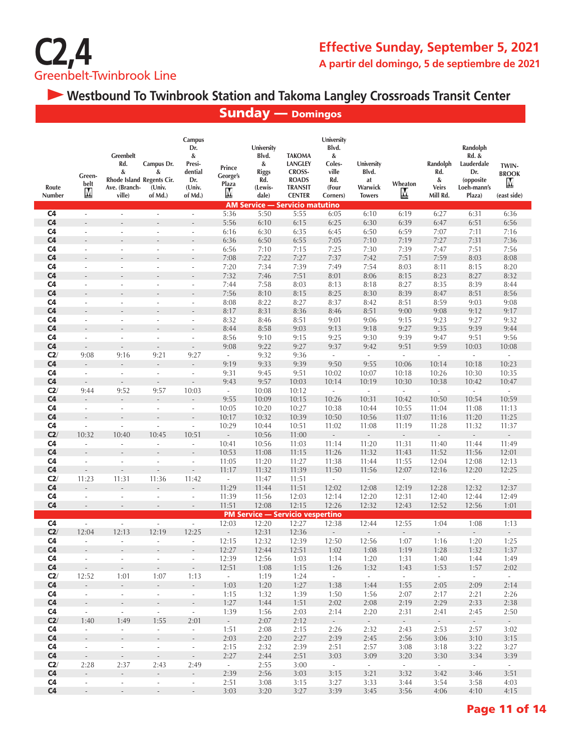

 **Westbound To Twinbrook Station and Takoma Langley Crossroads Transit Center**

|                       |                                       |                                                                                      |                                                         |                                                                     |                                         |                                                                     | <b>Sunday — Domingos</b>                                                                                                                     |                                                                         |                                                       |                          |                                                  |                                                                              |                                           |
|-----------------------|---------------------------------------|--------------------------------------------------------------------------------------|---------------------------------------------------------|---------------------------------------------------------------------|-----------------------------------------|---------------------------------------------------------------------|----------------------------------------------------------------------------------------------------------------------------------------------|-------------------------------------------------------------------------|-------------------------------------------------------|--------------------------|--------------------------------------------------|------------------------------------------------------------------------------|-------------------------------------------|
| Route<br>Number       | Green-<br>belt<br>M                   | <b>Greenbelt</b><br>Rd.<br>&<br>Rhode Island Regents Cir.<br>Ave. (Branch-<br>ville) | Campus Dr.<br>&<br>(Univ.<br>of Md.)                    | Campus<br>Dr.<br>&<br>Presi-<br>dential<br>Dr.<br>(Univ.<br>of Md.) | Prince<br>George's<br><b>Plaza</b><br>M | University<br>Blvd.<br>&<br><b>Riggs</b><br>Rd.<br>(Lewis-<br>dale) | <b>TAKOMA</b><br><b>LANGLEY</b><br><b>CROSS-</b><br><b>ROADS</b><br><b>TRANSIT</b><br><b>CENTER</b><br><b>AM Service - Servicio matutino</b> | University<br>Blvd.<br>&<br>Coles-<br>ville<br>Rd.<br>(Four<br>Corners) | University<br>Blvd.<br>at<br>Warwick<br><b>Towers</b> | Wheaton<br>M             | Randolph<br>Rd.<br>&<br><b>Veirs</b><br>Mill Rd. | Randolph<br>Rd. &<br>Lauderdale<br>Dr.<br>(opposite<br>Loeh-mann's<br>Plaza) | TWIN-<br><b>BROOK</b><br>M<br>(east side) |
| C4                    | $\overline{\phantom{a}}$              | $\overline{\phantom{a}}$                                                             |                                                         | $\overline{\phantom{a}}$                                            | 5:36                                    | 5:50                                                                | 5:55                                                                                                                                         | 6:05                                                                    | 6:10                                                  | 6:19                     | 6:27                                             | 6:31                                                                         | 6:36                                      |
| C <sub>4</sub>        |                                       |                                                                                      |                                                         |                                                                     | 5:56                                    | 6:10                                                                | 6:15                                                                                                                                         | 6:25                                                                    | 6:30                                                  | 6:39                     | 6:47                                             | 6:51                                                                         | 6:56                                      |
| C <sub>4</sub>        | $\sim$                                | $\overline{\phantom{a}}$                                                             |                                                         | $\overline{\phantom{a}}$                                            | 6:16                                    | 6:30                                                                | 6:35                                                                                                                                         | 6:45                                                                    | 6:50                                                  | 6:59                     | 7:07                                             | 7:11                                                                         | 7:16                                      |
| C <sub>4</sub>        |                                       |                                                                                      |                                                         |                                                                     | 6:36                                    | 6:50                                                                | 6:55                                                                                                                                         | 7:05                                                                    | 7:10                                                  | 7:19                     | 7:27                                             | 7:31                                                                         | 7:36                                      |
| C <sub>4</sub>        | ÷,                                    | ÷,                                                                                   |                                                         | ä,                                                                  | 6:56                                    | 7:10                                                                | 7:15                                                                                                                                         | 7:25                                                                    | 7:30                                                  | 7:39                     | 7:47                                             | 7:51                                                                         | 7:56                                      |
| C <sub>4</sub>        |                                       |                                                                                      |                                                         |                                                                     | 7:08                                    | 7:22                                                                | 7:27                                                                                                                                         | 7:37                                                                    | 7:42                                                  | 7:51                     | 7:59                                             | 8:03                                                                         | 8:08                                      |
| C <sub>4</sub>        | $\sim$                                |                                                                                      |                                                         | ä,                                                                  | 7:20                                    | 7:34                                                                | 7:39                                                                                                                                         | 7:49                                                                    | 7:54                                                  | 8:03                     | 8:11                                             | 8:15                                                                         | 8:20                                      |
| C <sub>4</sub>        | L.                                    |                                                                                      |                                                         |                                                                     | 7:32                                    | 7:46                                                                | 7:51                                                                                                                                         | 8:01                                                                    | 8:06                                                  | 8:15                     | 8:23                                             | 8:27                                                                         | 8:32                                      |
| C4                    | $\overline{\phantom{a}}$              | ÷,                                                                                   |                                                         | $\overline{a}$                                                      | 7:44                                    | 7:58                                                                | 8:03                                                                                                                                         | 8:13                                                                    | 8:18                                                  | 8:27                     | 8:35                                             | 8:39                                                                         | 8:44                                      |
| C <sub>4</sub>        | $\overline{a}$                        |                                                                                      |                                                         |                                                                     | 7:56                                    | 8:10                                                                | 8:15                                                                                                                                         | 8:25                                                                    | 8:30                                                  | 8:39                     | 8:47                                             | 8:51                                                                         | 8:56                                      |
| C4<br>C <sub>4</sub>  | $\overline{\phantom{a}}$              | ÷,                                                                                   |                                                         | $\overline{a}$                                                      | 8:08<br>8:17                            | 8:22                                                                | 8:27                                                                                                                                         | 8:37                                                                    | 8:42                                                  | 8:51<br>9:00             | 8:59                                             | 9:03<br>9:12                                                                 | 9:08<br>9:17                              |
| C <sub>4</sub>        | ä,                                    | ä,                                                                                   |                                                         | ÷,                                                                  | 8:32                                    | 8:31<br>8:46                                                        | 8:36<br>8:51                                                                                                                                 | 8:46<br>9:01                                                            | 8:51<br>9:06                                          | 9:15                     | 9:08<br>9:23                                     | 9:27                                                                         | 9:32                                      |
| C <sub>4</sub>        |                                       |                                                                                      |                                                         |                                                                     | 8:44                                    | 8:58                                                                | 9:03                                                                                                                                         | 9:13                                                                    | 9:18                                                  | 9:27                     | 9:35                                             | 9:39                                                                         | 9:44                                      |
| C <sub>4</sub>        | ä,                                    | ÷                                                                                    |                                                         | ×.                                                                  | 8:56                                    | 9:10                                                                | 9:15                                                                                                                                         | 9:25                                                                    | 9:30                                                  | 9:39                     | 9:47                                             | 9:51                                                                         | 9:56                                      |
| C <sub>4</sub>        |                                       |                                                                                      |                                                         |                                                                     | 9:08                                    | 9:22                                                                | 9:27                                                                                                                                         | 9:37                                                                    | 9:42                                                  | 9:51                     | 9:59                                             | 10:03                                                                        | 10:08                                     |
| C2/                   | 9:08                                  | 9:16                                                                                 | 9:21                                                    | 9:27                                                                | $\omega$                                | 9:32                                                                | 9:36                                                                                                                                         | $\mathcal{L}_{\mathcal{A}}$                                             | $\overline{\phantom{a}}$                              | $\overline{\phantom{a}}$ | $\overline{\phantom{a}}$                         | $\overline{\phantom{a}}$                                                     | $\overline{\phantom{a}}$                  |
| C <sub>4</sub>        | $\overline{a}$                        | $\overline{\phantom{a}}$                                                             |                                                         | $\overline{\phantom{a}}$                                            | 9:19                                    | 9:33                                                                | 9:39                                                                                                                                         | 9:50                                                                    | 9:55                                                  | 10:06                    | 10:14                                            | 10:18                                                                        | 10:23                                     |
| C4                    | $\overline{\phantom{a}}$              | $\overline{\phantom{a}}$                                                             | $\overline{\phantom{a}}$                                | $\overline{\phantom{a}}$                                            | 9:31                                    | 9:45                                                                | 9:51                                                                                                                                         | 10:02                                                                   | 10:07                                                 | 10:18                    | 10:26                                            | 10:30                                                                        | 10:35                                     |
| C <sub>4</sub>        | $\mathcal{L}_{\mathcal{A}}$           | $\overline{\phantom{a}}$                                                             | $\overline{\phantom{a}}$                                | $\overline{\phantom{a}}$                                            | 9:43                                    | 9:57                                                                | 10:03                                                                                                                                        | 10:14                                                                   | 10:19                                                 | 10:30                    | 10:38                                            | 10:42                                                                        | 10:47                                     |
| C2/                   | 9:44                                  | 9:52                                                                                 | 9:57                                                    | 10:03                                                               | $\overline{\phantom{a}}$                | 10:08                                                               | 10:12                                                                                                                                        | $\overline{\phantom{a}}$                                                | $\overline{\phantom{a}}$                              | $\overline{\phantom{a}}$ | $\overline{\phantom{a}}$                         | $\overline{\phantom{a}}$                                                     | $\Box$                                    |
| C <sub>4</sub>        |                                       |                                                                                      |                                                         |                                                                     | 9:55                                    | 10:09                                                               | 10:15                                                                                                                                        | 10:26                                                                   | 10:31                                                 | 10:42                    | 10:50                                            | 10:54                                                                        | 10:59                                     |
| C <sub>4</sub>        | $\overline{\phantom{a}}$              | $\overline{\phantom{a}}$                                                             | $\sim$                                                  | $\overline{\phantom{a}}$                                            | 10:05                                   | 10:20                                                               | 10:27                                                                                                                                        | 10:38                                                                   | 10:44                                                 | 10:55                    | 11:04                                            | 11:08                                                                        | 11:13                                     |
| C <sub>4</sub>        |                                       |                                                                                      |                                                         |                                                                     | 10:17                                   | 10:32                                                               | 10:39                                                                                                                                        | 10:50                                                                   | 10:56                                                 | 11:07                    | 11:16                                            | 11:20                                                                        | 11:25                                     |
| C <sub>4</sub><br>C2/ | ÷,<br>10:32                           | L,                                                                                   |                                                         | $\overline{\phantom{a}}$                                            | 10:29<br>$\overline{a}$                 | 10:44                                                               | 10:51                                                                                                                                        | 11:02                                                                   | 11:08<br>$\overline{a}$                               | 11:19<br>$\overline{a}$  | 11:28<br>$\overline{a}$                          | 11:32                                                                        | 11:37                                     |
| C <sub>4</sub>        | ÷.                                    | 10:40<br>Ĭ.                                                                          | 10:45<br>ä,                                             | 10:51<br>L.                                                         | 10:41                                   | 10:56<br>10:56                                                      | 11:00<br>11:03                                                                                                                               | $\overline{\phantom{a}}$<br>11:14                                       | 11:20                                                 | 11:31                    | 11:40                                            | 11:44                                                                        | 11:49                                     |
| C <sub>4</sub>        |                                       |                                                                                      |                                                         | ÷                                                                   | 10:53                                   | 11:08                                                               | 11:15                                                                                                                                        | 11:26                                                                   | 11:32                                                 | 11:43                    | 11:52                                            | 11:56                                                                        | 12:01                                     |
| C <sub>4</sub>        | ä,                                    | ÷,                                                                                   | ÷,                                                      | ÷,                                                                  | 11:05                                   | 11:20                                                               | 11:27                                                                                                                                        | 11:38                                                                   | 11:44                                                 | 11:55                    | 12:04                                            | 12:08                                                                        | 12:13                                     |
| C <sub>4</sub>        |                                       |                                                                                      |                                                         |                                                                     | 11:17                                   | 11:32                                                               | 11:39                                                                                                                                        | 11:50                                                                   | 11:56                                                 | 12:07                    | 12:16                                            | 12:20                                                                        | 12:25                                     |
| C2/                   | 11:23                                 | 11:31                                                                                | 11:36                                                   | 11:42                                                               | $\overline{\phantom{a}}$                | 11:47                                                               | 11:51                                                                                                                                        | $\overline{\phantom{a}}$                                                | $\overline{\phantom{a}}$                              | $\overline{\phantom{a}}$ | $\overline{\phantom{a}}$                         | $\overline{\phantom{a}}$                                                     | $\overline{\phantom{a}}$                  |
| C <sub>4</sub>        |                                       |                                                                                      |                                                         | $\overline{a}$                                                      | 11:29                                   | 11:44                                                               | 11:51                                                                                                                                        | 12:02                                                                   | 12:08                                                 | 12:19                    | 12:28                                            | 12:32                                                                        | 12:37                                     |
| C <sub>4</sub>        | ÷.                                    | $\sim$                                                                               | ÷.                                                      | $\sim$                                                              | 11:39                                   | 11:56                                                               | 12:03                                                                                                                                        | 12:14                                                                   | 12:20                                                 | 12:31                    | 12:40                                            | 12:44                                                                        | 12:49                                     |
| C <sub>4</sub>        | $\overline{\phantom{a}}$              | $\overline{\phantom{a}}$                                                             | $\overline{\phantom{a}}$                                | $\overline{\phantom{a}}$                                            | 11:51                                   | 12:08                                                               | 12:15                                                                                                                                        | 12:26                                                                   | 12:32                                                 | 12:43                    | 12:52                                            | 12:56                                                                        | 1:01                                      |
|                       |                                       |                                                                                      |                                                         |                                                                     |                                         |                                                                     | <b>PM Service - Servicio vespertino</b>                                                                                                      |                                                                         |                                                       |                          |                                                  |                                                                              |                                           |
| C <sub>4</sub>        | ä,                                    | $\overline{\phantom{a}}$                                                             | $\overline{\phantom{a}}$                                | $\omega$                                                            | 12:03                                   | 12:20                                                               | 12:27                                                                                                                                        | 12:38                                                                   | 12:44                                                 | 12:55                    | 1:04                                             | 1:08                                                                         | 1:13                                      |
| C2/<br>C4             | 12:04                                 | 12:13                                                                                | 12:19                                                   | 12:25                                                               | $\sim 10^{-10}$<br>12:15                | 12:31                                                               | 12:36                                                                                                                                        | $\sigma_{\rm{max}}$                                                     | $\sim 10^{-10}$                                       | $\sim$                   | $\sim$ $-$                                       |                                                                              | 1:25                                      |
| C <sub>4</sub>        | $\sim$<br>÷,                          | $\sim$<br>$\overline{\phantom{a}}$                                                   | $\mathcal{L}_{\mathcal{A}}$<br>$\blacksquare$           | $\sim$<br>$\overline{\phantom{a}}$                                  | 12:27                                   | 12:32<br>12:44                                                      | 12:39<br>12:51                                                                                                                               | 12:50<br>1:02                                                           | 12:56<br>1:08                                         | 1:07<br>1:19             | 1:16<br>1:28                                     | 1:20<br>1:32                                                                 | 1:37                                      |
| C4                    | $\mathcal{L}_{\mathcal{A}}$           | $\sim$                                                                               | $\sim$                                                  | $\sim$                                                              | 12:39                                   | 12:56                                                               | 1:03                                                                                                                                         | 1:14                                                                    | 1:20                                                  | 1:31                     | 1:40                                             | 1:44                                                                         | 1:49                                      |
| C <sub>4</sub>        | $\sim$                                | $\Box$                                                                               | $\overline{\phantom{a}}$                                | $\sim$                                                              | 12:51                                   | 1:08                                                                | 1:15                                                                                                                                         | 1:26                                                                    | 1:32                                                  | 1:43                     | 1:53                                             | 1:57                                                                         | 2:02                                      |
| C2/                   | 12:52                                 | 1:01                                                                                 | 1:07                                                    | 1:13                                                                | $\sim$ $-$                              | 1:19                                                                | 1:24                                                                                                                                         | $\sim$                                                                  | $\sim$                                                | $\sim$                   | $\sim$                                           | $\sim$                                                                       | $\sim$                                    |
| C <sub>4</sub>        | ÷.                                    | $\overline{\phantom{a}}$                                                             | $\overline{\phantom{a}}$                                | $\sim$                                                              | 1:03                                    | 1:20                                                                | 1:27                                                                                                                                         | 1:38                                                                    | 1:44                                                  | 1:55                     | 2:05                                             | 2:09                                                                         | 2:14                                      |
| C <sub>4</sub>        | $\mathbb{Z}^{\mathbb{Z}}$             | $\omega$                                                                             | $\sim$                                                  | $\overline{\phantom{a}}$                                            | 1:15                                    | 1:32                                                                | 1:39                                                                                                                                         | 1:50                                                                    | 1:56                                                  | 2:07                     | 2:17                                             | 2:21                                                                         | 2:26                                      |
| C <sub>4</sub>        | $\mathcal{L}^{\pm}$                   | $\overline{\phantom{a}}$                                                             | $\overline{\phantom{a}}$                                | $\mathcal{L}_{\mathcal{A}}$                                         | 1:27                                    | 1:44                                                                | 1:51                                                                                                                                         | 2:02                                                                    | 2:08                                                  | 2:19                     | 2:29                                             | 2:33                                                                         | 2:38                                      |
| C4                    | $\sim$                                | $\mathcal{L}_{\mathcal{A}}$                                                          | $\sim$                                                  | $\sim$                                                              | 1:39                                    | 1:56                                                                | 2:03                                                                                                                                         | 2:14                                                                    | 2:20                                                  | 2:31                     | 2:41                                             | 2:45                                                                         | 2:50                                      |
| C2/                   | 1:40                                  | 1:49                                                                                 | 1:55                                                    | 2:01                                                                | $\sim$                                  | 2:07                                                                | 2:12                                                                                                                                         | $\sim$                                                                  | $\sim$                                                | $\sim$                   | $\sim$                                           | $\sim$                                                                       | $\sim$                                    |
| C4<br>C <sub>4</sub>  | $\omega$                              | $\omega_{\rm c}$                                                                     | $\sim$                                                  | $\sim$                                                              | 1:51                                    | 2:08                                                                | 2:15                                                                                                                                         | 2:26                                                                    | 2:32                                                  | 2:43                     | 2:53                                             | 2:57                                                                         | 3:02                                      |
| C <sub>4</sub>        | $\mathcal{L}_{\mathcal{A}}$<br>$\sim$ | $\overline{\phantom{a}}$<br>$\overline{\phantom{a}}$                                 | $\overline{\phantom{a}}$<br>$\mathcal{L}_{\mathcal{A}}$ | $\mathcal{L}_{\mathcal{A}}$                                         | 2:03<br>2:15                            | 2:20<br>2:32                                                        | 2:27<br>2:39                                                                                                                                 | 2:39<br>2:51                                                            | 2:45<br>2:57                                          | 2:56                     | 3:06<br>3:18                                     | 3:10<br>3:22                                                                 | 3:15<br>3:27                              |
| C <sub>4</sub>        | $\sim$                                | $\mathcal{L}_{\mathcal{A}}$                                                          | $\sim$                                                  | $\mathcal{L}_{\mathcal{A}}$<br>$\mathcal{L}_{\mathcal{A}}$          | 2:27                                    | 2:44                                                                | 2:51                                                                                                                                         | 3:03                                                                    | 3:09                                                  | 3:08<br>3:20             | 3:30                                             | 3:34                                                                         | 3:39                                      |
| C2/                   | 2:28                                  | 2:37                                                                                 | 2:43                                                    | 2:49                                                                | $\sim$                                  | 2:55                                                                | 3:00                                                                                                                                         | $\sim$                                                                  | $\sim$                                                | $\sim$                   | $\sim$                                           | $\sim$                                                                       | $\sim$                                    |
| C4                    | $\mathcal{L}$                         | $\overline{\phantom{a}}$                                                             | $\overline{a}$                                          | $\overline{\phantom{a}}$                                            | 2:39                                    | 2:56                                                                | 3:03                                                                                                                                         | 3:15                                                                    | 3:21                                                  | 3:32                     | 3:42                                             | 3:46                                                                         | 3:51                                      |
| C4                    | $\sim$                                | $\overline{\phantom{a}}$                                                             | $\overline{\phantom{a}}$                                | $\mathcal{L}_{\mathcal{A}}$                                         | 2:51                                    | 3:08                                                                | 3:15                                                                                                                                         | 3:27                                                                    | 3:33                                                  | 3:44                     | 3:54                                             | 3:58                                                                         | 4:03                                      |
| C <sub>4</sub>        | $\sim$                                | $\overline{\phantom{a}}$                                                             | $\overline{\phantom{a}}$                                | $\sim$                                                              | 3:03                                    | 3:20                                                                | 3:27                                                                                                                                         | 3:39                                                                    | 3:45                                                  | 3:56                     | 4:06                                             | 4:10                                                                         | 4:15                                      |

#### Page 11 of 14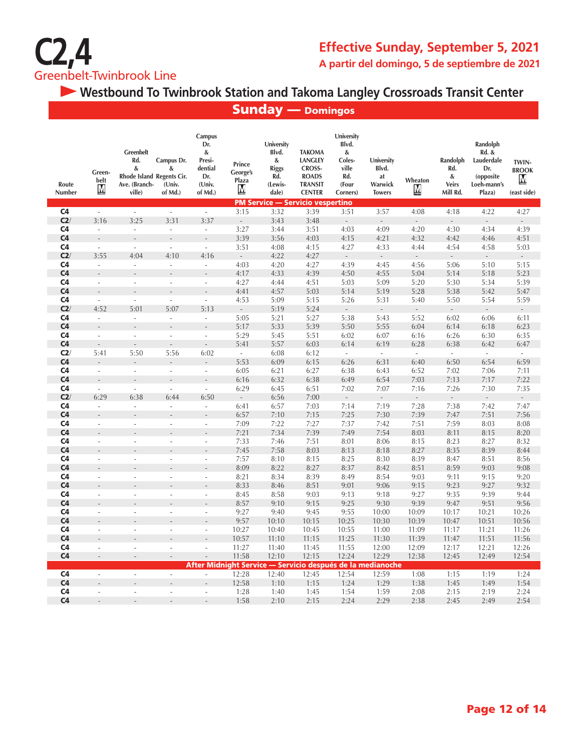

### **Effective Sunday, September 5, 2021 A partir del domingo, 5 de septiembre de 2021**

 **Westbound To Twinbrook Station and Takoma Langley Crossroads Transit Center**

Sunday — Domingos

| Route<br><b>Number</b> | Green-<br>belt<br>M      | <b>Greenbelt</b><br>Rd.<br>&<br>Rhode Island Regents Cir.<br>Ave. (Branch-<br>ville) | Campus Dr.<br>&<br>(Univ.<br>of Md.) | Campus<br>Dr.<br>&<br>Presi-<br>dential<br>Dr.<br>(Univ.<br>of Md.) | Prince<br>George's<br>Plaza<br>М | University<br>Blvd.<br>&<br><b>Riggs</b><br>Rd.<br>(Lewis-<br>dale) | <b>TAKOMA</b><br><b>LANGLEY</b><br><b>CROSS-</b><br><b>ROADS</b><br><b>TRANSIT</b><br><b>CENTER</b> | University<br>Blvd.<br>&<br>Coles-<br>ville<br>Rd.<br>(Four<br>Corners) | University<br>Blvd.<br>at<br>Warwick<br><b>Towers</b> | Wheaton<br>M             | Randolph<br>Rd.<br>&<br><b>Veirs</b><br>Mill Rd. | Randolph<br>Rd. &<br>Lauderdale<br>Dr.<br>(opposite<br>Loeh-mann's<br>Plaza) | TWIN-<br><b>BROOK</b><br>M<br>(east side) |
|------------------------|--------------------------|--------------------------------------------------------------------------------------|--------------------------------------|---------------------------------------------------------------------|----------------------------------|---------------------------------------------------------------------|-----------------------------------------------------------------------------------------------------|-------------------------------------------------------------------------|-------------------------------------------------------|--------------------------|--------------------------------------------------|------------------------------------------------------------------------------|-------------------------------------------|
|                        |                          |                                                                                      |                                      |                                                                     |                                  | <b>PM Service - Servicio vespertino</b>                             |                                                                                                     |                                                                         |                                                       |                          |                                                  |                                                                              |                                           |
| C <sub>4</sub>         | $\mathcal{L}$            | $\mathcal{L}$                                                                        | $\overline{\phantom{a}}$             | $\omega$                                                            | 3:15                             | 3:32                                                                | 3:39                                                                                                | 3:51                                                                    | 3:57                                                  | 4:08                     | 4:18                                             | 4:22                                                                         | 4:27                                      |
| C2/                    | 3:16                     | 3:25                                                                                 | 3:31                                 | 3:37                                                                | $\overline{\phantom{a}}$         | 3:43                                                                | 3:48                                                                                                | $\overline{a}$                                                          |                                                       |                          |                                                  |                                                                              |                                           |
| C <sub>4</sub>         | $\overline{\phantom{a}}$ | $\overline{\phantom{a}}$                                                             | ٠                                    | $\overline{\phantom{a}}$                                            | 3:27                             | 3:44                                                                | 3:51                                                                                                | 4:03                                                                    | 4:09                                                  | 4:20                     | 4:30                                             | 4:34                                                                         | 4:39                                      |
| C <sub>4</sub>         |                          |                                                                                      |                                      |                                                                     | 3:39                             | 3:56                                                                | 4:03                                                                                                | 4:15                                                                    | 4:21                                                  | 4:32                     | 4:42                                             | 4:46                                                                         | 4:51                                      |
| C <sub>4</sub>         | $\overline{\phantom{a}}$ | ä,                                                                                   | ÷,                                   | $\overline{\phantom{a}}$                                            | 3:51                             | 4:08                                                                | 4:15                                                                                                | 4:27                                                                    | 4:33                                                  | 4:44                     | 4:54                                             | 4:58                                                                         | 5:03                                      |
| C2                     | 3:55                     | 4:04                                                                                 | 4:10                                 | 4:16                                                                | $\overline{\phantom{a}}$         | 4:22                                                                | 4:27                                                                                                | $\mathbb{Z}^2$                                                          | $\mathcal{L}_{\mathcal{A}}$                           | $\overline{\phantom{a}}$ | $\mathcal{L}$                                    | $\overline{\phantom{a}}$                                                     | $\overline{\phantom{a}}$                  |
| C <sub>4</sub>         | $\overline{\phantom{a}}$ | $\overline{\phantom{a}}$                                                             |                                      | $\overline{\phantom{a}}$                                            | 4:03                             | 4:20                                                                | 4:27                                                                                                | 4:39                                                                    | 4:45                                                  | 4:56                     | 5:06                                             | 5:10                                                                         | 5:15                                      |
| C <sub>4</sub>         | $\overline{a}$           |                                                                                      |                                      |                                                                     | 4:17                             | 4:33                                                                | 4:39                                                                                                | 4:50                                                                    | 4:55                                                  | 5:04                     | 5:14                                             | 5:18                                                                         | 5:23                                      |
| C <sub>4</sub>         | J.                       | J.                                                                                   | ÷,                                   | $\overline{\phantom{a}}$                                            | 4:27                             | 4:44                                                                | 4:51                                                                                                | 5:03                                                                    | 5:09                                                  | 5:20                     | 5:30                                             | 5:34                                                                         | 5:39                                      |
| C <sub>4</sub>         |                          |                                                                                      |                                      |                                                                     | 4:41                             | 4:57                                                                | 5:03                                                                                                | 5:14                                                                    | 5:19                                                  | 5:28                     | 5:38                                             | 5:42                                                                         | 5:47                                      |
| C <sub>4</sub>         | ÷.                       | L.                                                                                   |                                      | $\overline{\phantom{a}}$                                            | 4:53                             | 5:09                                                                | 5:15                                                                                                | 5:26                                                                    | 5:31                                                  | 5:40                     | 5:50                                             | 5:54                                                                         | 5:59                                      |
| C2/                    | 4:52                     | 5:01                                                                                 | 5:07                                 | 5:13                                                                | $\overline{\phantom{a}}$         | 5:19                                                                | 5:24                                                                                                | $\overline{\phantom{a}}$                                                | $\overline{\phantom{a}}$                              |                          | $\overline{a}$                                   | $\overline{\phantom{a}}$                                                     |                                           |
| C <sub>4</sub>         | ÷.                       | ä,                                                                                   | ÷.                                   | ÷.                                                                  | 5:05                             | 5:21                                                                | 5:27                                                                                                | 5:38                                                                    | 5:43                                                  | 5:52                     | 6:02                                             | 6:06                                                                         | 6:11                                      |
| C <sub>4</sub>         |                          |                                                                                      |                                      |                                                                     | 5:17                             | 5:33                                                                | 5:39                                                                                                | 5:50                                                                    | 5:55                                                  | 6:04                     | 6:14                                             | 6:18                                                                         | 6:23                                      |
| C <sub>4</sub>         | ä,                       | ÷.                                                                                   | ÷.                                   | ÷.                                                                  | 5:29                             | 5:45                                                                | 5:51                                                                                                | 6:02                                                                    | 6:07                                                  | 6:16                     | 6:26                                             | 6:30                                                                         | 6:35                                      |
| C <sub>4</sub>         | $\overline{a}$           |                                                                                      |                                      | $\overline{a}$                                                      | 5:41                             | 5:57                                                                | 6:03                                                                                                | 6:14                                                                    | 6:19                                                  | 6:28                     | 6:38                                             | 6:42                                                                         | 6:47                                      |
| C2/                    | 5:41                     | 5:50                                                                                 | 5:56                                 | 6:02                                                                | $\sim$                           | 6:08                                                                | 6:12                                                                                                | $\overline{\phantom{a}}$                                                | $\sim$                                                | $\sim$                   | $\overline{\phantom{a}}$                         | $\sim$                                                                       | $\sim$                                    |
| C <sub>4</sub>         |                          |                                                                                      |                                      |                                                                     | 5:53                             | 6:09                                                                | 6:15                                                                                                | 6:26                                                                    | 6:31                                                  | 6:40                     | 6:50                                             | 6:54                                                                         | 6:59                                      |
| C <sub>4</sub>         | ä,                       | ÷,                                                                                   | ä,                                   | $\sim$                                                              | 6:05                             | 6:21                                                                | 6:27                                                                                                | 6:38                                                                    | 6:43                                                  | 6:52                     | 7:02                                             | 7:06                                                                         | 7:11                                      |
| C <sub>4</sub>         |                          |                                                                                      |                                      |                                                                     | 6:16                             | 6:32                                                                | 6:38                                                                                                | 6:49                                                                    | 6:54                                                  | 7:03                     | 7:13                                             | 7:17                                                                         | 7:22                                      |
| C <sub>4</sub>         | $\bar{a}$                | ä,                                                                                   | ä,                                   | $\overline{\phantom{a}}$                                            | 6:29                             | 6:45                                                                | 6:51                                                                                                | 7:02                                                                    | 7:07                                                  | 7:16                     | 7:26                                             | 7:30                                                                         | 7:35                                      |
| C2/                    | 6:29                     | 6:38                                                                                 | 6:44                                 | 6:50                                                                | $\overline{\phantom{a}}$         | 6:56                                                                | 7:00                                                                                                | $\overline{\phantom{a}}$                                                | $\overline{\phantom{a}}$                              |                          | $\overline{a}$                                   | $\sim$                                                                       | $\overline{\phantom{a}}$                  |
| C <sub>4</sub>         | $\sim$                   | ä,                                                                                   | ä,                                   | $\sim$                                                              | 6:41                             | 6:57                                                                | 7:03                                                                                                | 7:14                                                                    | 7:19                                                  | 7:28                     | 7:38                                             | 7:42                                                                         | 7:47                                      |
| C <sub>4</sub>         |                          |                                                                                      |                                      |                                                                     | 6:57                             | 7:10                                                                | 7:15                                                                                                | 7:25                                                                    | 7:30                                                  | 7:39                     | 7:47                                             | 7:51                                                                         | 7:56                                      |
| C4                     | ä,                       | ÷,                                                                                   |                                      | ÷,                                                                  | 7:09                             | 7:22                                                                | 7:27                                                                                                | 7:37                                                                    | 7:42                                                  | 7:51                     | 7:59                                             | 8:03                                                                         | 8:08                                      |
| C <sub>4</sub>         |                          |                                                                                      |                                      |                                                                     | 7:21                             | 7:34                                                                | 7:39                                                                                                | 7:49                                                                    | 7:54                                                  | 8:03                     | 8:11                                             | 8:15                                                                         | 8:20                                      |
| C4                     | ×.                       | ÷.                                                                                   | ÷                                    | ÷,                                                                  | 7:33                             | 7:46                                                                | 7:51                                                                                                | 8:01                                                                    | 8:06                                                  | 8:15                     | 8:23                                             | 8:27                                                                         | 8:32                                      |
| C <sub>4</sub>         |                          |                                                                                      |                                      |                                                                     | 7:45                             | 7:58                                                                | 8:03                                                                                                | 8:13                                                                    | 8:18                                                  | 8:27                     | 8:35                                             | 8:39                                                                         | 8:44                                      |
| C <sub>4</sub>         | L,                       |                                                                                      |                                      | ä,                                                                  | 7:57                             | 8:10                                                                | 8:15                                                                                                | 8:25                                                                    | 8:30                                                  | 8:39                     | 8:47                                             | 8:51                                                                         | 8:56                                      |
| C <sub>4</sub>         |                          |                                                                                      |                                      |                                                                     | 8:09                             | 8:22                                                                | 8:27                                                                                                | 8:37                                                                    | 8:42                                                  | 8:51                     | 8:59                                             | 9:03                                                                         | 9:08                                      |
| C <sub>4</sub>         | ä,                       | ÷,                                                                                   |                                      | ÷,                                                                  | 8:21                             | 8:34                                                                | 8:39                                                                                                | 8:49                                                                    | 8:54                                                  | 9:03                     | 9:11                                             | 9:15                                                                         | 9:20                                      |
| C <sub>4</sub>         |                          |                                                                                      |                                      |                                                                     | 8:33                             | 8:46                                                                | 8:51                                                                                                | 9:01                                                                    | 9:06                                                  | 9:15                     | 9:23                                             | 9:27                                                                         | 9:32                                      |
| C <sub>4</sub>         | ä,                       | i.                                                                                   | ÷.                                   | ÷,                                                                  | 8:45                             | 8:58                                                                | 9:03                                                                                                | 9:13                                                                    | 9:18                                                  | 9:27                     | 9:35                                             | 9:39                                                                         | 9:44                                      |
| C <sub>4</sub>         |                          |                                                                                      |                                      |                                                                     | 8:57                             | 9:10                                                                | 9:15                                                                                                | 9:25                                                                    | 9:30                                                  | 9:39                     | 9:47                                             | 9:51                                                                         | 9:56                                      |
| C4                     | L.                       |                                                                                      |                                      |                                                                     | 9:27                             | 9:40                                                                | 9:45                                                                                                | 9:55                                                                    | 10:00                                                 | 10:09                    | 10:17                                            | 10:21                                                                        | 10:26                                     |
| C <sub>4</sub>         |                          |                                                                                      |                                      |                                                                     | 9:57                             | 10:10                                                               | 10:15                                                                                               | 10:25                                                                   | 10:30                                                 | 10:39                    | 10:47                                            | 10:51                                                                        | 10:56                                     |
| C <sub>4</sub>         | ÷,                       | ÷,                                                                                   | ÷.                                   | $\overline{a}$                                                      | 10:27                            | 10:40                                                               | 10:45                                                                                               | 10:55                                                                   | 11:00                                                 | 11:09                    | 11:17                                            | 11:21                                                                        | 11:26                                     |
| C <sub>4</sub>         |                          |                                                                                      |                                      |                                                                     | 10:57                            | 11:10                                                               | 11:15                                                                                               | 11:25                                                                   | 11:30                                                 | 11:39                    | 11:47                                            | 11:51                                                                        | 11:56                                     |
| C <sub>4</sub>         | J.                       | ÷,                                                                                   |                                      | ä,                                                                  | 11:27                            | 11:40                                                               | 11:45                                                                                               | 11:55                                                                   | 12:00                                                 | 12:09                    | 12:17                                            | 12:21                                                                        | 12:26                                     |
| C <sub>4</sub>         | L.                       | ÷.                                                                                   | ÷.                                   |                                                                     | 11:58                            | 12:10                                                               | 12:15                                                                                               | 12:24                                                                   | 12:29                                                 | 12:38                    | 12:45                                            | 12:49                                                                        | 12:54                                     |
|                        |                          |                                                                                      |                                      |                                                                     |                                  | After Midnight Service — Servicio después de la medianoche          |                                                                                                     |                                                                         |                                                       |                          |                                                  |                                                                              |                                           |
| C <sub>4</sub>         | ÷.                       | J.                                                                                   | ×.                                   | ÷,                                                                  | 12:28                            | 12:40                                                               | 12:45                                                                                               | 12:54                                                                   | 12:59                                                 | 1:08                     | 1:15                                             | 1:19                                                                         | 1:24                                      |
| C <sub>4</sub>         |                          |                                                                                      |                                      |                                                                     | 12:58                            | 1:10                                                                | 1:15                                                                                                | 1:24                                                                    | 1:29                                                  | 1:38                     | 1:45                                             | 1:49                                                                         | 1:54                                      |
| C <sub>4</sub>         | ä,                       | ä,                                                                                   | ä,                                   | ÷,                                                                  | 1:28                             | 1:40                                                                | 1:45                                                                                                | 1:54                                                                    | 1:59                                                  | 2:08                     | 2:15                                             | 2:19                                                                         | 2:24                                      |
| C <sub>4</sub>         |                          |                                                                                      |                                      |                                                                     | 1:58                             | 2:10                                                                | 2:15                                                                                                | 2:24                                                                    | 2:29                                                  | 2:38                     | 2:45                                             | 2:49                                                                         | 2:54                                      |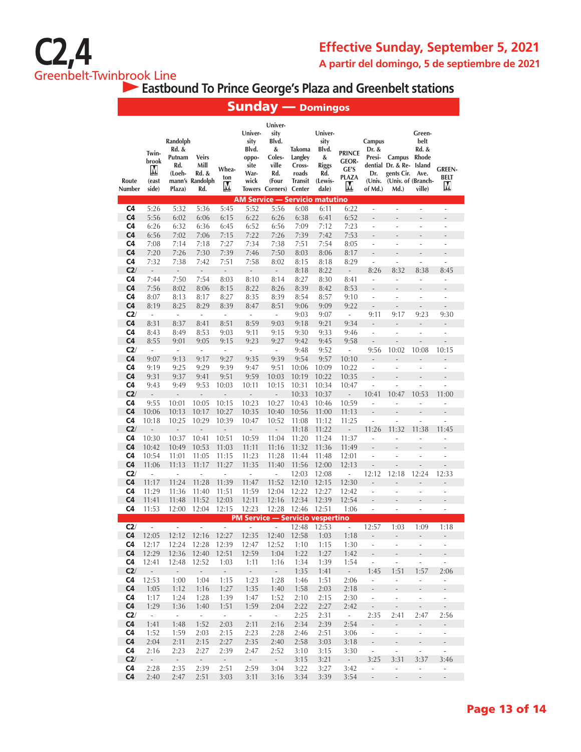

 **Eastbound To Prince George's Plaza and Greenbelt stations**

|                                  |                                       |                                                        |                                                         |                   |                                                           | <b>Sunday — Domingos</b>                                                            |                                                           |                                                                          |                                                             |                                             |                                                                                       |                                                           |                                            |
|----------------------------------|---------------------------------------|--------------------------------------------------------|---------------------------------------------------------|-------------------|-----------------------------------------------------------|-------------------------------------------------------------------------------------|-----------------------------------------------------------|--------------------------------------------------------------------------|-------------------------------------------------------------|---------------------------------------------|---------------------------------------------------------------------------------------|-----------------------------------------------------------|--------------------------------------------|
| Route<br>Number                  | Twin-<br>brook<br>M<br>(east<br>side) | Randolph<br>Rd. &<br>Putnam<br>Rd.<br>(Loeh-<br>Plaza) | <b>Veirs</b><br>Mill<br>Rd. &<br>mann's Randolph<br>Rd. | Whea-<br>ton<br>M | Univer-<br>sity<br>Blvd.<br>oppo-<br>site<br>War-<br>wick | Univer-<br>sity<br>Blvd.<br>&<br>Coles-<br>ville<br>Rd.<br>(Four<br>Towers Corners) | Takoma<br>Langley<br>Cross-<br>roads<br>Transit<br>Center | Univer-<br>sity<br>Blvd.<br>&<br><b>Riggs</b><br>Rd.<br>(Lewis-<br>dale) | <b>PRINCE</b><br><b>GEOR-</b><br>GE'S<br><b>PLAZA</b><br>Ņ, | Campus<br>Dr. &<br>Presi-<br>Dr.<br>of Md.) | Campus<br>dential Dr. & Re- Island<br>gents Cir.<br>(Univ. (Univ. of (Branch-<br>Md.) | Green-<br>belt<br>Rd. &<br><b>Rhode</b><br>Ave.<br>ville) | <b>GREEN-</b><br>BELT<br>M                 |
| C4                               | 5:26                                  | 5:32                                                   | 5:36                                                    | 5:45              | 5:52                                                      | AM Service — Servicio matutino                                                      |                                                           | 6:11                                                                     | 6:22                                                        | ÷,                                          | ÷,                                                                                    | ÷,                                                        | ÷,                                         |
| C <sub>4</sub>                   | 5:56                                  | 6:02                                                   | 6:06                                                    | 6:15              | 6:22                                                      | 5:56<br>6:26                                                                        | 6:08<br>6:38                                              | 6:41                                                                     | 6:52                                                        | $\overline{a}$                              | ä,                                                                                    | L,                                                        | ÷,                                         |
| C4                               | 6:26                                  | 6:32                                                   | 6:36                                                    | 6:45              | 6:52                                                      | 6:56                                                                                | 7:09                                                      | 7:12                                                                     | 7:23                                                        | ÷                                           | ä,                                                                                    | L,                                                        | ÷                                          |
| C <sub>4</sub>                   | 6:56                                  | 7:02                                                   | 7:06                                                    | 7:15              | 7:22                                                      | 7:26                                                                                | 7:39                                                      | 7:42                                                                     | 7:53                                                        |                                             |                                                                                       |                                                           |                                            |
| C <sub>4</sub>                   | 7:08                                  | 7:14                                                   | 7:18                                                    | 7:27              | 7:34                                                      | 7:38                                                                                | 7:51                                                      | 7:54                                                                     | 8:05                                                        | $\overline{\phantom{a}}$                    | ÷                                                                                     | ÷,                                                        | ÷,                                         |
| C <sub>4</sub>                   | 7:20                                  | 7:26                                                   | 7:30                                                    | 7:39              | 7:46                                                      | 7:50                                                                                | 8:03                                                      | 8:06                                                                     | 8:17                                                        |                                             |                                                                                       |                                                           | $\overline{a}$                             |
| C4                               | 7:32                                  | 7:38                                                   | 7:42                                                    | 7:51              | 7:58                                                      | 8:02                                                                                | 8:15                                                      | 8:18                                                                     | 8:29                                                        | ÷,                                          | L,                                                                                    | ÷,                                                        | ÷,                                         |
| C2/                              | $\overline{\phantom{a}}$              | $\qquad \qquad -$                                      | L,                                                      | $\frac{1}{2}$     | $\overline{a}$                                            |                                                                                     | 8:18                                                      | 8:22                                                                     | $\overline{\phantom{a}}$                                    | 8:26                                        | 8:32                                                                                  | 8:38                                                      | 8:45                                       |
| C <sub>4</sub>                   | 7:44                                  | 7:50                                                   | 7:54                                                    | 8:03              | 8:10                                                      | 8:14                                                                                | 8:27                                                      | 8:30                                                                     | 8:41                                                        | ÷,                                          | L,                                                                                    | $\overline{a}$                                            | L,                                         |
| C <sub>4</sub>                   | 7:56                                  | 8:02                                                   | 8:06                                                    | 8:15              | 8:22                                                      | 8:26                                                                                | 8:39                                                      | 8:42                                                                     | 8:53                                                        |                                             |                                                                                       |                                                           |                                            |
| C <sub>4</sub>                   | 8:07                                  | 8:13                                                   | 8:17                                                    | 8:27              | 8:35                                                      | 8:39                                                                                | 8:54                                                      | 8:57                                                                     | 9:10                                                        | ÷,                                          |                                                                                       |                                                           | L,                                         |
| C <sub>4</sub>                   | 8:19                                  | 8:25                                                   | 8:29                                                    | 8:39              | 8:47                                                      | 8:51                                                                                | 9:06                                                      | 9:09                                                                     | 9:22                                                        | L,                                          |                                                                                       | L                                                         |                                            |
| C2/                              | $\overline{\phantom{a}}$              | $\overline{\phantom{a}}$                               | ÷,                                                      | ÷,                | ÷,                                                        | ÷,                                                                                  | 9:03                                                      | 9:07                                                                     | $\overline{\phantom{a}}$                                    | 9:11                                        | 9:17                                                                                  | 9:23                                                      | 9:30                                       |
| C <sub>4</sub>                   | 8:31                                  | 8:37                                                   | 8:41                                                    | 8:51              | 8:59                                                      | 9:03                                                                                | 9:18                                                      | 9:21                                                                     | 9:34                                                        | $\qquad \qquad \blacksquare$                |                                                                                       |                                                           |                                            |
| C4                               | 8:43                                  | 8:49                                                   | 8:53                                                    | 9:03              | 9:11                                                      | 9:15                                                                                | 9:30                                                      | 9:33                                                                     | 9:46                                                        | ÷,                                          | ä,                                                                                    | ä,                                                        | L,                                         |
| C <sub>4</sub><br>C2/            | 8:55<br>÷.                            | 9:01<br>÷.                                             | 9:05<br>ä,                                              | 9:15<br>÷,        | 9:23<br>٠                                                 | 9:27<br>ä,                                                                          | 9:42<br>9:48                                              | 9:45<br>9:52                                                             | 9:58<br>ä,                                                  | $\overline{a}$<br>9:56                      | 10:02                                                                                 | 10:08                                                     | 10:15                                      |
| C <sub>4</sub>                   | 9:07                                  | 9:13                                                   | 9:17                                                    | 9:27              | 9:35                                                      | 9:39                                                                                | 9:54                                                      | 9:57                                                                     | 10:10                                                       |                                             |                                                                                       |                                                           |                                            |
| C4                               | 9:19                                  | 9:25                                                   | 9:29                                                    | 9:39              | 9:47                                                      | 9:51                                                                                | 10:06                                                     | 10:09                                                                    | 10:22                                                       | ÷,                                          |                                                                                       |                                                           | L,                                         |
| C <sub>4</sub>                   | 9:31                                  | 9:37                                                   | 9:41                                                    | 9:51              | 9:59                                                      | 10:03                                                                               | 10:19                                                     | 10:22                                                                    | 10:35                                                       |                                             |                                                                                       |                                                           | L                                          |
| C4                               | 9:43                                  | 9:49                                                   | 9:53                                                    | 10:03             | 10:11                                                     | 10:15                                                                               | 10:31                                                     | 10:34                                                                    | 10:47                                                       |                                             |                                                                                       |                                                           | L                                          |
| C2/                              | $\frac{1}{2}$                         | $\frac{1}{2}$                                          | L,                                                      | $\overline{a}$    | $\overline{\phantom{0}}$                                  | $\overline{\phantom{m}}$                                                            | 10:33                                                     | 10:37                                                                    | $\frac{1}{2}$                                               | 10:41                                       | 10:47                                                                                 | 10:53                                                     | 11:00                                      |
| C4                               | 9:55                                  | 10:01                                                  | 10:05                                                   | 10:15             | 10:23                                                     | 10:27                                                                               | 10:43                                                     | 10:46                                                                    | 10:59                                                       | ä,                                          | ä,                                                                                    | ÷                                                         | ÷                                          |
| C <sub>4</sub>                   | 10:06                                 | 10:13                                                  | 10:17                                                   | 10:27             | 10:35                                                     | 10:40                                                                               | 10:56                                                     | 11:00                                                                    | 11:13                                                       |                                             |                                                                                       |                                                           |                                            |
| C <sub>4</sub>                   | 10:18                                 | 10:25                                                  | 10:29                                                   | 10:39             | 10:47                                                     | 10:52                                                                               | 11:08                                                     | 11:12                                                                    | 11:25                                                       | $\frac{1}{2}$                               | ä,                                                                                    | ÷                                                         | ÷,                                         |
| C2/                              | $\overline{a}$                        | ÷,                                                     | Ē,                                                      | L,                | $\overline{\phantom{a}}$                                  | L,                                                                                  | 11:18                                                     | 11:22                                                                    | Ē,                                                          | 11:26                                       | 11:32                                                                                 | 11:38                                                     | 11:45                                      |
| C <sub>4</sub>                   | 10:30                                 | 10:37                                                  | 10:41                                                   | 10:51             | 10:59                                                     | 11:04                                                                               | 11:20                                                     | 11:24                                                                    | 11:37                                                       | ÷,                                          | ä,                                                                                    | ä,                                                        | ÷,                                         |
| C <sub>4</sub>                   | 10:42                                 | 10:49                                                  | 10:53                                                   | 11:03             | 11:11                                                     | 11:16                                                                               | 11:32                                                     | 11:36                                                                    | 11:49                                                       |                                             |                                                                                       |                                                           |                                            |
| C <sub>4</sub>                   | 10:54                                 | 11:01                                                  | 11:05                                                   | 11:15             | 11:23                                                     | 11:28                                                                               | 11:44                                                     | 11:48                                                                    | 12:01                                                       | ÷,                                          | L.                                                                                    | $\overline{a}$                                            | $\overline{a}$                             |
| C <sub>4</sub>                   | 11:06                                 | 11:13                                                  | 11:17                                                   | 11:27             | 11:35                                                     | 11:40                                                                               | 11:56                                                     | 12:00                                                                    | 12:13                                                       |                                             |                                                                                       |                                                           |                                            |
| C2/                              | ä,                                    | ÷,                                                     |                                                         | ÷,                | ä,                                                        | L                                                                                   | 12:03                                                     | 12:08                                                                    | $\overline{a}$                                              | 12:12                                       | 12:18                                                                                 | 12:24                                                     | 12:33                                      |
| C <sub>4</sub><br>C <sub>4</sub> | 11:17<br>11:29                        | 11:24<br>11:36                                         | 11:28<br>11:40                                          | 11:39<br>11:51    | 11:47<br>11:59                                            | 11:52<br>12:04                                                                      | 12:10<br>12:22                                            | 12:15<br>12:27                                                           | 12:30<br>12:42                                              | L.<br>÷,                                    | Ĭ.                                                                                    | $\overline{a}$                                            | L.                                         |
| C <sub>4</sub>                   | 11:41                                 | 11:48                                                  | 11:52                                                   | 12:03             | 12:11                                                     | 12:16                                                                               | 12:34                                                     | 12:39                                                                    | 12:54                                                       |                                             |                                                                                       |                                                           |                                            |
| C <sub>4</sub>                   | 11:53                                 | 12:00                                                  | 12:04                                                   | 12:15             | 12:23                                                     | 12:28                                                                               | 12:46                                                     | 12:51                                                                    | 1:06                                                        |                                             | ÷                                                                                     | ÷,                                                        | $\overline{\phantom{a}}$                   |
|                                  |                                       |                                                        |                                                         |                   |                                                           | <b>PM Service — Servicio vespertino</b>                                             |                                                           |                                                                          |                                                             |                                             |                                                                                       |                                                           |                                            |
| C2/                              | $\sim$                                |                                                        |                                                         |                   | $\sim$ 100 $\mu$                                          | $\sim 100$                                                                          | 12:48                                                     | 12:53                                                                    | $\sim 100$                                                  | 12:57                                       | 1:03                                                                                  | 1:09                                                      | 1:18                                       |
| C <sub>4</sub>                   | 12:05                                 |                                                        | 12:12 12:16 12:27                                       |                   | 12:35                                                     | 12:40                                                                               | 12:58                                                     | 1:03                                                                     | 1:18                                                        | $\overline{\phantom{a}}$                    | $\overline{\phantom{a}}$                                                              | $\blacksquare$                                            | $\sim$                                     |
| C4                               | 12:17                                 | 12:24                                                  | 12:28                                                   | 12:39             | 12:47                                                     | 12:52                                                                               | 1:10                                                      | 1:15                                                                     | 1:30                                                        | $\omega$                                    | ä,                                                                                    | ä,                                                        | $\Box$                                     |
| C4                               | 12:29                                 | 12:36                                                  | 12:40                                                   | 12:51             | 12:59                                                     | 1:04                                                                                | 1:22                                                      | 1:27                                                                     | 1:42                                                        | $\mathcal{L}_{\mathcal{A}}$                 | $\overline{\phantom{a}}$                                                              | $\overline{\phantom{a}}$                                  | ÷.                                         |
| C4                               | 12:41                                 | 12:48                                                  | 12:52                                                   | 1:03              | 1:11                                                      | 1:16                                                                                | 1:34                                                      | 1:39                                                                     | 1:54                                                        | $\mathcal{L}_{\mathcal{A}}$                 | ä,                                                                                    | $\overline{\phantom{a}}$                                  | $\Box$                                     |
| C2/                              | $\omega_{\rm c}$                      | $\sim$                                                 | $\sim$                                                  | $\sim$            | $\sim$                                                    | $\sim$                                                                              | 1:35                                                      | 1:41                                                                     | $\sim$                                                      | 1:45                                        | 1:51                                                                                  | 1:57                                                      | 2:06                                       |
| C <sub>4</sub>                   | 12:53                                 | 1:00                                                   | 1:04                                                    | 1:15              | 1:23                                                      | 1:28                                                                                | 1:46                                                      | 1:51                                                                     | 2:06                                                        | ÷                                           | $\overline{\phantom{a}}$                                                              | $\overline{\phantom{a}}$                                  | $\omega$                                   |
| C <sub>4</sub>                   | 1:05                                  | 1:12                                                   | 1:16                                                    | 1:27              | 1:35                                                      | 1:40                                                                                | 1:58                                                      | 2:03                                                                     | 2:18                                                        | $\Box$                                      | $\blacksquare$                                                                        | $\Box$                                                    | ÷.                                         |
| C <sub>4</sub><br>C <sub>4</sub> | 1:17<br>1:29                          | 1:24<br>1:36                                           | 1:28                                                    | 1:39<br>1:51      | 1:47<br>1:59                                              | 1:52                                                                                | 2:10<br>2:22                                              | 2:15<br>2:27                                                             | 2:30<br>2:42                                                | $\mathcal{L}_{\mathcal{A}}$<br>$\Box$       | $\overline{\phantom{a}}$                                                              | $\overline{\phantom{a}}$                                  | $\overline{\phantom{a}}$<br>$\mathbb{Z}^2$ |
| C2/                              | $\sim$                                | $\sim$                                                 | 1:40<br>$\sim$                                          | $\sim$            | $\sim$                                                    | 2:04<br>$\sim$                                                                      | 2:25                                                      | 2:31                                                                     | $\sim$                                                      | 2:35                                        | $\overline{\phantom{a}}$<br>2:41                                                      | $\overline{\phantom{a}}$<br>2:47                          | 2:56                                       |
| C <sub>4</sub>                   | 1:41                                  | 1:48                                                   | 1:52                                                    | 2:03              | 2:11                                                      | 2:16                                                                                | 2:34                                                      | 2:39                                                                     | 2:54                                                        | $\overline{\phantom{a}}$                    | $\frac{1}{2}$                                                                         | $\overline{\phantom{a}}$                                  | $\mathcal{L}_{\mathcal{A}}$                |
| C4                               | 1:52                                  | 1:59                                                   | 2:03                                                    | 2:15              | 2:23                                                      | 2:28                                                                                | 2:46                                                      | 2:51                                                                     | 3:06                                                        | $\mathbb{Z}^2$                              | ÷.                                                                                    | ÷.                                                        | $\overline{\phantom{a}}$                   |
| C <sub>4</sub>                   | 2:04                                  | 2:11                                                   | 2:15                                                    | 2:27              | 2:35                                                      | 2:40                                                                                | 2:58                                                      | 3:03                                                                     | 3:18                                                        | $\sim$                                      | $\overline{\phantom{a}}$                                                              | $\overline{\phantom{a}}$                                  | $\frac{1}{2}$                              |
| C <sub>4</sub>                   | 2:16                                  | 2:23                                                   | 2:27                                                    | 2:39              | 2:47                                                      | 2:52                                                                                | 3:10                                                      | 3:15                                                                     | 3:30                                                        | $\Box$                                      | Ĭ,                                                                                    | ÷,                                                        | ä,                                         |
| C2/                              | $\overline{\phantom{a}}$              | $\omega$                                               | $\mathcal{A}$                                           | $\sim$            | $\sim$                                                    | $\sim$                                                                              | 3:15                                                      | 3:21                                                                     | $\sim$                                                      | 3:25                                        | 3:31                                                                                  | 3:37                                                      | 3:46                                       |
| C <sub>4</sub>                   | 2:28                                  | 2:35                                                   | 2:39                                                    | 2:51              | 2:59                                                      | 3:04                                                                                | 3:22                                                      | 3:27                                                                     | 3:42                                                        | ÷.                                          | ÷,                                                                                    | ÷,                                                        | $\overline{\phantom{a}}$                   |
| C <sub>4</sub>                   | 2:40                                  | 2:47                                                   | 2:51                                                    | 3:03              | 3:11                                                      | 3:16                                                                                | 3:34                                                      | 3:39                                                                     | 3:54                                                        | $\sim$                                      | $\bar{\phantom{a}}$                                                                   | $\sim$                                                    | $\bar{\phantom{a}}$                        |